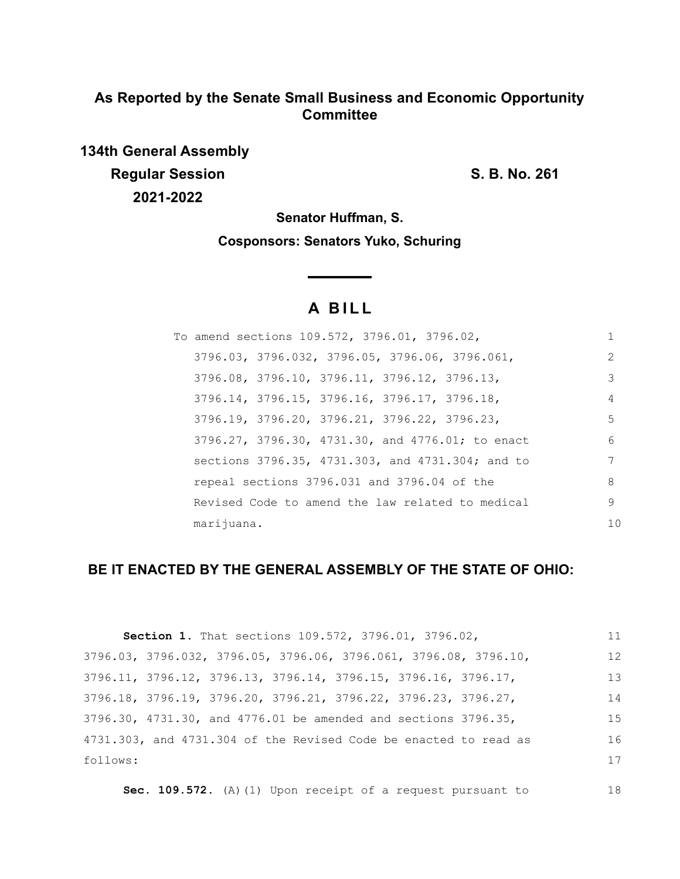## **As Reported by the Senate Small Business and Economic Opportunity Committee**

**134th General Assembly Regular Session S. B. No. 261 2021-2022**

**Senator Huffman, S.**

**Cosponsors: Senators Yuko, Schuring**

# **A B I L L**

|            | To amend sections 109.572, 3796.01, 3796.02, |  |                                                  |    |
|------------|----------------------------------------------|--|--------------------------------------------------|----|
|            |                                              |  | 3796.03, 3796.032, 3796.05, 3796.06, 3796.061,   | 2  |
|            | 3796.08, 3796.10, 3796.11, 3796.12, 3796.13, |  |                                                  | 3  |
|            | 3796.14, 3796.15, 3796.16, 3796.17, 3796.18, |  |                                                  | 4  |
|            | 3796.19, 3796.20, 3796.21, 3796.22, 3796.23, |  |                                                  | 5  |
|            |                                              |  | 3796.27, 3796.30, 4731.30, and 4776.01; to enact | 6  |
|            |                                              |  | sections 3796.35, 4731.303, and 4731.304; and to | 7  |
|            | repeal sections 3796.031 and 3796.04 of the  |  |                                                  | 8  |
|            |                                              |  | Revised Code to amend the law related to medical | 9  |
| marijuana. |                                              |  |                                                  | 10 |

## **BE IT ENACTED BY THE GENERAL ASSEMBLY OF THE STATE OF OHIO:**

| Section 1. That sections 109.572, 3796.01, 3796.02,                       | 11 |
|---------------------------------------------------------------------------|----|
| 3796.03, 3796.032, 3796.05, 3796.06, 3796.061, 3796.08, 3796.10,          | 12 |
| 3796.11, 3796.12, 3796.13, 3796.14, 3796.15, 3796.16, 3796.17,            | 13 |
| 3796.18, 3796.19, 3796.20, 3796.21, 3796.22, 3796.23, 3796.27,            | 14 |
| $3796.30$ , $4731.30$ , and $4776.01$ be amended and sections $3796.35$ , | 15 |
| 4731.303, and 4731.304 of the Revised Code be enacted to read as          | 16 |
| follows:                                                                  | 17 |
|                                                                           |    |

**Sec. 109.572.** (A)(1) Upon receipt of a request pursuant to 18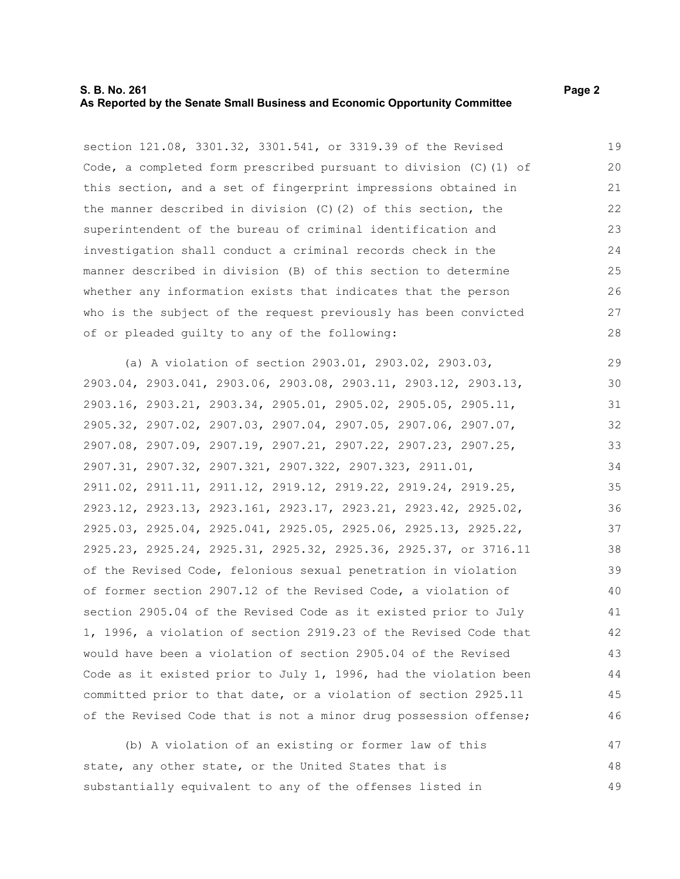## **S. B. No. 261** Page 2 **As Reported by the Senate Small Business and Economic Opportunity Committee**

section 121.08, 3301.32, 3301.541, or 3319.39 of the Revised Code, a completed form prescribed pursuant to division (C)(1) of this section, and a set of fingerprint impressions obtained in the manner described in division (C)(2) of this section, the superintendent of the bureau of criminal identification and investigation shall conduct a criminal records check in the manner described in division (B) of this section to determine whether any information exists that indicates that the person who is the subject of the request previously has been convicted of or pleaded guilty to any of the following: 19 20 21 22 23 24 25 26 27 28

(a) A violation of section 2903.01, 2903.02, 2903.03, 2903.04, 2903.041, 2903.06, 2903.08, 2903.11, 2903.12, 2903.13, 2903.16, 2903.21, 2903.34, 2905.01, 2905.02, 2905.05, 2905.11, 2905.32, 2907.02, 2907.03, 2907.04, 2907.05, 2907.06, 2907.07, 2907.08, 2907.09, 2907.19, 2907.21, 2907.22, 2907.23, 2907.25, 2907.31, 2907.32, 2907.321, 2907.322, 2907.323, 2911.01, 2911.02, 2911.11, 2911.12, 2919.12, 2919.22, 2919.24, 2919.25, 2923.12, 2923.13, 2923.161, 2923.17, 2923.21, 2923.42, 2925.02, 2925.03, 2925.04, 2925.041, 2925.05, 2925.06, 2925.13, 2925.22, 2925.23, 2925.24, 2925.31, 2925.32, 2925.36, 2925.37, or 3716.11 of the Revised Code, felonious sexual penetration in violation of former section 2907.12 of the Revised Code, a violation of section 2905.04 of the Revised Code as it existed prior to July 1, 1996, a violation of section 2919.23 of the Revised Code that would have been a violation of section 2905.04 of the Revised Code as it existed prior to July 1, 1996, had the violation been committed prior to that date, or a violation of section 2925.11 of the Revised Code that is not a minor drug possession offense; 29 30 31 32 33 34 35 36 37 38 39 40 41 42 43 44 45 46

(b) A violation of an existing or former law of this state, any other state, or the United States that is substantially equivalent to any of the offenses listed in 47 48 49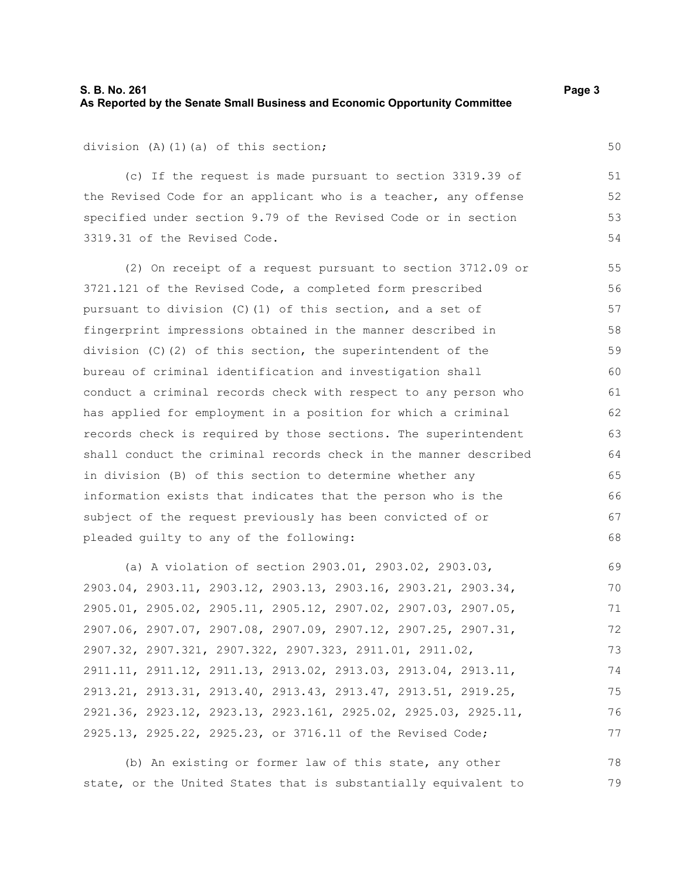## **S. B. No. 261** Page 3 **As Reported by the Senate Small Business and Economic Opportunity Committee**

division (A)(1)(a) of this section;

(c) If the request is made pursuant to section 3319.39 of the Revised Code for an applicant who is a teacher, any offense specified under section 9.79 of the Revised Code or in section 3319.31 of the Revised Code.

(2) On receipt of a request pursuant to section 3712.09 or 3721.121 of the Revised Code, a completed form prescribed pursuant to division (C)(1) of this section, and a set of fingerprint impressions obtained in the manner described in division  $(C)$  (2) of this section, the superintendent of the bureau of criminal identification and investigation shall conduct a criminal records check with respect to any person who has applied for employment in a position for which a criminal records check is required by those sections. The superintendent shall conduct the criminal records check in the manner described in division (B) of this section to determine whether any information exists that indicates that the person who is the subject of the request previously has been convicted of or pleaded guilty to any of the following: 55 56 57 58 59 60 61 62 63 64 65 66 67 68

(a) A violation of section 2903.01, 2903.02, 2903.03, 2903.04, 2903.11, 2903.12, 2903.13, 2903.16, 2903.21, 2903.34, 2905.01, 2905.02, 2905.11, 2905.12, 2907.02, 2907.03, 2907.05, 2907.06, 2907.07, 2907.08, 2907.09, 2907.12, 2907.25, 2907.31, 2907.32, 2907.321, 2907.322, 2907.323, 2911.01, 2911.02, 2911.11, 2911.12, 2911.13, 2913.02, 2913.03, 2913.04, 2913.11, 2913.21, 2913.31, 2913.40, 2913.43, 2913.47, 2913.51, 2919.25, 2921.36, 2923.12, 2923.13, 2923.161, 2925.02, 2925.03, 2925.11, 2925.13, 2925.22, 2925.23, or 3716.11 of the Revised Code; 69 70 71 72 73 74 75 76 77

(b) An existing or former law of this state, any other state, or the United States that is substantially equivalent to 78 79

50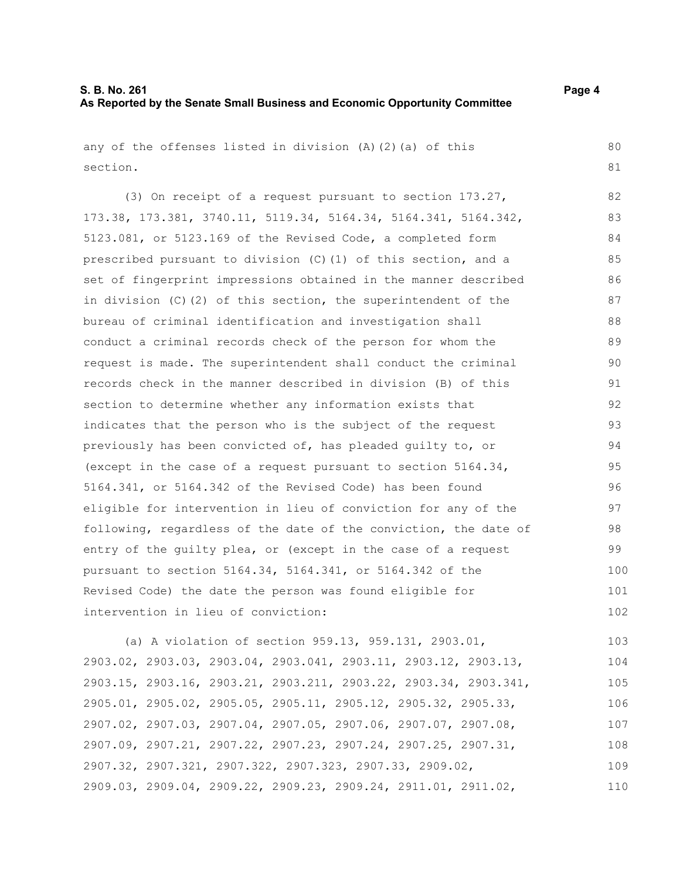110

| any of the offenses listed in division $(A)$ $(2)$ $(a)$ of this | 80  |
|------------------------------------------------------------------|-----|
| section.                                                         | 81  |
| (3) On receipt of a request pursuant to section 173.27,          | 82  |
| 173.38, 173.381, 3740.11, 5119.34, 5164.34, 5164.341, 5164.342,  | 83  |
| 5123.081, or 5123.169 of the Revised Code, a completed form      | 84  |
| prescribed pursuant to division (C) (1) of this section, and a   | 85  |
| set of fingerprint impressions obtained in the manner described  | 86  |
| in division $(C)$ (2) of this section, the superintendent of the | 87  |
| bureau of criminal identification and investigation shall        | 88  |
| conduct a criminal records check of the person for whom the      | 89  |
| request is made. The superintendent shall conduct the criminal   | 90  |
| records check in the manner described in division (B) of this    | 91  |
| section to determine whether any information exists that         | 92  |
| indicates that the person who is the subject of the request      | 93  |
| previously has been convicted of, has pleaded guilty to, or      | 94  |
| (except in the case of a request pursuant to section $5164.34$ , | 95  |
| 5164.341, or 5164.342 of the Revised Code) has been found        | 96  |
| eligible for intervention in lieu of conviction for any of the   | 97  |
| following, regardless of the date of the conviction, the date of | 98  |
| entry of the quilty plea, or (except in the case of a request    | 99  |
| pursuant to section 5164.34, 5164.341, or 5164.342 of the        | 100 |
| Revised Code) the date the person was found eligible for         | 101 |
| intervention in lieu of conviction:                              | 102 |
| (a) A violation of section 959.13, 959.131, 2903.01,             | 103 |
| 2903.02, 2903.03, 2903.04, 2903.041, 2903.11, 2903.12, 2903.13,  | 104 |
| 2903.15, 2903.16, 2903.21, 2903.211, 2903.22, 2903.34, 2903.341, | 105 |
| 2905.01, 2905.02, 2905.05, 2905.11, 2905.12, 2905.32, 2905.33,   | 106 |
| 2907.02, 2907.03, 2907.04, 2907.05, 2907.06, 2907.07, 2907.08,   | 107 |
| 2907.09, 2907.21, 2907.22, 2907.23, 2907.24, 2907.25, 2907.31,   | 108 |
| 2907.32, 2907.321, 2907.322, 2907.323, 2907.33, 2909.02,         | 109 |

2909.03, 2909.04, 2909.22, 2909.23, 2909.24, 2911.01, 2911.02,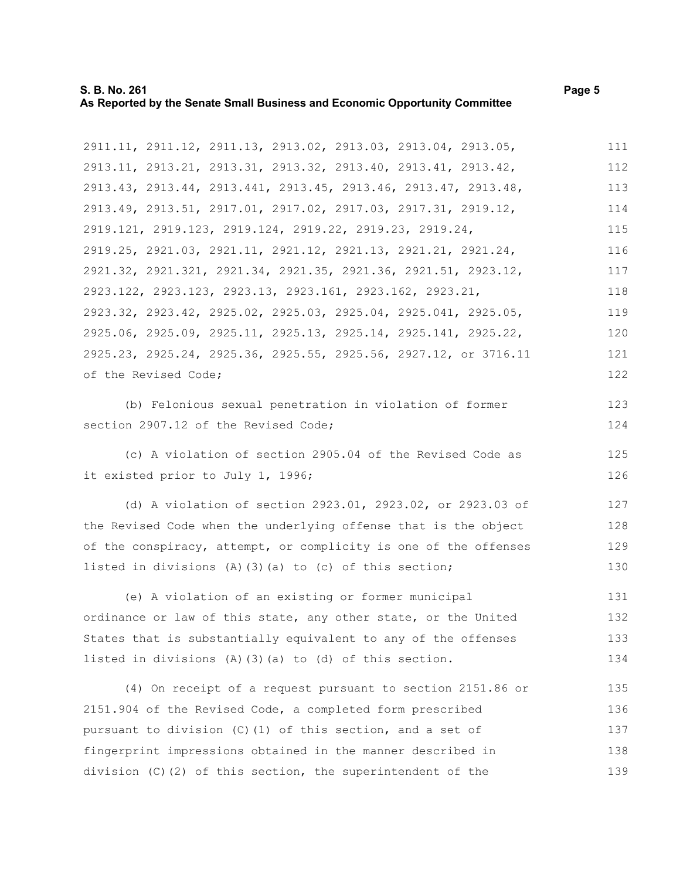## **S. B. No. 261** Page 5 **As Reported by the Senate Small Business and Economic Opportunity Committee**

2911.11, 2911.12, 2911.13, 2913.02, 2913.03, 2913.04, 2913.05, 2913.11, 2913.21, 2913.31, 2913.32, 2913.40, 2913.41, 2913.42, 2913.43, 2913.44, 2913.441, 2913.45, 2913.46, 2913.47, 2913.48, 2913.49, 2913.51, 2917.01, 2917.02, 2917.03, 2917.31, 2919.12, 2919.121, 2919.123, 2919.124, 2919.22, 2919.23, 2919.24, 2919.25, 2921.03, 2921.11, 2921.12, 2921.13, 2921.21, 2921.24, 2921.32, 2921.321, 2921.34, 2921.35, 2921.36, 2921.51, 2923.12, 2923.122, 2923.123, 2923.13, 2923.161, 2923.162, 2923.21, 2923.32, 2923.42, 2925.02, 2925.03, 2925.04, 2925.041, 2925.05, 2925.06, 2925.09, 2925.11, 2925.13, 2925.14, 2925.141, 2925.22, 2925.23, 2925.24, 2925.36, 2925.55, 2925.56, 2927.12, or 3716.11 of the Revised Code; 111 112 113 114 115 116 117 118 119 120 121 122

(b) Felonious sexual penetration in violation of former section 2907.12 of the Revised Code;

(c) A violation of section 2905.04 of the Revised Code as it existed prior to July 1, 1996;

(d) A violation of section 2923.01, 2923.02, or 2923.03 of the Revised Code when the underlying offense that is the object of the conspiracy, attempt, or complicity is one of the offenses listed in divisions (A)(3)(a) to (c) of this section; 127 128 129 130

(e) A violation of an existing or former municipal ordinance or law of this state, any other state, or the United States that is substantially equivalent to any of the offenses listed in divisions (A)(3)(a) to (d) of this section. 131 132 133 134

(4) On receipt of a request pursuant to section 2151.86 or 2151.904 of the Revised Code, a completed form prescribed pursuant to division (C)(1) of this section, and a set of fingerprint impressions obtained in the manner described in division (C)(2) of this section, the superintendent of the 135 136 137 138 139

123 124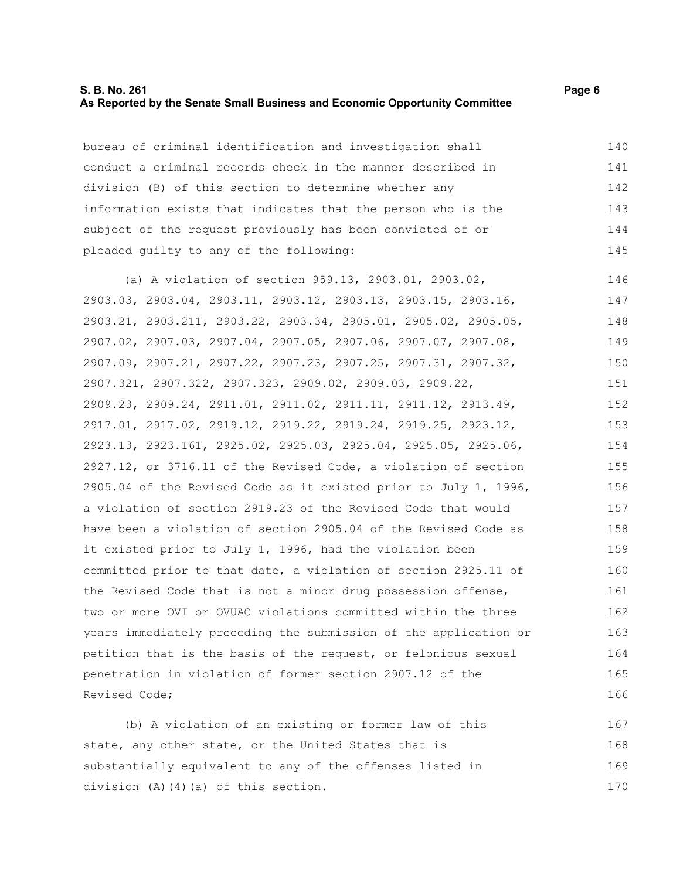## **S. B. No. 261** Page 6 **As Reported by the Senate Small Business and Economic Opportunity Committee**

bureau of criminal identification and investigation shall conduct a criminal records check in the manner described in division (B) of this section to determine whether any information exists that indicates that the person who is the subject of the request previously has been convicted of or pleaded guilty to any of the following:

(a) A violation of section 959.13, 2903.01, 2903.02, 2903.03, 2903.04, 2903.11, 2903.12, 2903.13, 2903.15, 2903.16, 2903.21, 2903.211, 2903.22, 2903.34, 2905.01, 2905.02, 2905.05, 2907.02, 2907.03, 2907.04, 2907.05, 2907.06, 2907.07, 2907.08, 2907.09, 2907.21, 2907.22, 2907.23, 2907.25, 2907.31, 2907.32, 2907.321, 2907.322, 2907.323, 2909.02, 2909.03, 2909.22, 2909.23, 2909.24, 2911.01, 2911.02, 2911.11, 2911.12, 2913.49, 2917.01, 2917.02, 2919.12, 2919.22, 2919.24, 2919.25, 2923.12, 2923.13, 2923.161, 2925.02, 2925.03, 2925.04, 2925.05, 2925.06, 2927.12, or 3716.11 of the Revised Code, a violation of section 2905.04 of the Revised Code as it existed prior to July 1, 1996, a violation of section 2919.23 of the Revised Code that would have been a violation of section 2905.04 of the Revised Code as it existed prior to July 1, 1996, had the violation been committed prior to that date, a violation of section 2925.11 of the Revised Code that is not a minor drug possession offense, two or more OVI or OVUAC violations committed within the three years immediately preceding the submission of the application or petition that is the basis of the request, or felonious sexual penetration in violation of former section 2907.12 of the Revised Code; 146 147 148 149 150 151 152 153 154 155 156 157 158 159 160 161 162 163 164 165 166

(b) A violation of an existing or former law of this state, any other state, or the United States that is substantially equivalent to any of the offenses listed in division (A)(4)(a) of this section. 167 168 169 170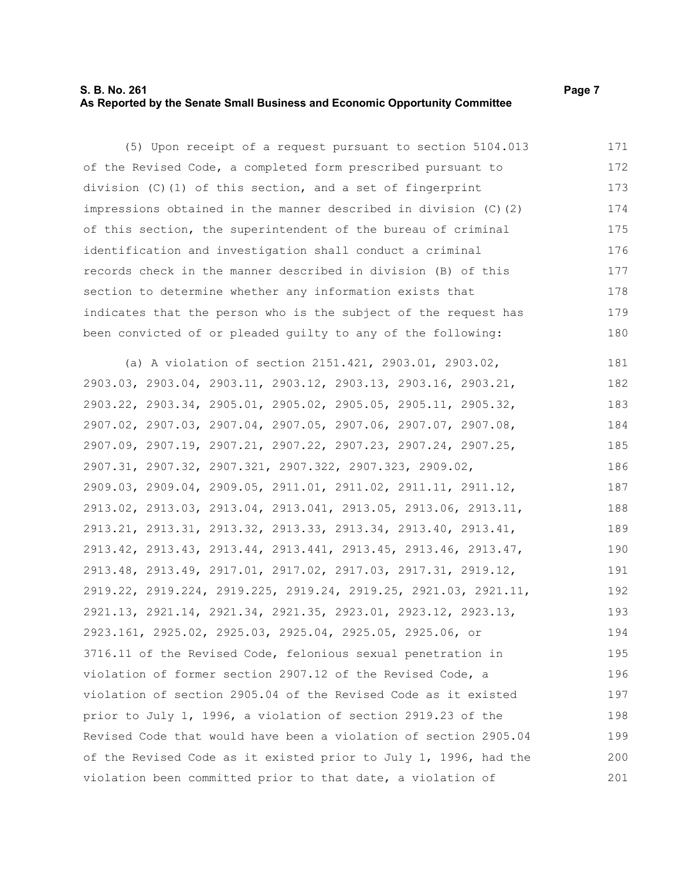## **S. B. No. 261** Page 7 **As Reported by the Senate Small Business and Economic Opportunity Committee**

(5) Upon receipt of a request pursuant to section 5104.013 of the Revised Code, a completed form prescribed pursuant to division (C)(1) of this section, and a set of fingerprint impressions obtained in the manner described in division (C)(2) of this section, the superintendent of the bureau of criminal identification and investigation shall conduct a criminal records check in the manner described in division (B) of this section to determine whether any information exists that indicates that the person who is the subject of the request has been convicted of or pleaded guilty to any of the following: 171 172 173 174 175 176 177 178 179 180

(a) A violation of section 2151.421, 2903.01, 2903.02, 2903.03, 2903.04, 2903.11, 2903.12, 2903.13, 2903.16, 2903.21, 2903.22, 2903.34, 2905.01, 2905.02, 2905.05, 2905.11, 2905.32, 2907.02, 2907.03, 2907.04, 2907.05, 2907.06, 2907.07, 2907.08, 2907.09, 2907.19, 2907.21, 2907.22, 2907.23, 2907.24, 2907.25, 2907.31, 2907.32, 2907.321, 2907.322, 2907.323, 2909.02, 2909.03, 2909.04, 2909.05, 2911.01, 2911.02, 2911.11, 2911.12, 2913.02, 2913.03, 2913.04, 2913.041, 2913.05, 2913.06, 2913.11, 2913.21, 2913.31, 2913.32, 2913.33, 2913.34, 2913.40, 2913.41, 2913.42, 2913.43, 2913.44, 2913.441, 2913.45, 2913.46, 2913.47, 2913.48, 2913.49, 2917.01, 2917.02, 2917.03, 2917.31, 2919.12, 2919.22, 2919.224, 2919.225, 2919.24, 2919.25, 2921.03, 2921.11, 2921.13, 2921.14, 2921.34, 2921.35, 2923.01, 2923.12, 2923.13, 2923.161, 2925.02, 2925.03, 2925.04, 2925.05, 2925.06, or 3716.11 of the Revised Code, felonious sexual penetration in violation of former section 2907.12 of the Revised Code, a violation of section 2905.04 of the Revised Code as it existed prior to July 1, 1996, a violation of section 2919.23 of the Revised Code that would have been a violation of section 2905.04 of the Revised Code as it existed prior to July 1, 1996, had the violation been committed prior to that date, a violation of 181 182 183 184 185 186 187 188 189 190 191 192 193 194 195 196 197 198 199 200 201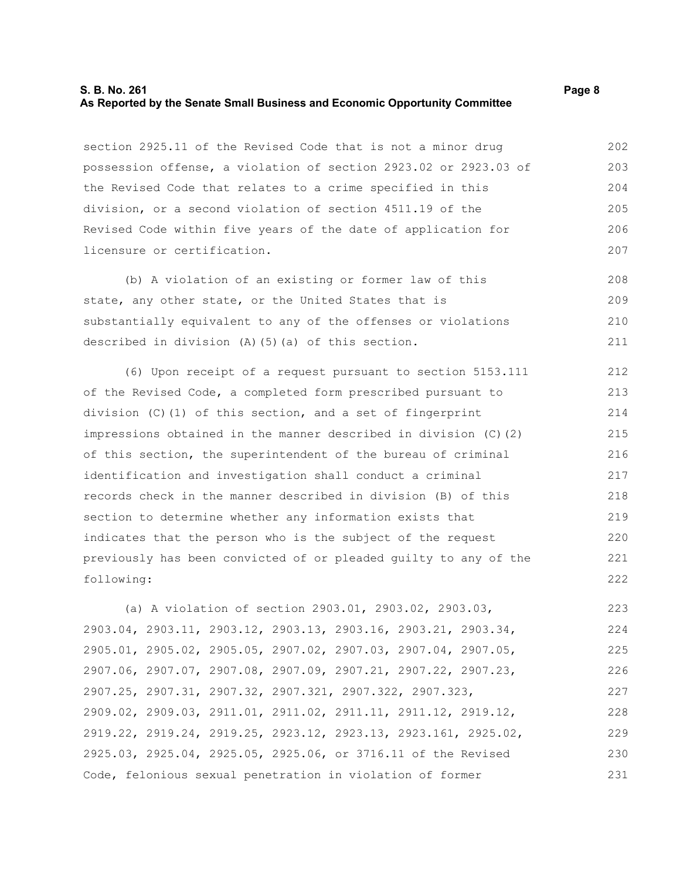## **S. B. No. 261** Page 8 **As Reported by the Senate Small Business and Economic Opportunity Committee**

section 2925.11 of the Revised Code that is not a minor drug possession offense, a violation of section 2923.02 or 2923.03 of the Revised Code that relates to a crime specified in this division, or a second violation of section 4511.19 of the Revised Code within five years of the date of application for licensure or certification. 202 203 204 205 206 207

(b) A violation of an existing or former law of this state, any other state, or the United States that is substantially equivalent to any of the offenses or violations described in division (A)(5)(a) of this section. 208 209 210 211

(6) Upon receipt of a request pursuant to section 5153.111 of the Revised Code, a completed form prescribed pursuant to division (C)(1) of this section, and a set of fingerprint impressions obtained in the manner described in division (C)(2) of this section, the superintendent of the bureau of criminal identification and investigation shall conduct a criminal records check in the manner described in division (B) of this section to determine whether any information exists that indicates that the person who is the subject of the request previously has been convicted of or pleaded guilty to any of the following: 212 213 214 215 216 217 218 219 220 221 222

(a) A violation of section 2903.01, 2903.02, 2903.03, 2903.04, 2903.11, 2903.12, 2903.13, 2903.16, 2903.21, 2903.34, 2905.01, 2905.02, 2905.05, 2907.02, 2907.03, 2907.04, 2907.05, 2907.06, 2907.07, 2907.08, 2907.09, 2907.21, 2907.22, 2907.23, 2907.25, 2907.31, 2907.32, 2907.321, 2907.322, 2907.323, 2909.02, 2909.03, 2911.01, 2911.02, 2911.11, 2911.12, 2919.12, 2919.22, 2919.24, 2919.25, 2923.12, 2923.13, 2923.161, 2925.02, 2925.03, 2925.04, 2925.05, 2925.06, or 3716.11 of the Revised Code, felonious sexual penetration in violation of former 223 224 225 226 227 228 229 230 231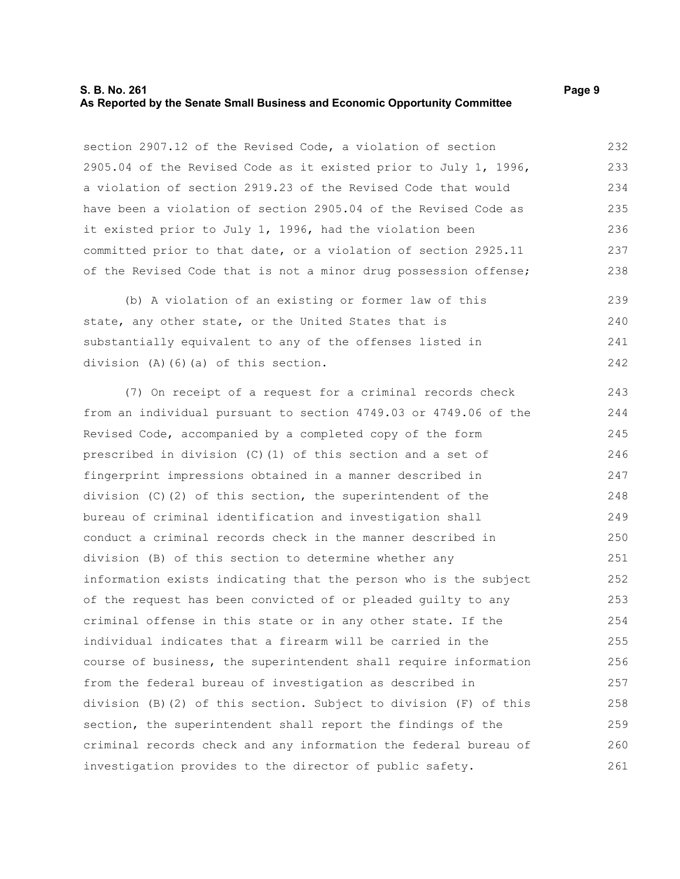## **S. B. No. 261** Page 9 **As Reported by the Senate Small Business and Economic Opportunity Committee**

section 2907.12 of the Revised Code, a violation of section 2905.04 of the Revised Code as it existed prior to July 1, 1996, a violation of section 2919.23 of the Revised Code that would have been a violation of section 2905.04 of the Revised Code as it existed prior to July 1, 1996, had the violation been committed prior to that date, or a violation of section 2925.11 of the Revised Code that is not a minor drug possession offense; 232 233 234 235 236 237 238

(b) A violation of an existing or former law of this state, any other state, or the United States that is substantially equivalent to any of the offenses listed in division (A)(6)(a) of this section. 239  $240$ 241 242

(7) On receipt of a request for a criminal records check from an individual pursuant to section 4749.03 or 4749.06 of the Revised Code, accompanied by a completed copy of the form prescribed in division (C)(1) of this section and a set of fingerprint impressions obtained in a manner described in division (C)(2) of this section, the superintendent of the bureau of criminal identification and investigation shall conduct a criminal records check in the manner described in division (B) of this section to determine whether any information exists indicating that the person who is the subject of the request has been convicted of or pleaded guilty to any criminal offense in this state or in any other state. If the individual indicates that a firearm will be carried in the course of business, the superintendent shall require information from the federal bureau of investigation as described in division (B)(2) of this section. Subject to division (F) of this section, the superintendent shall report the findings of the criminal records check and any information the federal bureau of investigation provides to the director of public safety. 243 244 245 246 247 248 249 250 251 252 253 254 255 256 257 258 259 260 261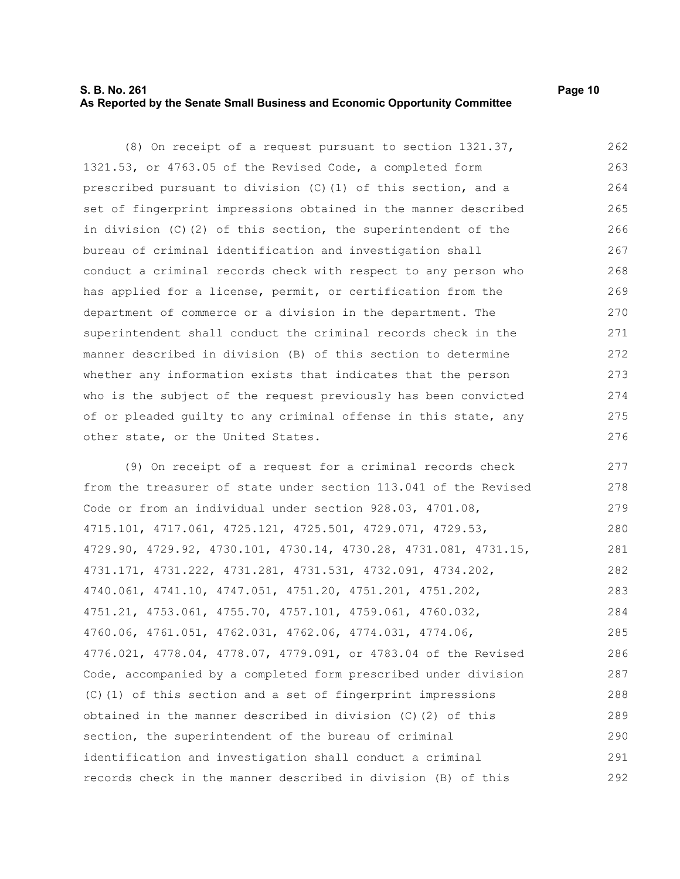## **S. B. No. 261 Page 10 As Reported by the Senate Small Business and Economic Opportunity Committee**

(8) On receipt of a request pursuant to section 1321.37, 1321.53, or 4763.05 of the Revised Code, a completed form prescribed pursuant to division (C)(1) of this section, and a set of fingerprint impressions obtained in the manner described in division (C)(2) of this section, the superintendent of the bureau of criminal identification and investigation shall conduct a criminal records check with respect to any person who has applied for a license, permit, or certification from the department of commerce or a division in the department. The superintendent shall conduct the criminal records check in the manner described in division (B) of this section to determine whether any information exists that indicates that the person who is the subject of the request previously has been convicted of or pleaded guilty to any criminal offense in this state, any other state, or the United States. 262 263 264 265 266 267 268 269 270 271 272 273 274 275 276

(9) On receipt of a request for a criminal records check from the treasurer of state under section 113.041 of the Revised Code or from an individual under section 928.03, 4701.08, 4715.101, 4717.061, 4725.121, 4725.501, 4729.071, 4729.53, 4729.90, 4729.92, 4730.101, 4730.14, 4730.28, 4731.081, 4731.15, 4731.171, 4731.222, 4731.281, 4731.531, 4732.091, 4734.202, 4740.061, 4741.10, 4747.051, 4751.20, 4751.201, 4751.202, 4751.21, 4753.061, 4755.70, 4757.101, 4759.061, 4760.032, 4760.06, 4761.051, 4762.031, 4762.06, 4774.031, 4774.06, 4776.021, 4778.04, 4778.07, 4779.091, or 4783.04 of the Revised Code, accompanied by a completed form prescribed under division (C)(1) of this section and a set of fingerprint impressions obtained in the manner described in division (C)(2) of this section, the superintendent of the bureau of criminal identification and investigation shall conduct a criminal records check in the manner described in division (B) of this 277 278 279 280 281 282 283 284 285 286 287 288 289 290 291 292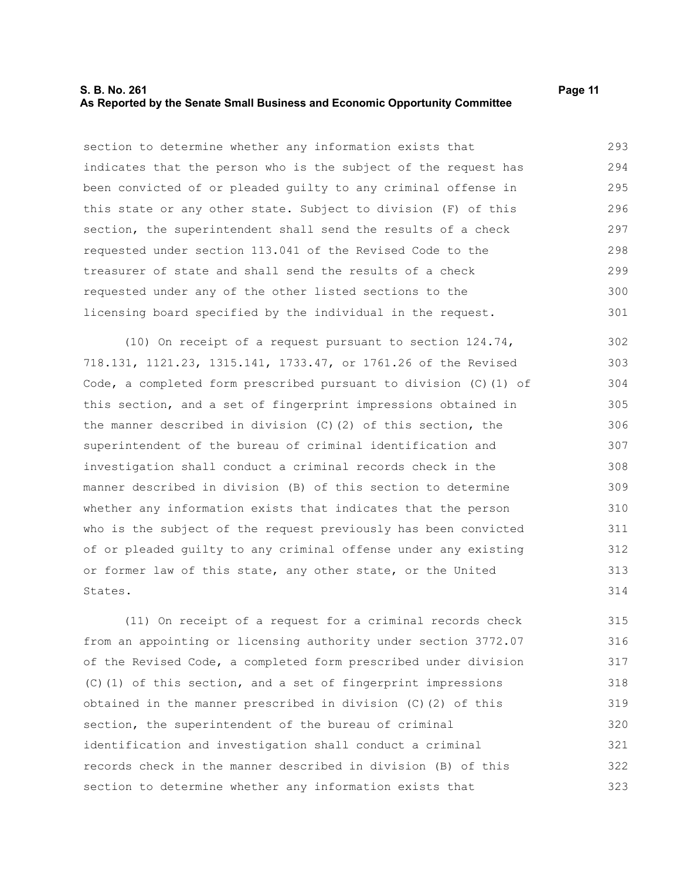### **S. B. No. 261 Page 11 As Reported by the Senate Small Business and Economic Opportunity Committee**

section to determine whether any information exists that indicates that the person who is the subject of the request has been convicted of or pleaded guilty to any criminal offense in this state or any other state. Subject to division (F) of this section, the superintendent shall send the results of a check requested under section 113.041 of the Revised Code to the treasurer of state and shall send the results of a check requested under any of the other listed sections to the licensing board specified by the individual in the request. 293 294 295 296 297 298 299 300 301

(10) On receipt of a request pursuant to section 124.74, 718.131, 1121.23, 1315.141, 1733.47, or 1761.26 of the Revised Code, a completed form prescribed pursuant to division (C)(1) of this section, and a set of fingerprint impressions obtained in the manner described in division  $(C)$  (2) of this section, the superintendent of the bureau of criminal identification and investigation shall conduct a criminal records check in the manner described in division (B) of this section to determine whether any information exists that indicates that the person who is the subject of the request previously has been convicted of or pleaded guilty to any criminal offense under any existing or former law of this state, any other state, or the United States. 302 303 304 305 306 307 308 309 310 311 312 313 314

(11) On receipt of a request for a criminal records check from an appointing or licensing authority under section 3772.07 of the Revised Code, a completed form prescribed under division (C)(1) of this section, and a set of fingerprint impressions obtained in the manner prescribed in division (C)(2) of this section, the superintendent of the bureau of criminal identification and investigation shall conduct a criminal records check in the manner described in division (B) of this section to determine whether any information exists that 315 316 317 318 319 320 321 322 323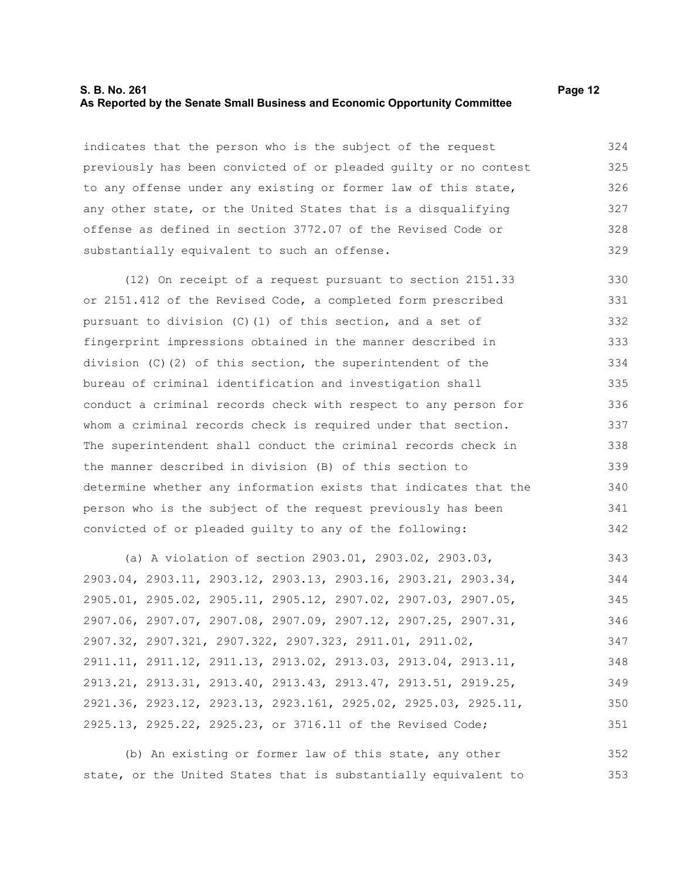## **S. B. No. 261 Page 12 As Reported by the Senate Small Business and Economic Opportunity Committee**

indicates that the person who is the subject of the request previously has been convicted of or pleaded guilty or no contest to any offense under any existing or former law of this state, any other state, or the United States that is a disqualifying offense as defined in section 3772.07 of the Revised Code or substantially equivalent to such an offense. 324 325 326 327 328 329

(12) On receipt of a request pursuant to section 2151.33 or 2151.412 of the Revised Code, a completed form prescribed pursuant to division  $(C)$  (1) of this section, and a set of fingerprint impressions obtained in the manner described in division (C)(2) of this section, the superintendent of the bureau of criminal identification and investigation shall conduct a criminal records check with respect to any person for whom a criminal records check is required under that section. The superintendent shall conduct the criminal records check in the manner described in division (B) of this section to determine whether any information exists that indicates that the person who is the subject of the request previously has been convicted of or pleaded guilty to any of the following: 330 331 332 333 334 335 336 337 338 339 340 341 342

(a) A violation of section 2903.01, 2903.02, 2903.03, 2903.04, 2903.11, 2903.12, 2903.13, 2903.16, 2903.21, 2903.34, 2905.01, 2905.02, 2905.11, 2905.12, 2907.02, 2907.03, 2907.05, 2907.06, 2907.07, 2907.08, 2907.09, 2907.12, 2907.25, 2907.31, 2907.32, 2907.321, 2907.322, 2907.323, 2911.01, 2911.02, 2911.11, 2911.12, 2911.13, 2913.02, 2913.03, 2913.04, 2913.11, 2913.21, 2913.31, 2913.40, 2913.43, 2913.47, 2913.51, 2919.25, 2921.36, 2923.12, 2923.13, 2923.161, 2925.02, 2925.03, 2925.11, 2925.13, 2925.22, 2925.23, or 3716.11 of the Revised Code; 343 344 345 346 347 348 349 350 351

(b) An existing or former law of this state, any other state, or the United States that is substantially equivalent to 352 353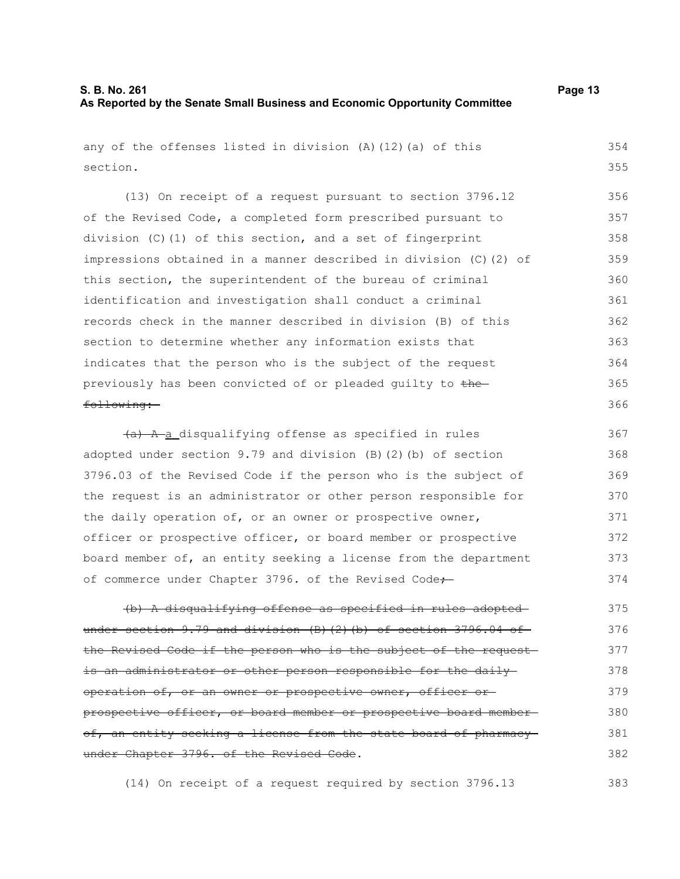383

any of the offenses listed in division (A)(12)(a) of this section. (13) On receipt of a request pursuant to section 3796.12 of the Revised Code, a completed form prescribed pursuant to division (C)(1) of this section, and a set of fingerprint impressions obtained in a manner described in division (C)(2) of this section, the superintendent of the bureau of criminal identification and investigation shall conduct a criminal records check in the manner described in division (B) of this section to determine whether any information exists that indicates that the person who is the subject of the request previously has been convicted of or pleaded guilty to thefollowing: (a) A a disqualifying offense as specified in rules adopted under section 9.79 and division (B)(2)(b) of section 354 355 356 357 358 359 360 361 362 363 364 365 366 367 368

3796.03 of the Revised Code if the person who is the subject of the request is an administrator or other person responsible for the daily operation of, or an owner or prospective owner, officer or prospective officer, or board member or prospective board member of, an entity seeking a license from the department of commerce under Chapter 3796. of the Revised Code+ 369 370 371 372 373 374

(b) A disqualifying offense as specified in rules adopted under section  $9.79$  and division (B)(2)(b) of section 3796.04 of the Revised Code if the person who is the subject of the request is an administrator or other person responsible for the daily operation of, or an owner or prospective owner, officer or prospective officer, or board member or prospective board member of, an entity seeking a license from the state board of pharmacyunder Chapter 3796. of the Revised Code. 375 376 377 378 379 380 381 382

(14) On receipt of a request required by section 3796.13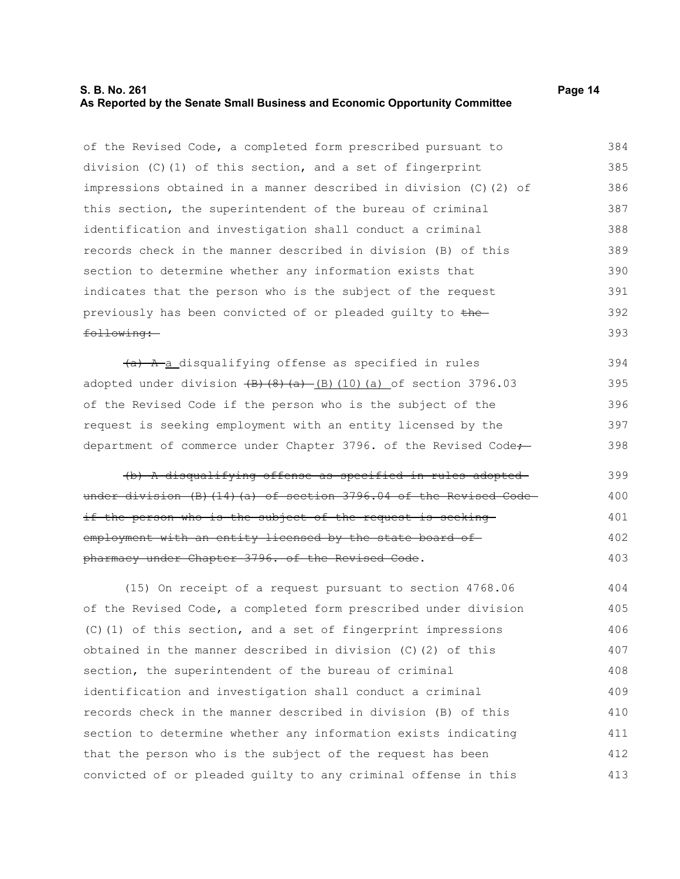#### **S. B. No. 261 Page 14 As Reported by the Senate Small Business and Economic Opportunity Committee**

of the Revised Code, a completed form prescribed pursuant to division (C)(1) of this section, and a set of fingerprint impressions obtained in a manner described in division (C)(2) of this section, the superintendent of the bureau of criminal identification and investigation shall conduct a criminal records check in the manner described in division (B) of this section to determine whether any information exists that indicates that the person who is the subject of the request previously has been convicted of or pleaded quilty to thefollowing: 384 385 386 387 388 389 390 391 392 393

 $(a)$  A a disqualifying offense as specified in rules adopted under division  $\left(\frac{B}{8}\right)\left(\frac{B}{a}\right)$  (10)(a) of section 3796.03 of the Revised Code if the person who is the subject of the request is seeking employment with an entity licensed by the department of commerce under Chapter 3796. of the Revised Code-394 395 396 397 398

(b) A disqualifying offense as specified in rules adopted under division (B)(14)(a) of section 3796.04 of the Revised Codeif the person who is the subject of the request is seeking employment with an entity licensed by the state board ofpharmacy under Chapter 3796. of the Revised Code. 399 400 401 402 403

(15) On receipt of a request pursuant to section 4768.06 of the Revised Code, a completed form prescribed under division (C)(1) of this section, and a set of fingerprint impressions obtained in the manner described in division (C)(2) of this section, the superintendent of the bureau of criminal identification and investigation shall conduct a criminal records check in the manner described in division (B) of this section to determine whether any information exists indicating that the person who is the subject of the request has been convicted of or pleaded guilty to any criminal offense in this 404 405 406 407 408 409 410 411 412 413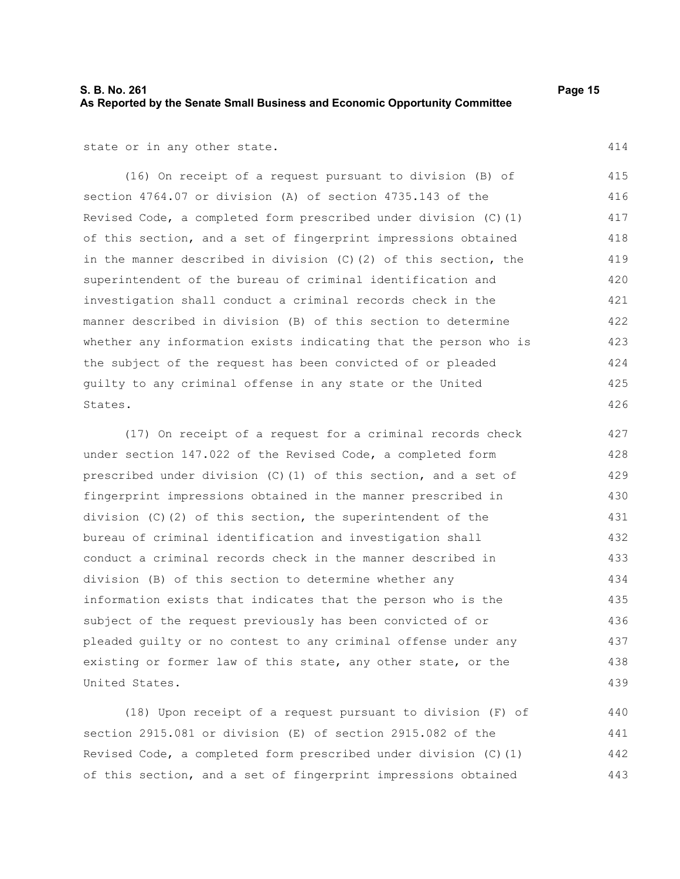## **S. B. No. 261 Page 15 As Reported by the Senate Small Business and Economic Opportunity Committee**

state or in any other state.

(16) On receipt of a request pursuant to division (B) of section 4764.07 or division (A) of section 4735.143 of the Revised Code, a completed form prescribed under division (C)(1) of this section, and a set of fingerprint impressions obtained in the manner described in division (C)(2) of this section, the superintendent of the bureau of criminal identification and investigation shall conduct a criminal records check in the manner described in division (B) of this section to determine whether any information exists indicating that the person who is the subject of the request has been convicted of or pleaded guilty to any criminal offense in any state or the United States. 415 416 417 418 419 420 421 422 423 424 425 426

(17) On receipt of a request for a criminal records check under section 147.022 of the Revised Code, a completed form prescribed under division (C)(1) of this section, and a set of fingerprint impressions obtained in the manner prescribed in division (C)(2) of this section, the superintendent of the bureau of criminal identification and investigation shall conduct a criminal records check in the manner described in division (B) of this section to determine whether any information exists that indicates that the person who is the subject of the request previously has been convicted of or pleaded guilty or no contest to any criminal offense under any existing or former law of this state, any other state, or the United States. 427 428 429 430 431 432 433 434 435 436 437 438 439

(18) Upon receipt of a request pursuant to division (F) of section 2915.081 or division (E) of section 2915.082 of the Revised Code, a completed form prescribed under division (C)(1) of this section, and a set of fingerprint impressions obtained 440 441 442 443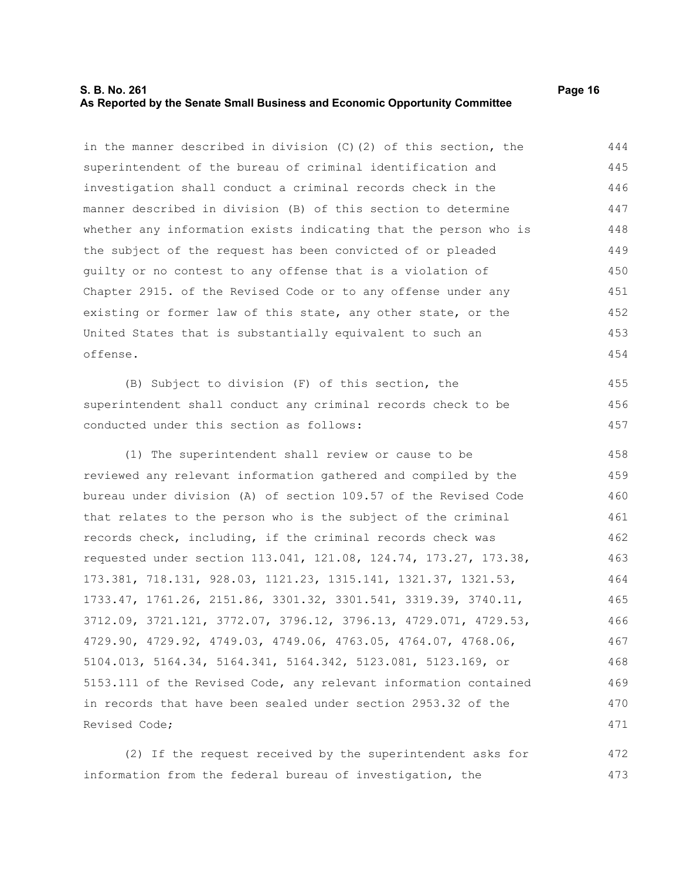## **S. B. No. 261 Page 16 As Reported by the Senate Small Business and Economic Opportunity Committee**

in the manner described in division (C)(2) of this section, the superintendent of the bureau of criminal identification and investigation shall conduct a criminal records check in the manner described in division (B) of this section to determine whether any information exists indicating that the person who is the subject of the request has been convicted of or pleaded guilty or no contest to any offense that is a violation of Chapter 2915. of the Revised Code or to any offense under any existing or former law of this state, any other state, or the United States that is substantially equivalent to such an offense. 444 445 446 447 448 449 450 451 452 453 454

(B) Subject to division (F) of this section, the superintendent shall conduct any criminal records check to be conducted under this section as follows:

(1) The superintendent shall review or cause to be reviewed any relevant information gathered and compiled by the bureau under division (A) of section 109.57 of the Revised Code that relates to the person who is the subject of the criminal records check, including, if the criminal records check was requested under section 113.041, 121.08, 124.74, 173.27, 173.38, 173.381, 718.131, 928.03, 1121.23, 1315.141, 1321.37, 1321.53, 1733.47, 1761.26, 2151.86, 3301.32, 3301.541, 3319.39, 3740.11, 3712.09, 3721.121, 3772.07, 3796.12, 3796.13, 4729.071, 4729.53, 4729.90, 4729.92, 4749.03, 4749.06, 4763.05, 4764.07, 4768.06, 5104.013, 5164.34, 5164.341, 5164.342, 5123.081, 5123.169, or 5153.111 of the Revised Code, any relevant information contained in records that have been sealed under section 2953.32 of the Revised Code; 458 459 460 461 462 463 464 465 466 467 468 469 470 471

(2) If the request received by the superintendent asks for information from the federal bureau of investigation, the 472 473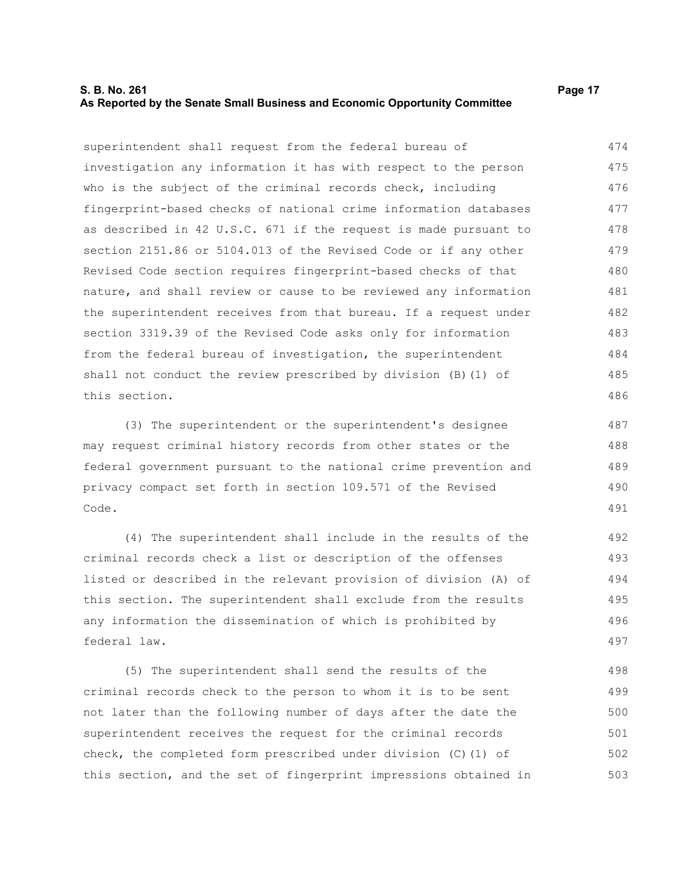## **S. B. No. 261 Page 17 As Reported by the Senate Small Business and Economic Opportunity Committee**

superintendent shall request from the federal bureau of investigation any information it has with respect to the person who is the subject of the criminal records check, including fingerprint-based checks of national crime information databases as described in 42 U.S.C. 671 if the request is made pursuant to section 2151.86 or 5104.013 of the Revised Code or if any other Revised Code section requires fingerprint-based checks of that nature, and shall review or cause to be reviewed any information the superintendent receives from that bureau. If a request under section 3319.39 of the Revised Code asks only for information from the federal bureau of investigation, the superintendent shall not conduct the review prescribed by division (B)(1) of this section. 474 475 476 477 478 479 480 481 482 483 484 485 486

(3) The superintendent or the superintendent's designee may request criminal history records from other states or the federal government pursuant to the national crime prevention and privacy compact set forth in section 109.571 of the Revised Code.

(4) The superintendent shall include in the results of the criminal records check a list or description of the offenses listed or described in the relevant provision of division (A) of this section. The superintendent shall exclude from the results any information the dissemination of which is prohibited by federal law.

(5) The superintendent shall send the results of the criminal records check to the person to whom it is to be sent not later than the following number of days after the date the superintendent receives the request for the criminal records check, the completed form prescribed under division (C)(1) of this section, and the set of fingerprint impressions obtained in 498 499 500 501 502 503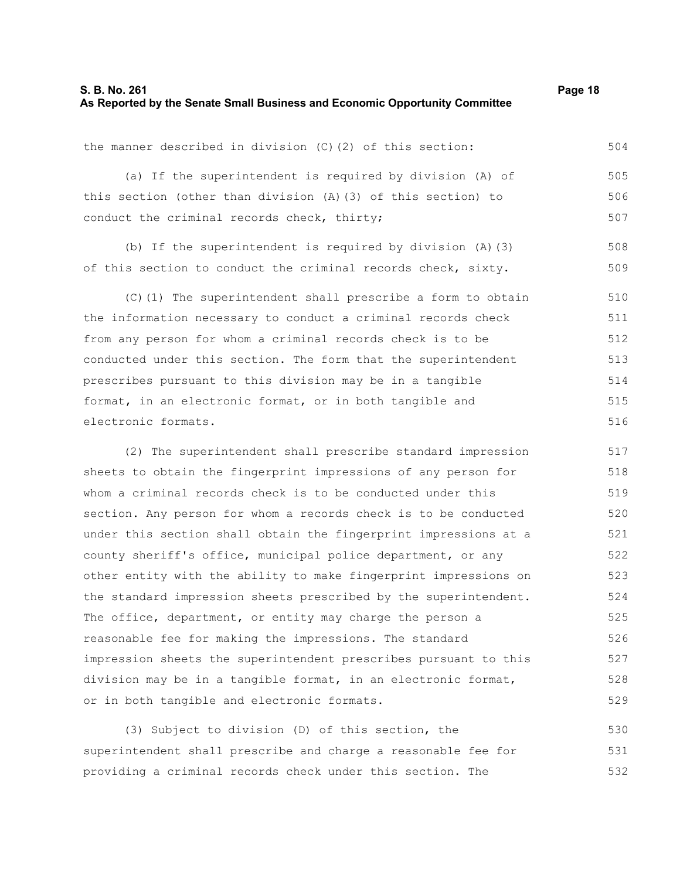## **S. B. No. 261 Page 18 As Reported by the Senate Small Business and Economic Opportunity Committee**

the manner described in division (C)(2) of this section: (a) If the superintendent is required by division (A) of this section (other than division (A)(3) of this section) to conduct the criminal records check, thirty; (b) If the superintendent is required by division (A)(3) of this section to conduct the criminal records check, sixty. (C)(1) The superintendent shall prescribe a form to obtain the information necessary to conduct a criminal records check from any person for whom a criminal records check is to be conducted under this section. The form that the superintendent prescribes pursuant to this division may be in a tangible format, in an electronic format, or in both tangible and electronic formats. (2) The superintendent shall prescribe standard impression sheets to obtain the fingerprint impressions of any person for whom a criminal records check is to be conducted under this section. Any person for whom a records check is to be conducted under this section shall obtain the fingerprint impressions at a county sheriff's office, municipal police department, or any other entity with the ability to make fingerprint impressions on the standard impression sheets prescribed by the superintendent. 504 505 506 507 508 509 510 511 512 513 514 515 516 517 518 519 520 521 522 523 524

or in both tangible and electronic formats. (3) Subject to division (D) of this section, the superintendent shall prescribe and charge a reasonable fee for providing a criminal records check under this section. The 529 530 531 532

The office, department, or entity may charge the person a reasonable fee for making the impressions. The standard

impression sheets the superintendent prescribes pursuant to this division may be in a tangible format, in an electronic format,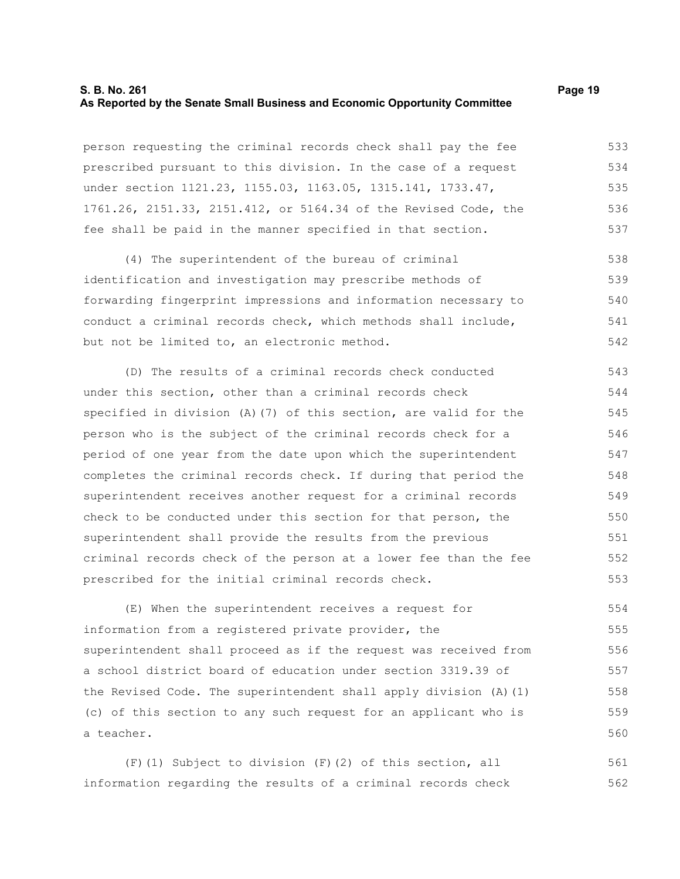## **S. B. No. 261 Page 19 As Reported by the Senate Small Business and Economic Opportunity Committee**

person requesting the criminal records check shall pay the fee prescribed pursuant to this division. In the case of a request under section 1121.23, 1155.03, 1163.05, 1315.141, 1733.47, 1761.26, 2151.33, 2151.412, or 5164.34 of the Revised Code, the fee shall be paid in the manner specified in that section. 533 534 535 536 537

(4) The superintendent of the bureau of criminal identification and investigation may prescribe methods of forwarding fingerprint impressions and information necessary to conduct a criminal records check, which methods shall include, but not be limited to, an electronic method. 538 539 540 541 542

(D) The results of a criminal records check conducted under this section, other than a criminal records check specified in division (A)(7) of this section, are valid for the person who is the subject of the criminal records check for a period of one year from the date upon which the superintendent completes the criminal records check. If during that period the superintendent receives another request for a criminal records check to be conducted under this section for that person, the superintendent shall provide the results from the previous criminal records check of the person at a lower fee than the fee prescribed for the initial criminal records check. 543 544 545 546 547 548 549 550 551 552 553

(E) When the superintendent receives a request for information from a registered private provider, the superintendent shall proceed as if the request was received from a school district board of education under section 3319.39 of the Revised Code. The superintendent shall apply division (A)(1) (c) of this section to any such request for an applicant who is a teacher. 554 555 556 557 558 559 560

(F)(1) Subject to division (F)(2) of this section, all information regarding the results of a criminal records check 561 562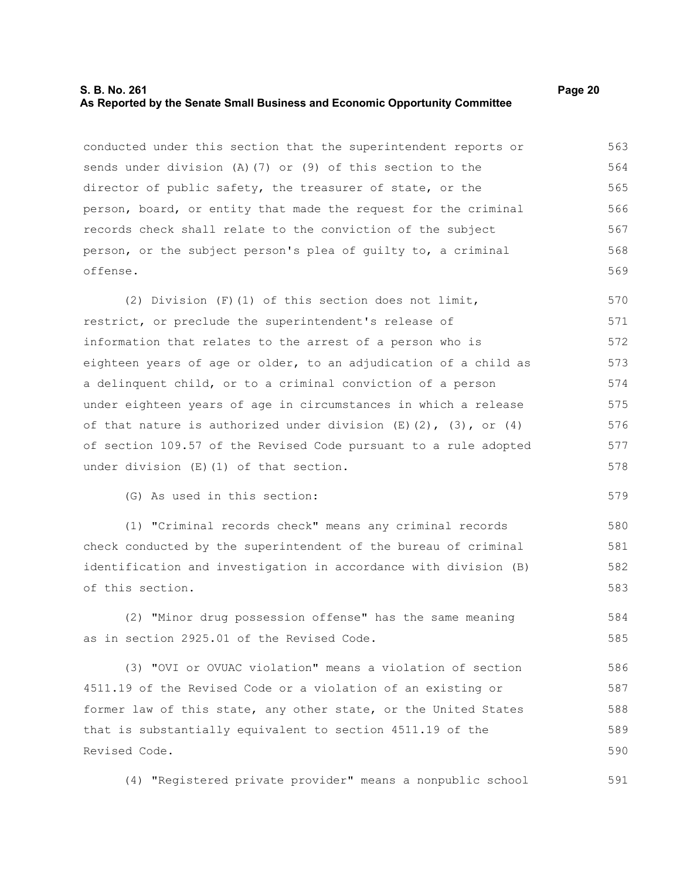## **S. B. No. 261 Page 20 As Reported by the Senate Small Business and Economic Opportunity Committee**

conducted under this section that the superintendent reports or sends under division (A)(7) or (9) of this section to the director of public safety, the treasurer of state, or the person, board, or entity that made the request for the criminal records check shall relate to the conviction of the subject person, or the subject person's plea of guilty to, a criminal offense. 563 564 565 566 567 568 569

(2) Division (F)(1) of this section does not limit, restrict, or preclude the superintendent's release of information that relates to the arrest of a person who is eighteen years of age or older, to an adjudication of a child as a delinquent child, or to a criminal conviction of a person under eighteen years of age in circumstances in which a release of that nature is authorized under division  $(E)(2)$ ,  $(3)$ , or  $(4)$ of section 109.57 of the Revised Code pursuant to a rule adopted under division (E)(1) of that section. 570 571 572 573 574 575 576 577 578

(G) As used in this section:

(1) "Criminal records check" means any criminal records check conducted by the superintendent of the bureau of criminal identification and investigation in accordance with division (B) of this section. 580 581 582 583

(2) "Minor drug possession offense" has the same meaning as in section 2925.01 of the Revised Code. 584 585

(3) "OVI or OVUAC violation" means a violation of section 4511.19 of the Revised Code or a violation of an existing or former law of this state, any other state, or the United States that is substantially equivalent to section 4511.19 of the Revised Code. 586 587 588 589 590

(4) "Registered private provider" means a nonpublic school 591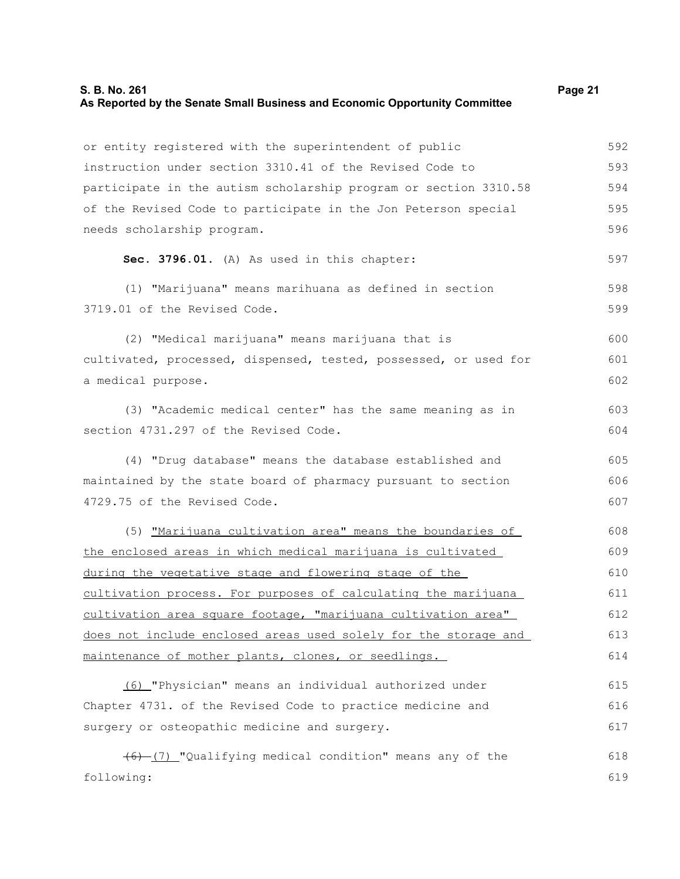## **S. B. No. 261 Page 21 As Reported by the Senate Small Business and Economic Opportunity Committee**

| or entity registered with the superintendent of public           | 592 |
|------------------------------------------------------------------|-----|
| instruction under section 3310.41 of the Revised Code to         | 593 |
| participate in the autism scholarship program or section 3310.58 | 594 |
| of the Revised Code to participate in the Jon Peterson special   | 595 |
| needs scholarship program.                                       | 596 |
| Sec. 3796.01. (A) As used in this chapter:                       | 597 |
| (1) "Marijuana" means marihuana as defined in section            | 598 |
| 3719.01 of the Revised Code.                                     | 599 |
| (2) "Medical marijuana" means marijuana that is                  | 600 |
| cultivated, processed, dispensed, tested, possessed, or used for | 601 |
| a medical purpose.                                               | 602 |
| (3) "Academic medical center" has the same meaning as in         | 603 |
| section 4731.297 of the Revised Code.                            | 604 |
| (4) "Drug database" means the database established and           | 605 |
| maintained by the state board of pharmacy pursuant to section    | 606 |
| 4729.75 of the Revised Code.                                     | 607 |
| (5) "Marijuana cultivation area" means the boundaries of         | 608 |
| the enclosed areas in which medical marijuana is cultivated      | 609 |
| during the vegetative stage and flowering stage of the           | 610 |
| cultivation process. For purposes of calculating the marijuana   | 611 |
| cultivation area square footage, "marijuana cultivation area"    | 612 |
| does not include enclosed areas used solely for the storage and  | 613 |
| maintenance of mother plants, clones, or seedlings.              | 614 |

(6) "Physician" means an individual authorized under Chapter 4731. of the Revised Code to practice medicine and surgery or osteopathic medicine and surgery. 615 616 617

(6) (7) "Qualifying medical condition" means any of the following: 618 619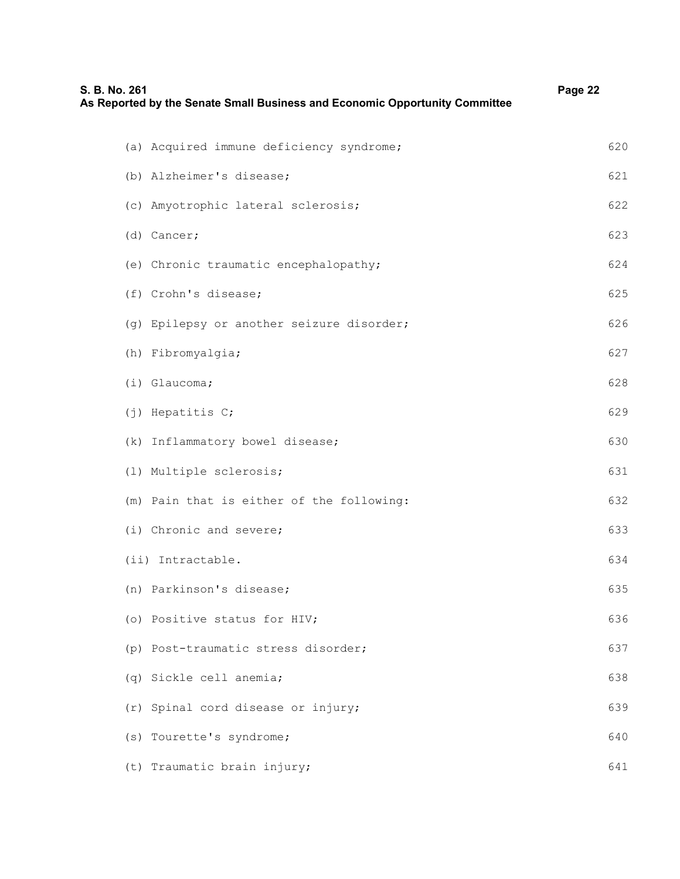| S. B. No. 261                         | As Reported by the Senate Small Business and Economic Opportunity Committee | Page 22 |
|---------------------------------------|-----------------------------------------------------------------------------|---------|
|                                       | (a) Acquired immune deficiency syndrome;                                    | 620     |
| (b) Alzheimer's disease;              |                                                                             | 621     |
| (c) Amyotrophic lateral sclerosis;    |                                                                             | 622     |
| (d) Cancer;                           |                                                                             | 623     |
| (e) Chronic traumatic encephalopathy; |                                                                             | 624     |
| (f) Crohn's disease;                  |                                                                             | 625     |
|                                       | (g) Epilepsy or another seizure disorder;                                   | 626     |
| (h) Fibromyalgia;                     |                                                                             | 627     |
| (i) Glaucoma;                         |                                                                             | 628     |
| (j) Hepatitis C;                      |                                                                             | 629     |
| (k) Inflammatory bowel disease;       |                                                                             | 630     |
| (1) Multiple sclerosis;               |                                                                             | 631     |
|                                       | (m) Pain that is either of the following:                                   | 632     |
| (i) Chronic and severe;               |                                                                             | 633     |
| (ii) Intractable.                     |                                                                             | 634     |
| (n) Parkinson's disease;              |                                                                             | 635     |
| (o) Positive status for HIV;          |                                                                             | 636     |
| (p) Post-traumatic stress disorder;   |                                                                             | 637     |
| (q) Sickle cell anemia;               |                                                                             | 638     |
| (r) Spinal cord disease or injury;    |                                                                             | 639     |
| (s) Tourette's syndrome;              |                                                                             | 640     |
| (t) Traumatic brain injury;           |                                                                             | 641     |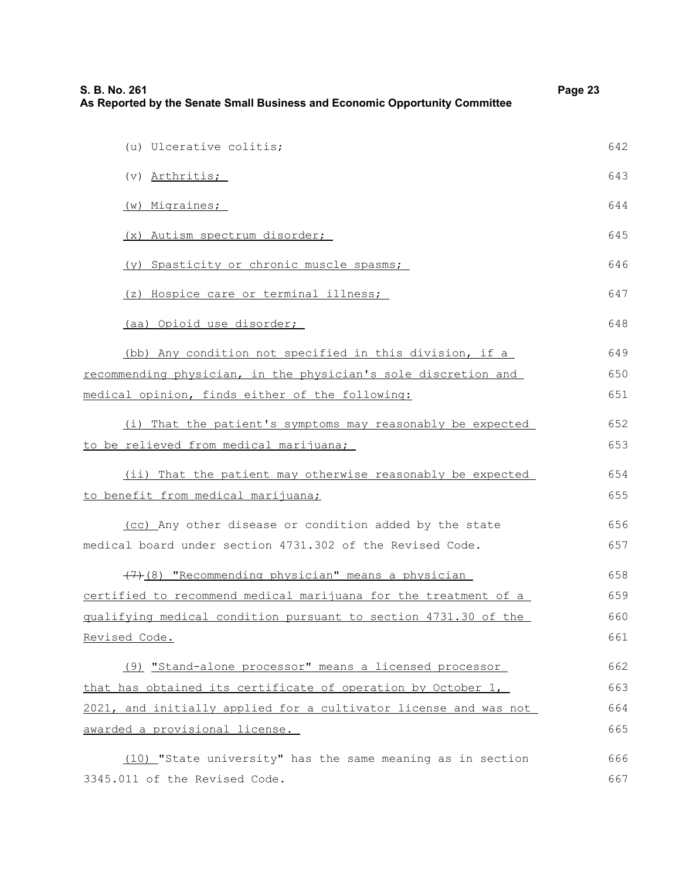| S. B. No. 261<br>As Reported by the Senate Small Business and Economic Opportunity Committee |     |
|----------------------------------------------------------------------------------------------|-----|
| (u) Ulcerative colitis;                                                                      | 642 |
| (v) Arthritis;                                                                               | 643 |
| (w) Migraines;                                                                               | 644 |
| (x) Autism spectrum disorder;                                                                | 645 |
| (y) Spasticity or chronic muscle spasms;                                                     | 646 |
| (z) Hospice care or terminal illness;                                                        | 647 |
|                                                                                              |     |
| (aa) Opioid use disorder;                                                                    | 648 |
| (bb) Any condition not specified in this division, if a                                      | 649 |
| recommending physician, in the physician's sole discretion and                               | 650 |
| medical opinion, finds either of the following:                                              | 651 |
| (i) That the patient's symptoms may reasonably be expected                                   | 652 |
| to be relieved from medical marijuana;                                                       | 653 |
| (ii) That the patient may otherwise reasonably be expected                                   | 654 |
| to benefit from medical marijuana;                                                           | 655 |
| (cc) Any other disease or condition added by the state                                       | 656 |
| medical board under section 4731.302 of the Revised Code.                                    | 657 |
| (7) (8) "Recommending physician" means a physician                                           | 658 |
| certified to recommend medical marijuana for the treatment of a                              | 659 |
| gualifying medical condition pursuant to section 4731.30 of the                              | 660 |
| Revised Code.                                                                                | 661 |
| (9) "Stand-alone processor" means a licensed processor                                       | 662 |
| that has obtained its certificate of operation by October 1,                                 | 663 |
| 2021, and initially applied for a cultivator license and was not                             | 664 |
| awarded a provisional license.                                                               | 665 |
| (10) "State university" has the same meaning as in section                                   | 666 |
| 3345.011 of the Revised Code.                                                                | 667 |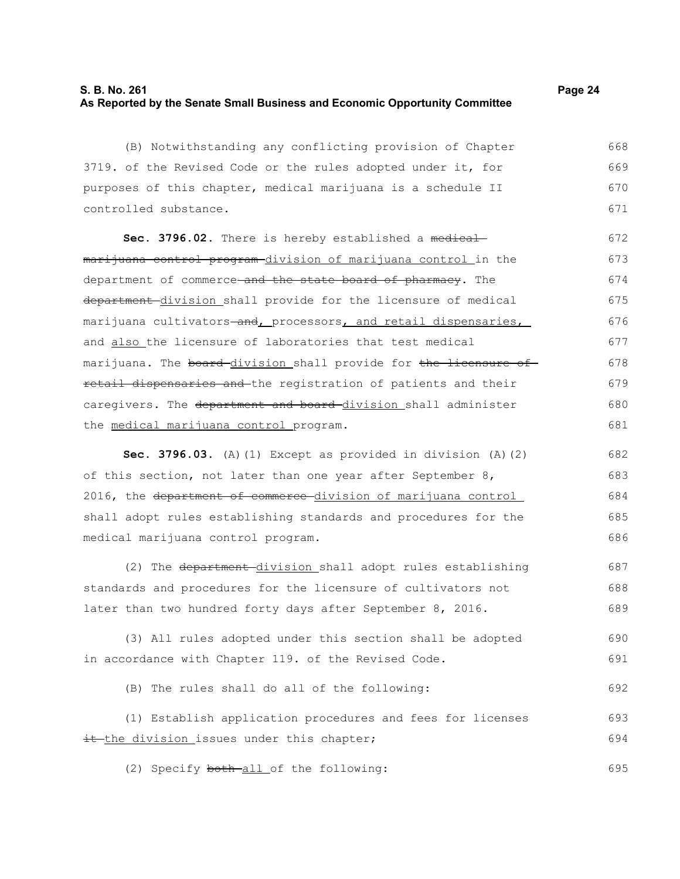## **S. B. No. 261 Page 24 As Reported by the Senate Small Business and Economic Opportunity Committee**

(B) Notwithstanding any conflicting provision of Chapter 3719. of the Revised Code or the rules adopted under it, for purposes of this chapter, medical marijuana is a schedule II controlled substance.

Sec. 3796.02. There is hereby established a medicalmarijuana control program-division of marijuana control in the department of commerce-and the state board of pharmacy. The department division shall provide for the licensure of medical marijuana cultivators-and, processors, and retail dispensaries, and also the licensure of laboratories that test medical marijuana. The board-division shall provide for the licensure ofretail dispensaries and the registration of patients and their caregivers. The department and board-division shall administer the medical marijuana control program. 672 673 674 675 676 677 678 679 680 681

**Sec. 3796.03.** (A)(1) Except as provided in division (A)(2) of this section, not later than one year after September 8, 2016, the department of commerce division of marijuana control shall adopt rules establishing standards and procedures for the medical marijuana control program. 682 683 684 685 686

(2) The department division shall adopt rules establishing standards and procedures for the licensure of cultivators not later than two hundred forty days after September 8, 2016. 687 688 689

(3) All rules adopted under this section shall be adopted in accordance with Chapter 119. of the Revised Code. 690 691

(B) The rules shall do all of the following: 692

(1) Establish application procedures and fees for licenses it the division issues under this chapter; 693 694

(2) Specify both-all of the following: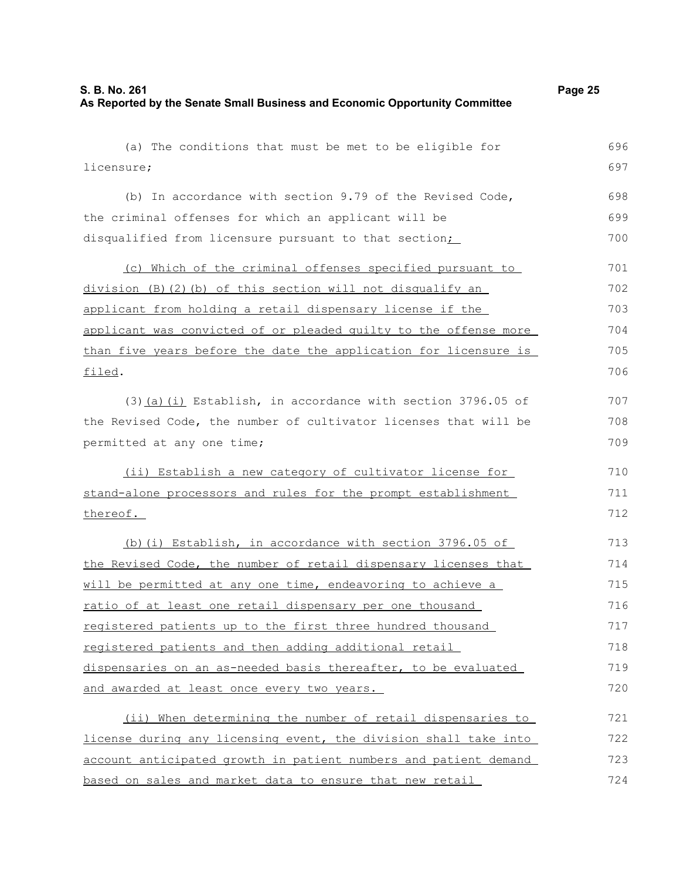disqualified from licensure pursuant to that section;

licensure;

(a) The conditions that must be met to be eligible for (b) In accordance with section 9.79 of the Revised Code, the criminal offenses for which an applicant will be

(c) Which of the criminal offenses specified pursuant to division (B)(2)(b) of this section will not disqualify an applicant from holding a retail dispensary license if the applicant was convicted of or pleaded guilty to the offense more than five years before the date the application for licensure is filed. 701 702 703 704 705 706

(3)(a)(i) Establish, in accordance with section 3796.05 of the Revised Code, the number of cultivator licenses that will be permitted at any one time;

(ii) Establish a new category of cultivator license for stand-alone processors and rules for the prompt establishment thereof.

(b)(i) Establish, in accordance with section 3796.05 of the Revised Code, the number of retail dispensary licenses that will be permitted at any one time, endeavoring to achieve a ratio of at least one retail dispensary per one thousand registered patients up to the first three hundred thousand registered patients and then adding additional retail dispensaries on an as-needed basis thereafter, to be evaluated and awarded at least once every two years. 713 714 715 716 717 718 719 720

(ii) When determining the number of retail dispensaries to license during any licensing event, the division shall take into account anticipated growth in patient numbers and patient demand based on sales and market data to ensure that new retail 721 722 723 724

696 697

698 699 700

707 708 709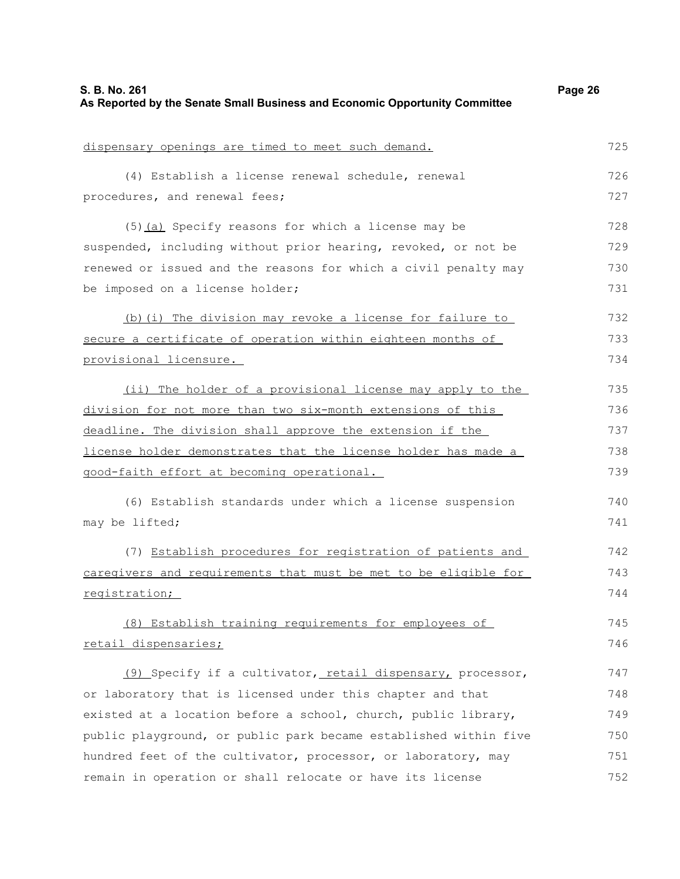| S. B. No. 261<br>As Reported by the Senate Small Business and Economic Opportunity Committee | Page 26 |
|----------------------------------------------------------------------------------------------|---------|
| dispensary openings are timed to meet such demand.                                           | 725     |
| (4) Establish a license renewal schedule, renewal                                            | 726     |
| procedures, and renewal fees;                                                                | 727     |
| (5) (a) Specify reasons for which a license may be                                           | 728     |
| suspended, including without prior hearing, revoked, or not be                               | 729     |
| renewed or issued and the reasons for which a civil penalty may                              | 730     |
| be imposed on a license holder;                                                              | 731     |
| (b) (i) The division may revoke a license for failure to                                     | 732     |
| secure a certificate of operation within eighteen months of                                  | 733     |
| provisional licensure.                                                                       | 734     |
| (ii) The holder of a provisional license may apply to the                                    | 735     |
| division for not more than two six-month extensions of this                                  | 736     |
| deadline. The division shall approve the extension if the                                    | 737     |
| license holder demonstrates that the license holder has made a                               | 738     |
| good-faith effort at becoming operational.                                                   | 739     |
| (6) Establish standards under which a license suspension                                     | 740     |
| may be lifted;                                                                               | 741     |
| (7) Establish procedures for registration of patients and                                    | 742     |
| caregivers and requirements that must be met to be eligible for                              | 743     |
| registration;                                                                                | 744     |
| (8) Establish training requirements for employees of                                         | 745     |
| retail dispensaries;                                                                         | 746     |
| (9) Specify if a cultivator, retail dispensary, processor,                                   | 747     |
| or laboratory that is licensed under this chapter and that                                   | 748     |
| existed at a location before a school, church, public library,                               | 749     |
| public playground, or public park became established within five                             | 750     |
| hundred feet of the cultivator, processor, or laboratory, may                                | 751     |
| remain in operation or shall relocate or have its license                                    | 752     |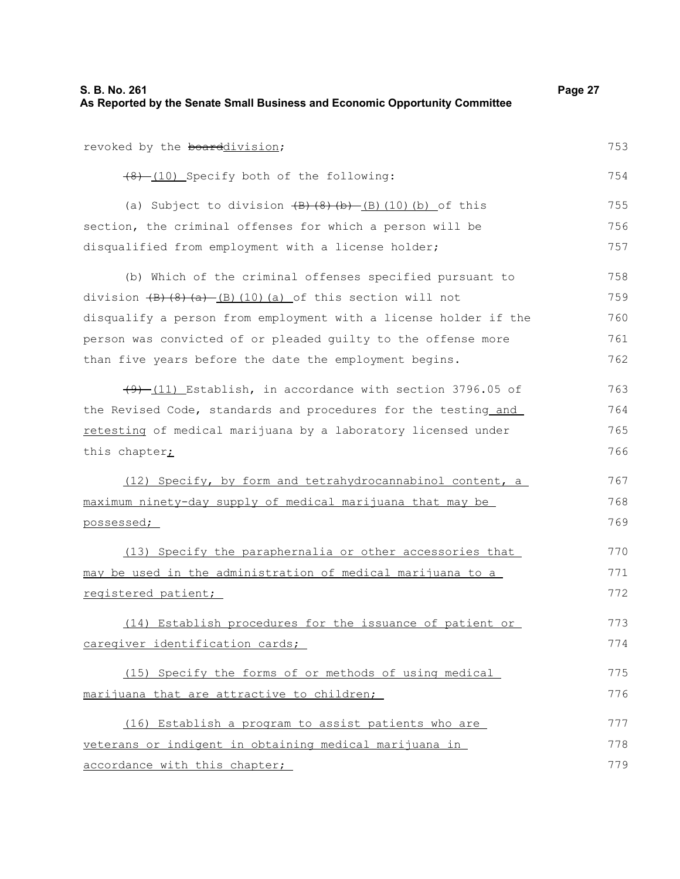| S. B. No. 261<br>As Reported by the Senate Small Business and Economic Opportunity Committee      | Page 27 |
|---------------------------------------------------------------------------------------------------|---------|
|                                                                                                   |         |
| revoked by the boarddivision;                                                                     | 753     |
| (8) (10) Specify both of the following:                                                           | 754     |
| (a) Subject to division $(B)$ $(8)$ $(b)$ $(B)$ $(10)$ $(b)$ of this                              | 755     |
| section, the criminal offenses for which a person will be                                         | 756     |
| disqualified from employment with a license holder;                                               | 757     |
| (b) Which of the criminal offenses specified pursuant to                                          | 758     |
| division $\left(\frac{B}{B}\right)\left(\frac{C}{A}\right)$ (B) (10) (a) of this section will not | 759     |
| disqualify a person from employment with a license holder if the                                  | 760     |
| person was convicted of or pleaded quilty to the offense more                                     | 761     |
| than five years before the date the employment begins.                                            | 762     |
| $(9)$ (11) Establish, in accordance with section 3796.05 of                                       | 763     |
| the Revised Code, standards and procedures for the testing and                                    | 764     |
| retesting of medical marijuana by a laboratory licensed under                                     | 765     |
| this chapter <sub>i</sub>                                                                         | 766     |
| (12) Specify, by form and tetrahydrocannabinol content, a                                         | 767     |
| maximum ninety-day supply of medical marijuana that may be                                        | 768     |
| possessed;                                                                                        | 769     |
| (13) Specify the paraphernalia or other accessories that                                          | 770     |
| may be used in the administration of medical marijuana to a                                       | 771     |
| registered patient;                                                                               | 772     |
| (14) Establish procedures for the issuance of patient or                                          | 773     |
| caregiver identification cards;                                                                   | 774     |
| (15) Specify the forms of or methods of using medical                                             | 775     |
| marijuana that are attractive to children;                                                        | 776     |
| (16) Establish a program to assist patients who are                                               | 777     |
| veterans or indigent in obtaining medical marijuana in                                            | 778     |
| accordance with this chapter;                                                                     | 779     |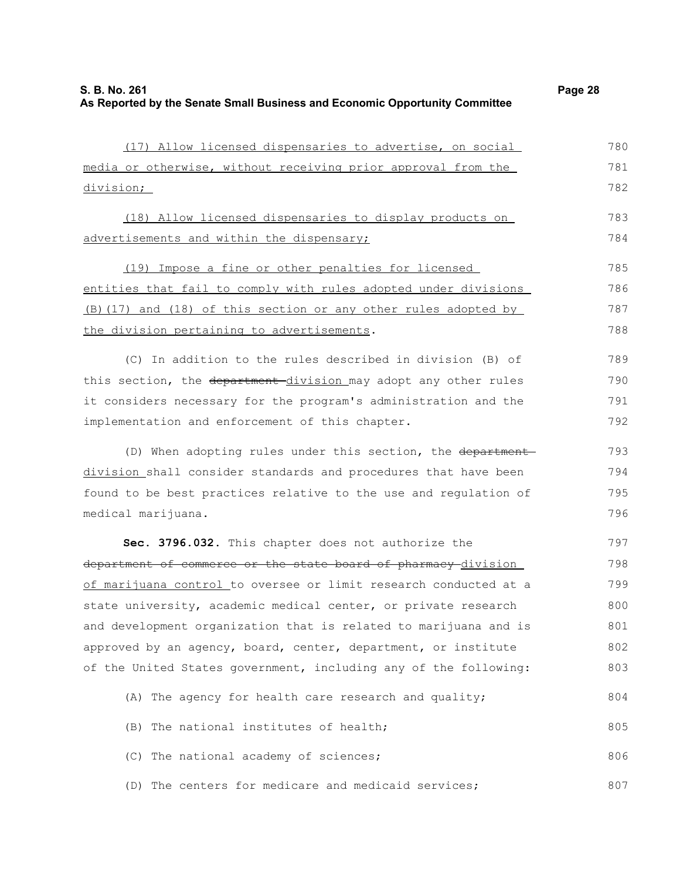| (17) Allow licensed dispensaries to advertise, on social         | 780 |
|------------------------------------------------------------------|-----|
| media or otherwise, without receiving prior approval from the    | 781 |
| division;                                                        | 782 |
| (18) Allow licensed dispensaries to display products on          | 783 |
| advertisements and within the dispensary;                        | 784 |
| (19) Impose a fine or other penalties for licensed               | 785 |
| entities that fail to comply with rules adopted under divisions  | 786 |
| (B) (17) and (18) of this section or any other rules adopted by  | 787 |
| the division pertaining to advertisements.                       | 788 |
| (C) In addition to the rules described in division (B) of        | 789 |
| this section, the department-division may adopt any other rules  | 790 |
| it considers necessary for the program's administration and the  | 791 |
| implementation and enforcement of this chapter.                  | 792 |
| (D) When adopting rules under this section, the department       | 793 |
| division shall consider standards and procedures that have been  | 794 |
| found to be best practices relative to the use and regulation of | 795 |
| medical marijuana.                                               | 796 |
| Sec. 3796.032. This chapter does not authorize the               | 797 |
| department of commerce or the state board of pharmacy division   | 798 |
| of marijuana control to oversee or limit research conducted at a | 799 |
| state university, academic medical center, or private research   | 800 |
| and development organization that is related to marijuana and is | 801 |
| approved by an agency, board, center, department, or institute   | 802 |
| of the United States government, including any of the following: | 803 |
| (A) The agency for health care research and quality;             | 804 |
| (B) The national institutes of health;                           | 805 |
| (C) The national academy of sciences;                            | 806 |
| (D) The centers for medicare and medicaid services;              | 807 |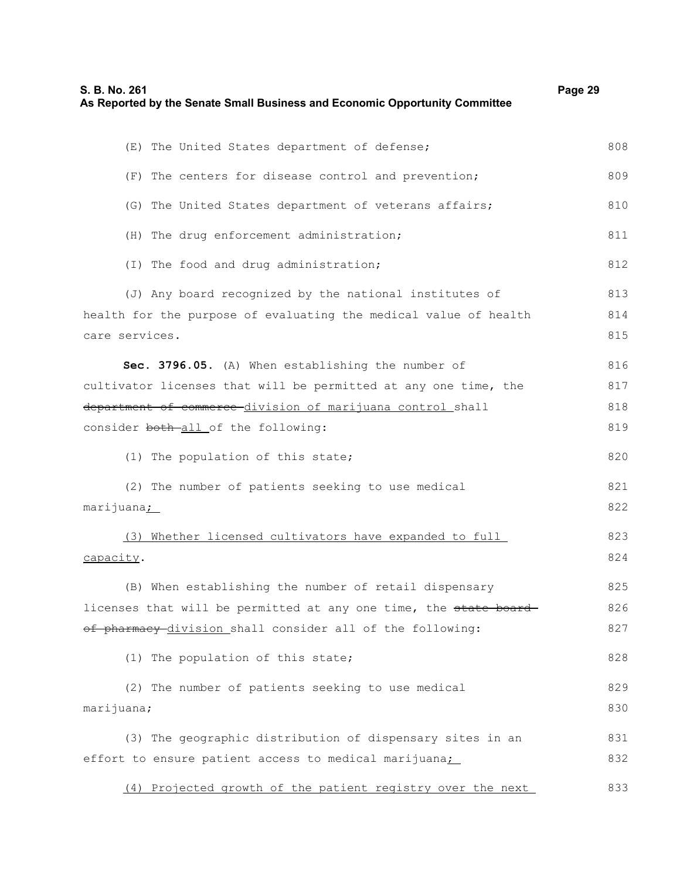| S. B. No. 261<br>As Reported by the Senate Small Business and Economic Opportunity Committee | Page 29 |
|----------------------------------------------------------------------------------------------|---------|
| (E) The United States department of defense;                                                 | 808     |
| (F) The centers for disease control and prevention;                                          | 809     |
| (G) The United States department of veterans affairs;                                        | 810     |
| (H) The drug enforcement administration;                                                     | 811     |
| (I) The food and drug administration;                                                        | 812     |
| (J) Any board recognized by the national institutes of                                       | 813     |
| health for the purpose of evaluating the medical value of health                             | 814     |
| care services.                                                                               | 815     |
| Sec. 3796.05. (A) When establishing the number of                                            | 816     |
| cultivator licenses that will be permitted at any one time, the                              | 817     |
| department of commerce division of marijuana control shall                                   | 818     |
| consider both-all of the following:                                                          | 819     |
| (1) The population of this state;                                                            | 820     |
| (2) The number of patients seeking to use medical                                            | 821     |
| marijuana;                                                                                   | 822     |
| (3) Whether licensed cultivators have expanded to full                                       | 823     |
| capacity.                                                                                    | 824     |
| (B) When establishing the number of retail dispensary                                        | 825     |
| licenses that will be permitted at any one time, the state board-                            | 826     |
| of pharmacy division shall consider all of the following:                                    | 827     |
| (1) The population of this state;                                                            | 828     |
| (2) The number of patients seeking to use medical                                            | 829     |
| marijuana;                                                                                   | 830     |
| (3) The geographic distribution of dispensary sites in an                                    | 831     |
| effort to ensure patient access to medical marijuana:                                        | 832     |
| (4) Projected growth of the patient registry over the next                                   | 833     |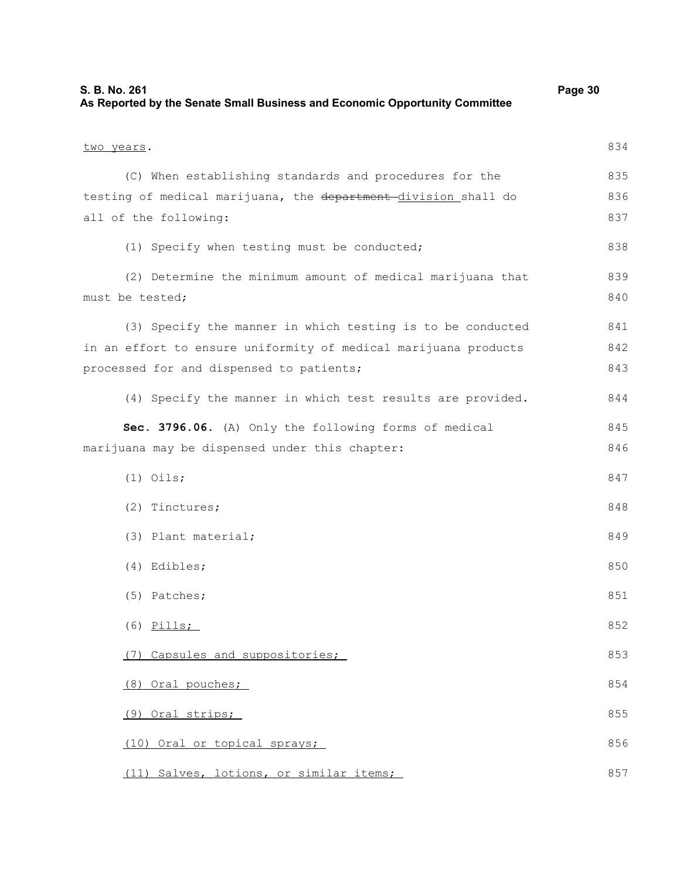| S. B. No. 261<br>As Reported by the Senate Small Business and Economic Opportunity Committee | Page 30 |
|----------------------------------------------------------------------------------------------|---------|
| two years.                                                                                   | 834     |
| (C) When establishing standards and procedures for the                                       | 835     |
| testing of medical marijuana, the department division shall do                               | 836     |
| all of the following:                                                                        | 837     |
| (1) Specify when testing must be conducted;                                                  | 838     |
| (2) Determine the minimum amount of medical marijuana that                                   | 839     |
| must be tested;                                                                              | 840     |
| (3) Specify the manner in which testing is to be conducted                                   | 841     |
| in an effort to ensure uniformity of medical marijuana products                              | 842     |
| processed for and dispensed to patients;                                                     | 843     |
| (4) Specify the manner in which test results are provided.                                   | 844     |
| Sec. 3796.06. (A) Only the following forms of medical                                        | 845     |
| marijuana may be dispensed under this chapter:                                               | 846     |
| $(1)$ Oils;                                                                                  | 847     |
| $(2)$ Tinctures;                                                                             | 848     |
| (3) Plant material;                                                                          | 849     |
| (4) Edibles;                                                                                 | 850     |
| (5) Patches;                                                                                 | 851     |
| $(6)$ Pills;                                                                                 | 852     |
| (7) Capsules and suppositories;                                                              | 853     |
| (8) Oral pouches;                                                                            | 854     |
| (9) Oral strips;                                                                             | 855     |
| (10) Oral or topical sprays;                                                                 | 856     |
| (11) Salves, lotions, or similar items;                                                      | 857     |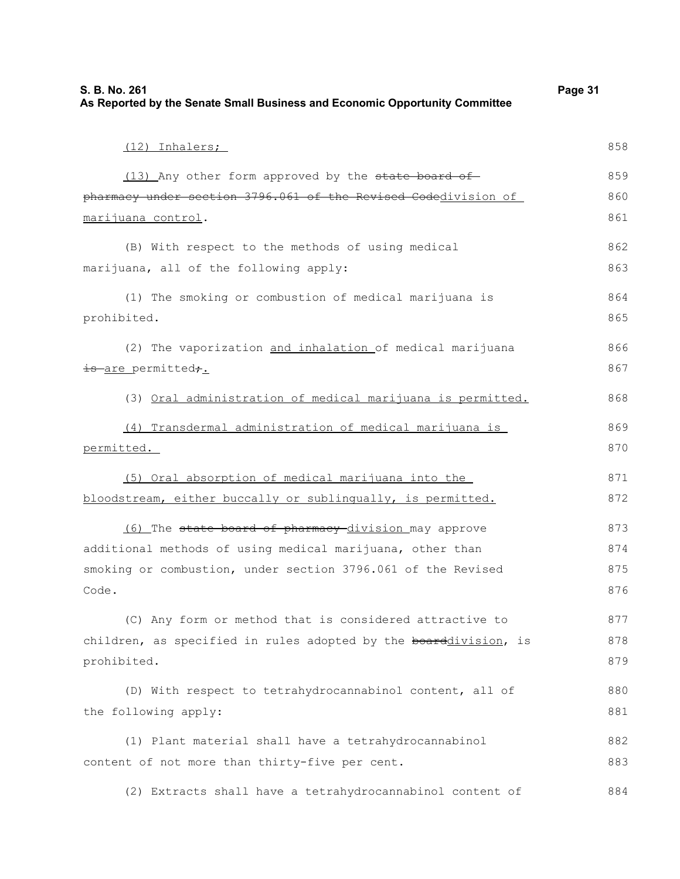| S. B. No. 261<br>As Reported by the Senate Small Business and Economic Opportunity Committee |     |
|----------------------------------------------------------------------------------------------|-----|
| (12) Inhalers;                                                                               | 858 |
| (13) Any other form approved by the state board of                                           | 859 |
| pharmacy under section 3796.061 of the Revised Codedivision of                               | 860 |
| marijuana control.                                                                           | 861 |
| (B) With respect to the methods of using medical                                             | 862 |
| marijuana, all of the following apply:                                                       | 863 |
| (1) The smoking or combustion of medical marijuana is                                        | 864 |
| prohibited.                                                                                  | 865 |
| (2) The vaporization and inhalation of medical marijuana                                     | 866 |
| is are permitted,.                                                                           | 867 |
| (3) Oral administration of medical marijuana is permitted.                                   | 868 |
| (4) Transdermal administration of medical marijuana is                                       | 869 |
| permitted.                                                                                   | 870 |
| (5) Oral absorption of medical marijuana into the                                            | 871 |
| bloodstream, either buccally or sublingually, is permitted.                                  | 872 |
| (6) The state board of pharmacy division may approve                                         | 873 |
| additional methods of using medical marijuana, other than                                    | 874 |
| smoking or combustion, under section 3796.061 of the Revised                                 | 875 |
| Code.                                                                                        | 876 |
| (C) Any form or method that is considered attractive to                                      | 877 |
| children, as specified in rules adopted by the boarddivision, is                             | 878 |
| prohibited.                                                                                  | 879 |
| (D) With respect to tetrahydrocannabinol content, all of                                     | 880 |
| the following apply:                                                                         | 881 |
| (1) Plant material shall have a tetrahydrocannabinol                                         | 882 |
| content of not more than thirty-five per cent.                                               | 883 |
|                                                                                              |     |

(2) Extracts shall have a tetrahydrocannabinol content of 884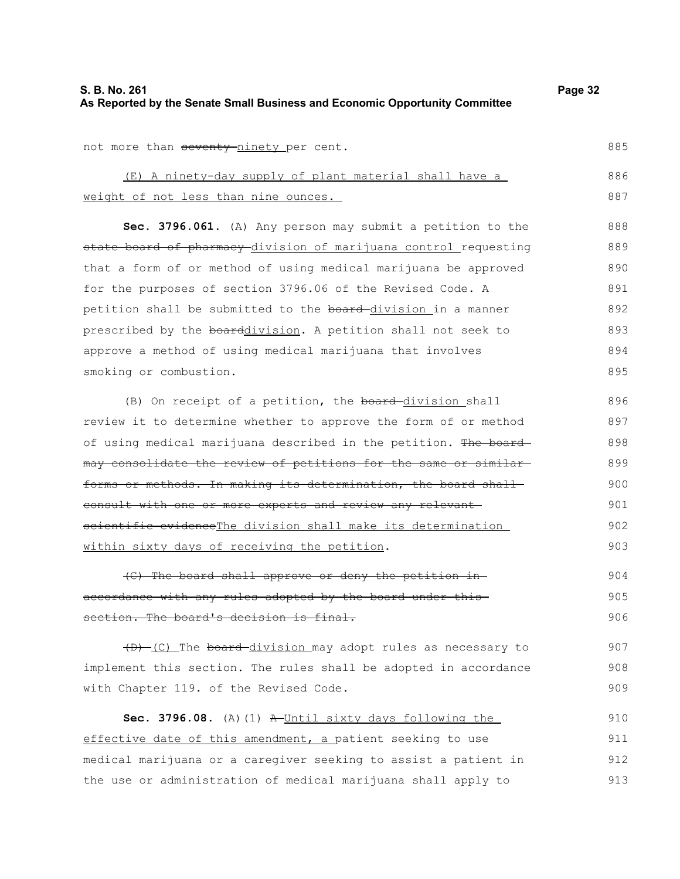| S. B. No. 261                                                               | Page 32 |
|-----------------------------------------------------------------------------|---------|
| As Reported by the Senate Small Business and Economic Opportunity Committee |         |

not more than seventy-ninety per cent.

(E) A ninety-day supply of plant material shall have a weight of not less than nine ounces. 886 887

**Sec. 3796.061.** (A) Any person may submit a petition to the state board of pharmacy division of marijuana control requesting that a form of or method of using medical marijuana be approved for the purposes of section 3796.06 of the Revised Code. A petition shall be submitted to the board-division in a manner prescribed by the boarddivision. A petition shall not seek to approve a method of using medical marijuana that involves smoking or combustion. 888 889 890 891 892 893 894 895

(B) On receipt of a petition, the board-division shall review it to determine whether to approve the form of or method of using medical marijuana described in the petition. The board may consolidate the review of petitions for the same or similar forms or methods. In making its determination, the board shallconsult with one or more experts and review any relevant scientific evidenceThe division shall make its determination within sixty days of receiving the petition. 896 897 898 899 900 901

(C) The board shall approve or deny the petition in accordance with any rules adopted by the board under this section. The board's decision is final. 904 905 906

(D) (C) The board division may adopt rules as necessary to implement this section. The rules shall be adopted in accordance with Chapter 119. of the Revised Code. 907

Sec. 3796.08. (A)(1) A Until sixty days following the effective date of this amendment, a patient seeking to use medical marijuana or a caregiver seeking to assist a patient in the use or administration of medical marijuana shall apply to 910 911 912 913

885

902 903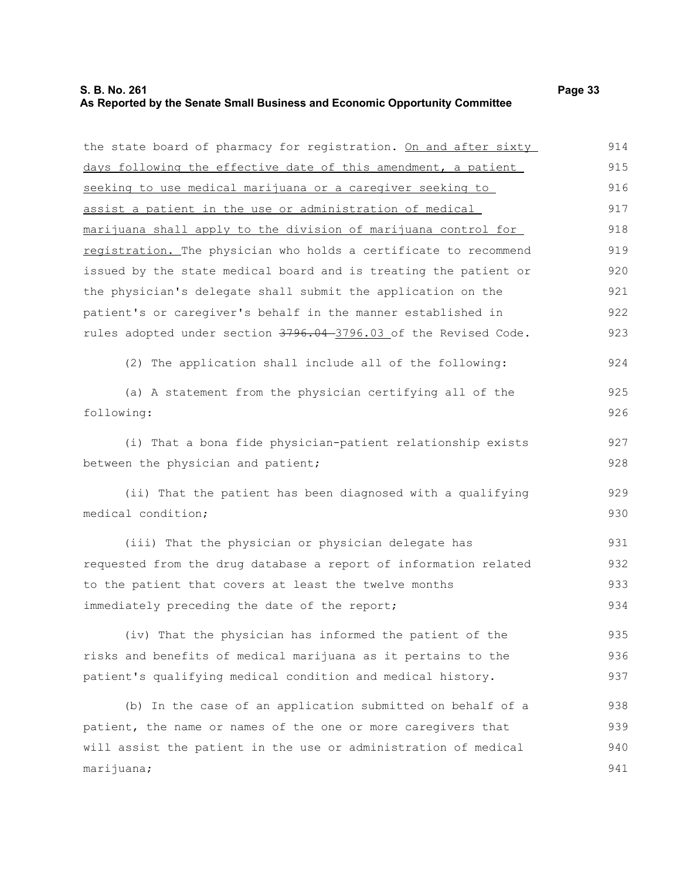## **S. B. No. 261 Page 33 As Reported by the Senate Small Business and Economic Opportunity Committee**

| the state board of pharmacy for registration. On and after sixty | 914 |
|------------------------------------------------------------------|-----|
| days following the effective date of this amendment, a patient   | 915 |
| seeking to use medical marijuana or a caregiver seeking to       | 916 |
| assist a patient in the use or administration of medical         | 917 |
| marijuana shall apply to the division of marijuana control for   | 918 |
| registration. The physician who holds a certificate to recommend | 919 |
| issued by the state medical board and is treating the patient or | 920 |
| the physician's delegate shall submit the application on the     | 921 |
| patient's or caregiver's behalf in the manner established in     | 922 |
| rules adopted under section 3796.04-3796.03 of the Revised Code. | 923 |
| (2) The application shall include all of the following:          | 924 |
| (a) A statement from the physician certifying all of the         | 925 |
| following:                                                       | 926 |
| (i) That a bona fide physician-patient relationship exists       | 927 |
| between the physician and patient;                               | 928 |
| (ii) That the patient has been diagnosed with a qualifying       | 929 |
| medical condition;                                               | 930 |
| (iii) That the physician or physician delegate has               | 931 |
| requested from the drug database a report of information related | 932 |
| to the patient that covers at least the twelve months            | 933 |
| immediately preceding the date of the report;                    | 934 |
| (iv) That the physician has informed the patient of the          | 935 |
| risks and benefits of medical marijuana as it pertains to the    | 936 |
| patient's qualifying medical condition and medical history.      | 937 |
| (b) In the case of an application submitted on behalf of a       | 938 |
| patient, the name or names of the one or more caregivers that    | 939 |
| will assist the patient in the use or administration of medical  | 940 |
| marijuana;                                                       | 941 |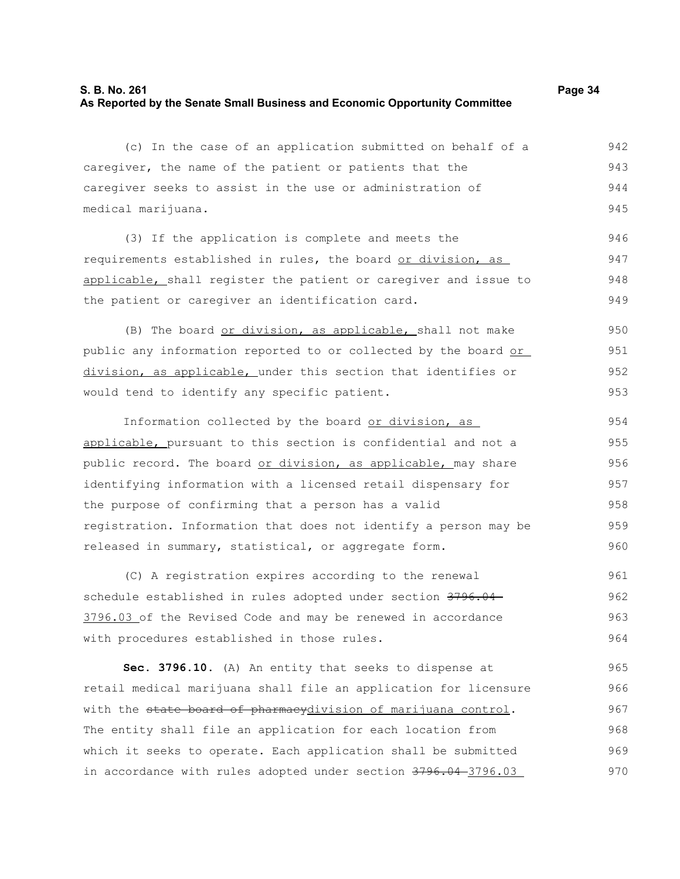(c) In the case of an application submitted on behalf of a caregiver, the name of the patient or patients that the caregiver seeks to assist in the use or administration of medical marijuana. 942 943 944 945

(3) If the application is complete and meets the requirements established in rules, the board or division, as applicable, shall register the patient or caregiver and issue to the patient or caregiver an identification card. 946 947 948 949

(B) The board or division, as applicable, shall not make public any information reported to or collected by the board or division, as applicable, under this section that identifies or would tend to identify any specific patient. 950 951 952 953

Information collected by the board or division, as applicable, pursuant to this section is confidential and not a public record. The board or division, as applicable, may share identifying information with a licensed retail dispensary for the purpose of confirming that a person has a valid registration. Information that does not identify a person may be released in summary, statistical, or aggregate form. 954 955 956 957 958 959 960

(C) A registration expires according to the renewal schedule established in rules adopted under section 3796.04 3796.03 of the Revised Code and may be renewed in accordance with procedures established in those rules. 961 962 963 964

**Sec. 3796.10.** (A) An entity that seeks to dispense at retail medical marijuana shall file an application for licensure with the state board of pharmacydivision of marijuana control. The entity shall file an application for each location from which it seeks to operate. Each application shall be submitted in accordance with rules adopted under section 3796.04-3796.03 965 966 967 968 969 970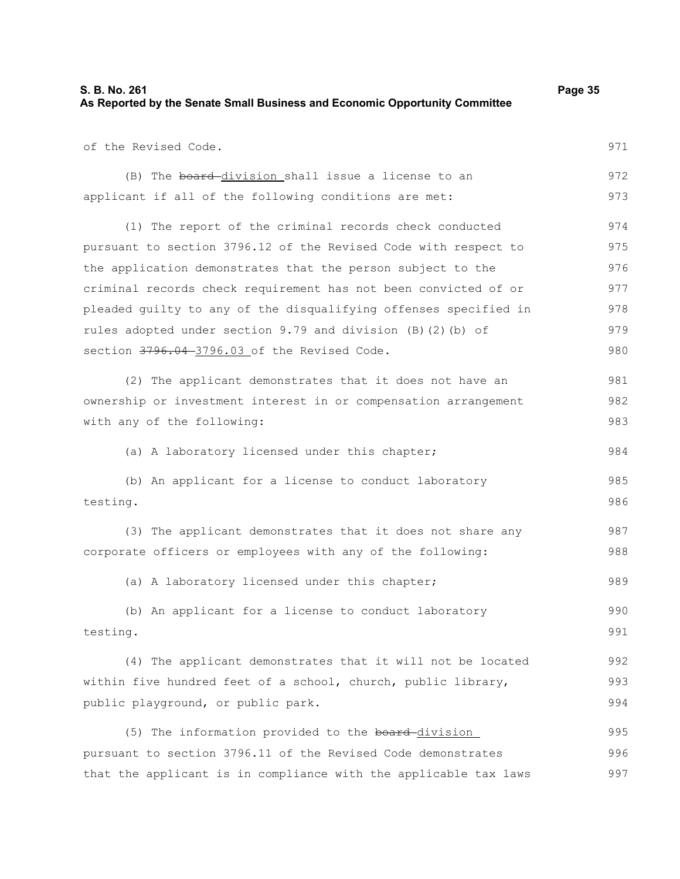| of the Revised Code.                                             | 971 |
|------------------------------------------------------------------|-----|
| (B) The board-division shall issue a license to an               | 972 |
| applicant if all of the following conditions are met:            | 973 |
| (1) The report of the criminal records check conducted           | 974 |
| pursuant to section 3796.12 of the Revised Code with respect to  | 975 |
| the application demonstrates that the person subject to the      | 976 |
| criminal records check requirement has not been convicted of or  | 977 |
| pleaded guilty to any of the disqualifying offenses specified in | 978 |
| rules adopted under section 9.79 and division (B) (2) (b) of     | 979 |
| section 3796.04-3796.03 of the Revised Code.                     | 980 |
| (2) The applicant demonstrates that it does not have an          | 981 |
| ownership or investment interest in or compensation arrangement  | 982 |
| with any of the following:                                       | 983 |
| (a) A laboratory licensed under this chapter;                    | 984 |
| (b) An applicant for a license to conduct laboratory             | 985 |
| testing.                                                         | 986 |
| (3) The applicant demonstrates that it does not share any        | 987 |
| corporate officers or employees with any of the following:       | 988 |
| (a) A laboratory licensed under this chapter;                    | 989 |
| (b) An applicant for a license to conduct laboratory             | 990 |
| testing.                                                         | 991 |
| (4) The applicant demonstrates that it will not be located       | 992 |
| within five hundred feet of a school, church, public library,    | 993 |
| public playground, or public park.                               | 994 |
| (5) The information provided to the board-division               | 995 |
| pursuant to section 3796.11 of the Revised Code demonstrates     | 996 |
| that the applicant is in compliance with the applicable tax laws | 997 |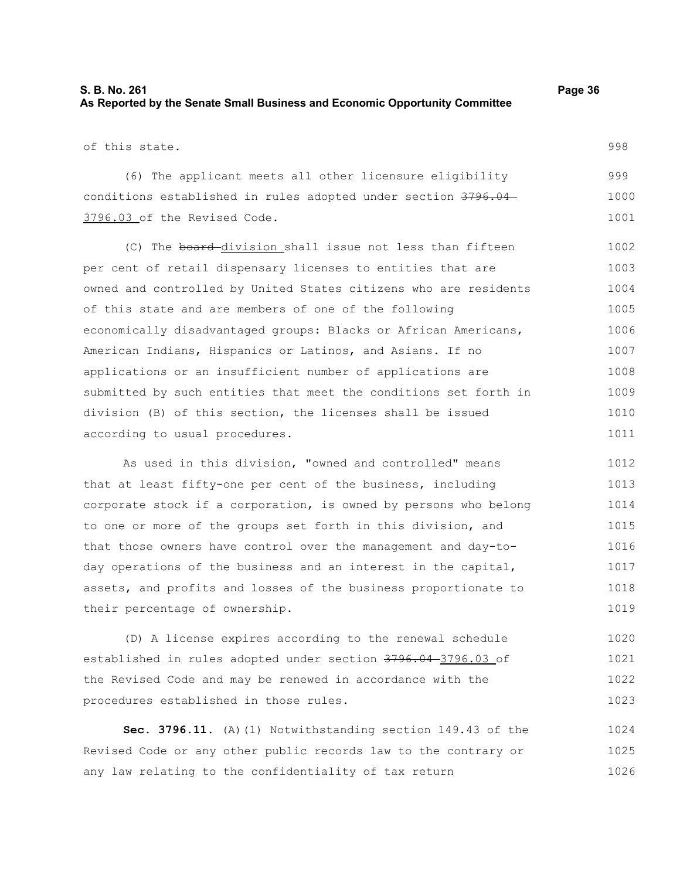## **S. B. No. 261 Page 36 As Reported by the Senate Small Business and Economic Opportunity Committee**

of this state.

(6) The applicant meets all other licensure eligibility conditions established in rules adopted under section 3796.04 3796.03 of the Revised Code. 999 1000 1001

(C) The board division shall issue not less than fifteen per cent of retail dispensary licenses to entities that are owned and controlled by United States citizens who are residents of this state and are members of one of the following economically disadvantaged groups: Blacks or African Americans, American Indians, Hispanics or Latinos, and Asians. If no applications or an insufficient number of applications are submitted by such entities that meet the conditions set forth in division (B) of this section, the licenses shall be issued according to usual procedures. 1002 1003 1004 1005 1006 1007 1008 1009 1010 1011

As used in this division, "owned and controlled" means that at least fifty-one per cent of the business, including corporate stock if a corporation, is owned by persons who belong to one or more of the groups set forth in this division, and that those owners have control over the management and day-today operations of the business and an interest in the capital, assets, and profits and losses of the business proportionate to their percentage of ownership. 1012 1013 1014 1015 1016 1017 1018 1019

(D) A license expires according to the renewal schedule established in rules adopted under section 3796.04 3796.03 of the Revised Code and may be renewed in accordance with the procedures established in those rules. 1020 1021 1022 1023

**Sec. 3796.11.** (A)(1) Notwithstanding section 149.43 of the Revised Code or any other public records law to the contrary or any law relating to the confidentiality of tax return 1024 1025 1026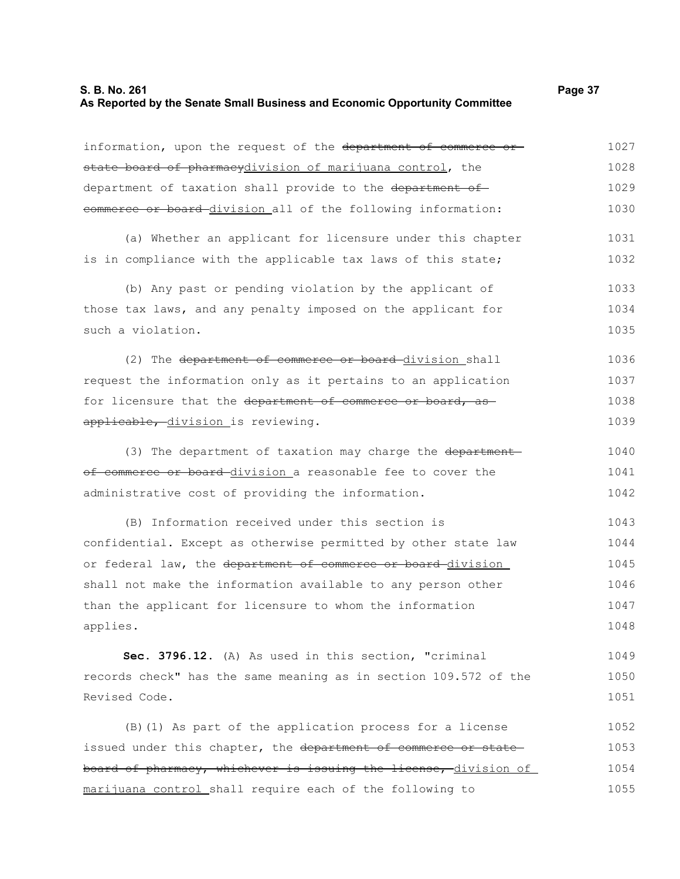## **S. B. No. 261 Page 37 As Reported by the Senate Small Business and Economic Opportunity Committee**

| information, upon the request of the department of commerce or   | 1027 |
|------------------------------------------------------------------|------|
| state board of pharmacydivision of marijuana control, the        | 1028 |
| department of taxation shall provide to the department of        | 1029 |
| commerce or board division all of the following information:     | 1030 |
| (a) Whether an applicant for licensure under this chapter        | 1031 |
| is in compliance with the applicable tax laws of this state;     | 1032 |
| (b) Any past or pending violation by the applicant of            | 1033 |
| those tax laws, and any penalty imposed on the applicant for     | 1034 |
| such a violation.                                                | 1035 |
| (2) The department of commerce or board-division shall           | 1036 |
| request the information only as it pertains to an application    | 1037 |
| for licensure that the department of commerce or board, as       | 1038 |
| applicable, division is reviewing.                               | 1039 |
| (3) The department of taxation may charge the department         | 1040 |
| of commerce or board division a reasonable fee to cover the      | 1041 |
| administrative cost of providing the information.                | 1042 |
| (B) Information received under this section is                   | 1043 |
| confidential. Except as otherwise permitted by other state law   | 1044 |
| or federal law, the department of commerce or board-division     | 1045 |
| shall not make the information available to any person other     | 1046 |
| than the applicant for licensure to whom the information         | 1047 |
| applies.                                                         | 1048 |
| Sec. 3796.12. (A) As used in this section, "criminal             | 1049 |
| records check" has the same meaning as in section 109.572 of the | 1050 |
| Revised Code.                                                    | 1051 |
| (B) (1) As part of the application process for a license         | 1052 |
| issued under this chapter, the department of commerce or state   | 1053 |
| board of pharmacy, whichever is issuing the license, division of | 1054 |
| marijuana control shall require each of the following to         | 1055 |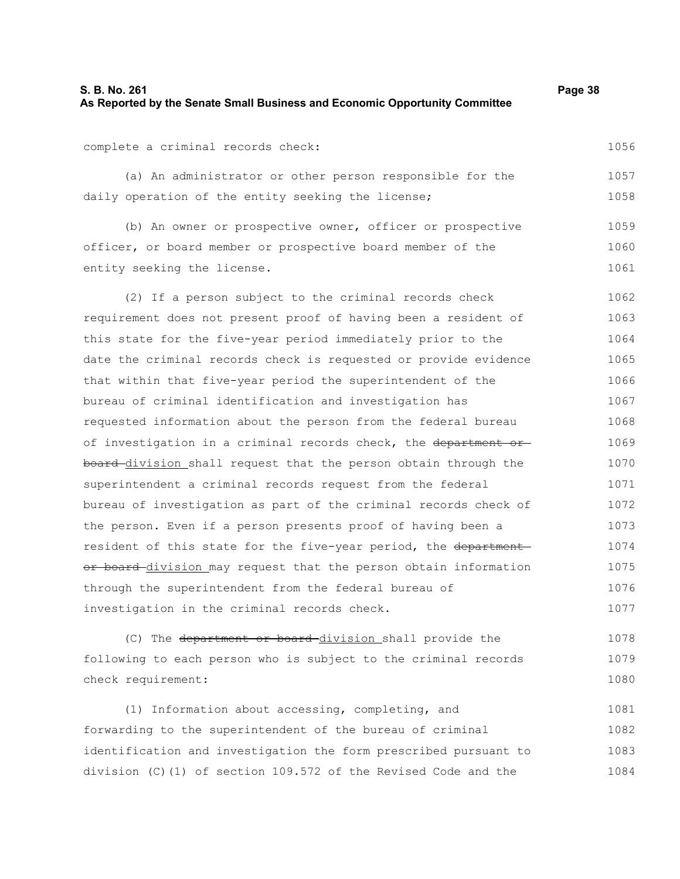complete a criminal records check:

(a) An administrator or other person responsible for the daily operation of the entity seeking the license; 1057 1058

(b) An owner or prospective owner, officer or prospective officer, or board member or prospective board member of the entity seeking the license. 1059 1060 1061

(2) If a person subject to the criminal records check requirement does not present proof of having been a resident of this state for the five-year period immediately prior to the date the criminal records check is requested or provide evidence that within that five-year period the superintendent of the bureau of criminal identification and investigation has requested information about the person from the federal bureau of investigation in a criminal records check, the department or board division shall request that the person obtain through the superintendent a criminal records request from the federal bureau of investigation as part of the criminal records check of the person. Even if a person presents proof of having been a resident of this state for the five-year period, the department or board division may request that the person obtain information through the superintendent from the federal bureau of investigation in the criminal records check. 1062 1063 1064 1065 1066 1067 1068 1069 1070 1071 1072 1073 1074 1075 1076 1077

(C) The department or board division shall provide the following to each person who is subject to the criminal records check requirement: 1078 1079 1080

(1) Information about accessing, completing, and forwarding to the superintendent of the bureau of criminal identification and investigation the form prescribed pursuant to division (C)(1) of section 109.572 of the Revised Code and the 1081 1082 1083 1084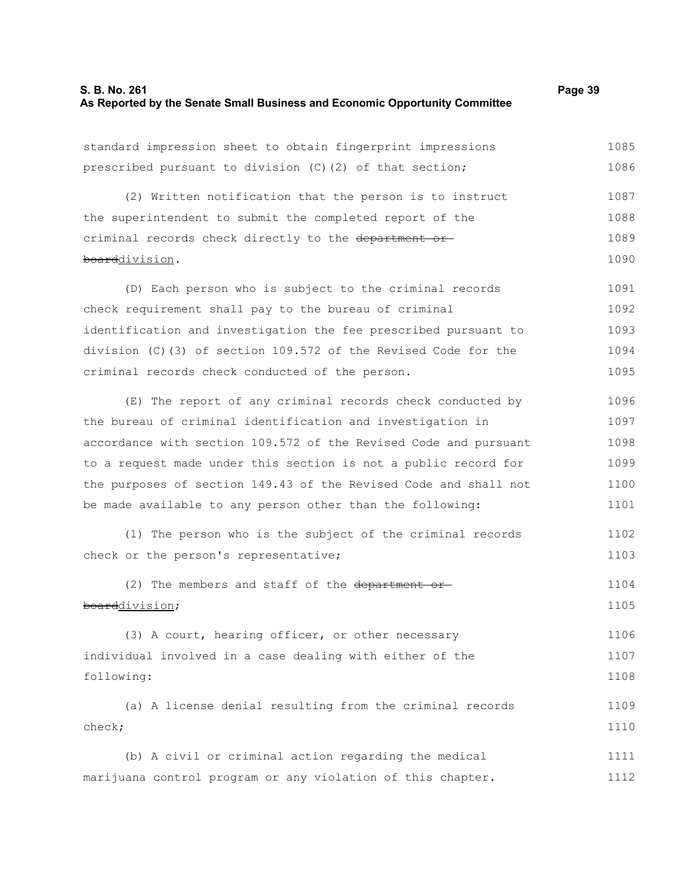## **S. B. No. 261 Page 39 As Reported by the Senate Small Business and Economic Opportunity Committee**

standard impression sheet to obtain fingerprint impressions prescribed pursuant to division (C)(2) of that section; (2) Written notification that the person is to instruct the superintendent to submit the completed report of the criminal records check directly to the department orboarddivision. (D) Each person who is subject to the criminal records check requirement shall pay to the bureau of criminal identification and investigation the fee prescribed pursuant to division (C)(3) of section 109.572 of the Revised Code for the criminal records check conducted of the person. (E) The report of any criminal records check conducted by 1086 1087 1088 1089 1090 1091 1092 1093 1094 1095 1096

the bureau of criminal identification and investigation in accordance with section 109.572 of the Revised Code and pursuant to a request made under this section is not a public record for the purposes of section 149.43 of the Revised Code and shall not be made available to any person other than the following: 1097 1098 1099 1100 1101

(1) The person who is the subject of the criminal records check or the person's representative; 1102 1103

(2) The members and staff of the department or boarddivision; 1104 1105

(3) A court, hearing officer, or other necessary individual involved in a case dealing with either of the following: 1106 1107 1108

(a) A license denial resulting from the criminal records check; 1109 1110

(b) A civil or criminal action regarding the medical marijuana control program or any violation of this chapter. 1111 1112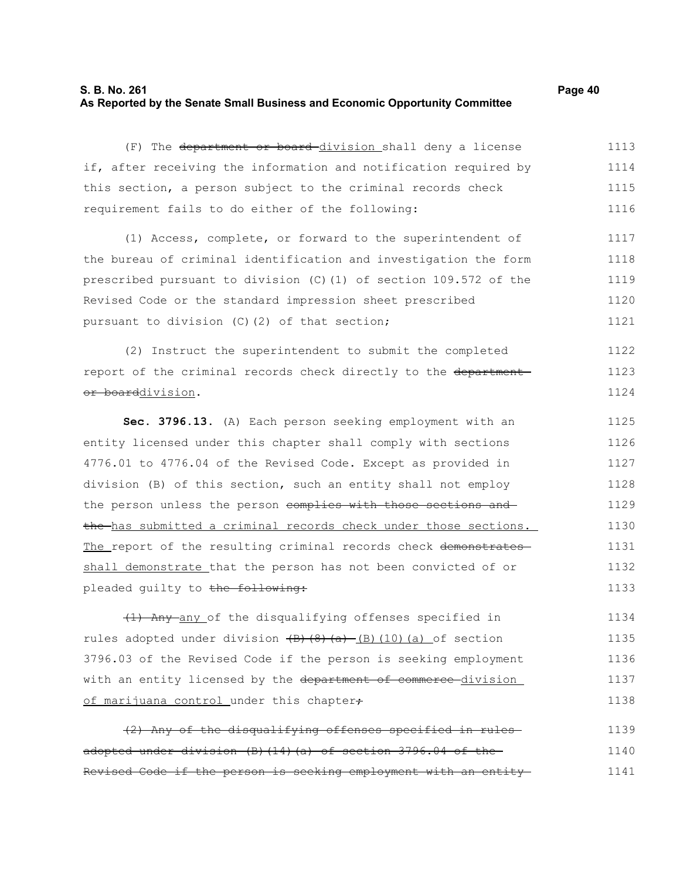## **S. B. No. 261 Page 40 As Reported by the Senate Small Business and Economic Opportunity Committee**

(F) The department or board division shall deny a license if, after receiving the information and notification required by this section, a person subject to the criminal records check requirement fails to do either of the following: 1113 1114 1115 1116

(1) Access, complete, or forward to the superintendent of the bureau of criminal identification and investigation the form prescribed pursuant to division (C)(1) of section 109.572 of the Revised Code or the standard impression sheet prescribed pursuant to division (C)(2) of that section; 1117 1118 1119 1120 1121

(2) Instruct the superintendent to submit the completed report of the criminal records check directly to the department or boarddivision. 1122 1123 1124

**Sec. 3796.13.** (A) Each person seeking employment with an entity licensed under this chapter shall comply with sections 4776.01 to 4776.04 of the Revised Code. Except as provided in division (B) of this section, such an entity shall not employ the person unless the person complies with those sections and the has submitted a criminal records check under those sections. The report of the resulting criminal records check demonstrates shall demonstrate that the person has not been convicted of or pleaded guilty to the following: 1125 1126 1127 1128 1129 1130 1131 1132 1133

(1) Any any of the disqualifying offenses specified in rules adopted under division  $\{B\}(\{8\},\{a\})$  (B)(10)(a) of section 3796.03 of the Revised Code if the person is seeking employment with an entity licensed by the department of commerce-division of marijuana control under this chapter+ 1134 1135 1136 1137 1138

(2) Any of the disqualifying offenses specified in rules adopted under division (B)(14)(a) of section 3796.04 of the Revised Code if the person is seeking employment with an entity 1139 1140 1141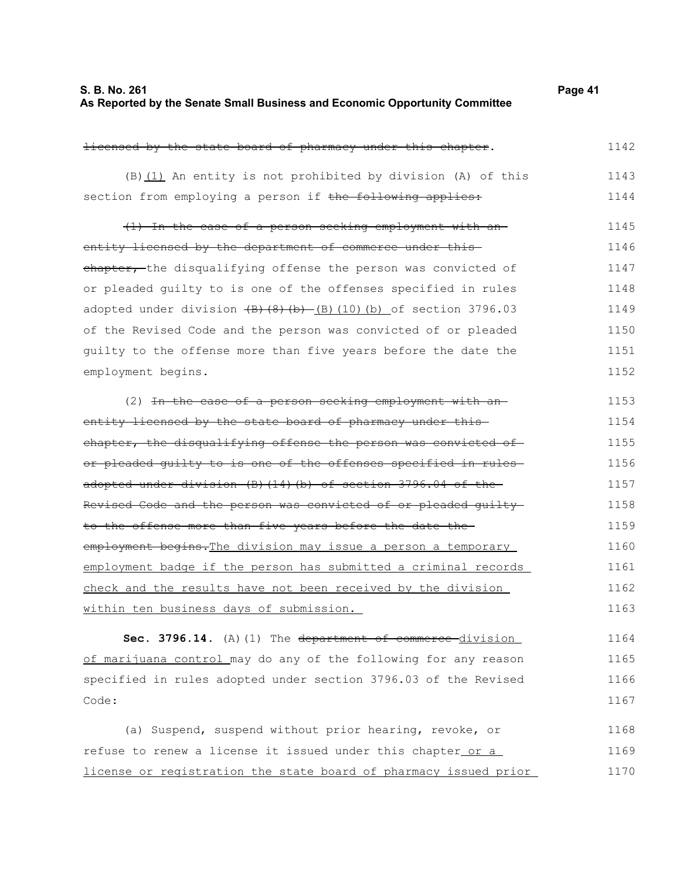| S. B. No. 261                                                               | Page 41 |
|-----------------------------------------------------------------------------|---------|
| As Reported by the Senate Small Business and Economic Opportunity Committee |         |

| licensed by the state board of pharmacy under this chapter.            | 1142 |
|------------------------------------------------------------------------|------|
| (B) (1) An entity is not prohibited by division (A) of this            | 1143 |
| section from employing a person if the following applies:              | 1144 |
| (1) In the case of a person seeking employment with an-                | 1145 |
| entity licensed by the department of commerce under this-              | 1146 |
| chapter, the disqualifying offense the person was convicted of         | 1147 |
| or pleaded quilty to is one of the offenses specified in rules         | 1148 |
| adopted under division $(B) (8) (b) - (B) (10) (b)$ of section 3796.03 | 1149 |
| of the Revised Code and the person was convicted of or pleaded         | 1150 |
| quilty to the offense more than five years before the date the         | 1151 |
| employment begins.                                                     | 1152 |
| (2) In the case of a person seeking employment with an-                | 1153 |
| entity licensed by the state board of pharmacy under this-             | 1154 |
| chapter, the disqualifying offense the person was convicted of         | 1155 |
| or pleaded quilty to is one of the offenses specified in rules-        | 1156 |
| adopted under division (B) (14) (b) of section 3796.04 of the          | 1157 |
| Revised Code and the person was convicted of or pleaded quilty-        | 1158 |
| to the offense more than five years before the date the-               | 1159 |
| employment begins. The division may issue a person a temporary         | 1160 |
| employment badge if the person has submitted a criminal records        | 1161 |
| check and the results have not been received by the division           | 1162 |
| within ten business days of submission.                                | 1163 |
| Sec. 3796.14. (A) (1) The department of commerce division              | 1164 |
| of marijuana control may do any of the following for any reason        | 1165 |
| specified in rules adopted under section 3796.03 of the Revised        | 1166 |
| Code:                                                                  | 1167 |
| (a) Suspend, suspend without prior hearing, revoke, or                 | 1168 |
| refuse to renew a license it issued under this chapter or a            | 1169 |
| license or registration the state board of pharmacy issued prior       | 1170 |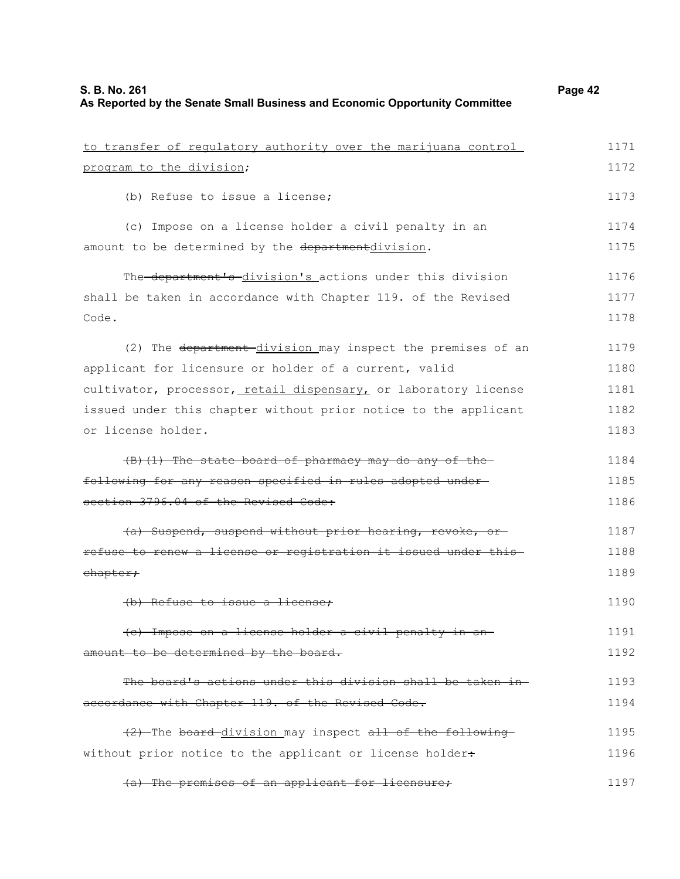| to transfer of regulatory authority over the marijuana control  | 1171 |
|-----------------------------------------------------------------|------|
|                                                                 |      |
| program to the division;                                        | 1172 |
| (b) Refuse to issue a license;                                  | 1173 |
| (c) Impose on a license holder a civil penalty in an            | 1174 |
| amount to be determined by the departmentdivision.              | 1175 |
| The-department's-division's actions under this division         | 1176 |
| shall be taken in accordance with Chapter 119. of the Revised   | 1177 |
| Code.                                                           | 1178 |
| (2) The department division may inspect the premises of an      | 1179 |
| applicant for licensure or holder of a current, valid           | 1180 |
| cultivator, processor, retail dispensary, or laboratory license | 1181 |
| issued under this chapter without prior notice to the applicant | 1182 |
| or license holder.                                              | 1183 |
| (B) (1) The state board of pharmacy may do any of the           | 1184 |
| following for any reason specified in rules adopted under-      | 1185 |
| section 3796.04 of the Revised Code:                            | 1186 |
| (a) Suspend, suspend without prior hearing, revoke, or-         | 1187 |
| refuse to renew a license or registration it issued under this- | 1188 |
| chapter;                                                        | 1189 |
| (b) Refuse to issue a license;                                  | 1190 |
| (c) Impose on a license holder a civil penalty in an-           | 1191 |
| amount to be determined by the board.                           | 1192 |
| The board's actions under this division shall be taken in-      | 1193 |
| accordance with Chapter 119. of the Revised Code.               | 1194 |
| (2) The board division may inspect all of the following         | 1195 |
| without prior notice to the applicant or license holder+        | 1196 |
| (a) The premises of an applicant for licensure;                 | 1197 |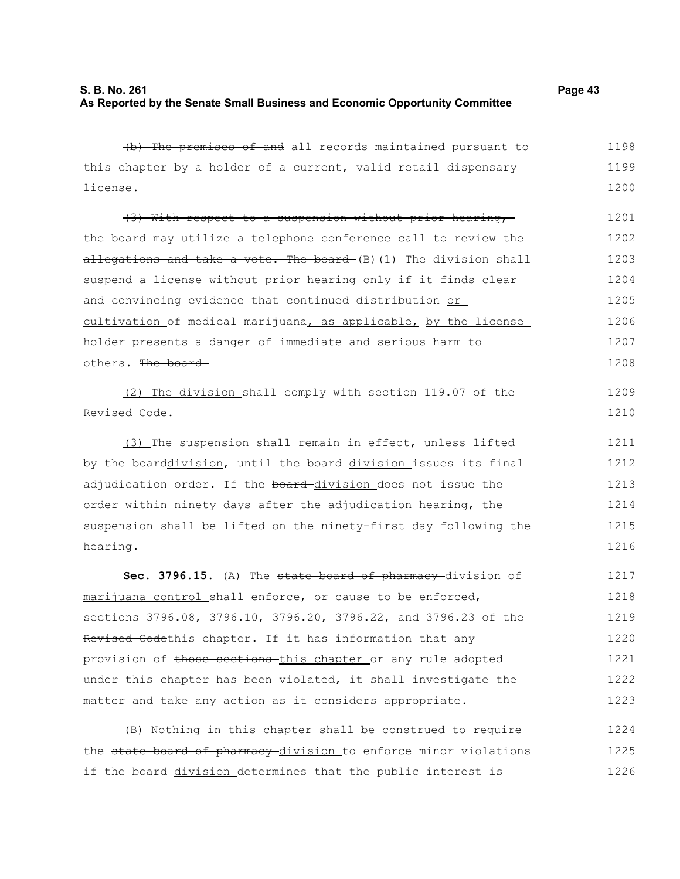1226

(b) The premises of and all records maintained pursuant to this chapter by a holder of a current, valid retail dispensary license. (3) With respect to a suspension without prior hearing, the board may utilize a telephone conference call to review the allegations and take a vote. The board  $(B)$  (1) The division shall suspend a license without prior hearing only if it finds clear and convincing evidence that continued distribution or cultivation of medical marijuana, as applicable, by the license holder presents a danger of immediate and serious harm to others. The board (2) The division shall comply with section 119.07 of the Revised Code. (3) The suspension shall remain in effect, unless lifted by the boarddivision, until the board-division issues its final adjudication order. If the board-division does not issue the order within ninety days after the adjudication hearing, the suspension shall be lifted on the ninety-first day following the hearing. **Sec. 3796.15.** (A) The state board of pharmacy division of marijuana control shall enforce, or cause to be enforced, sections 3796.08, 3796.10, 3796.20, 3796.22, and 3796.23 of the-Revised Codethis chapter. If it has information that any provision of those sections this chapter or any rule adopted under this chapter has been violated, it shall investigate the matter and take any action as it considers appropriate. (B) Nothing in this chapter shall be construed to require the state board of pharmacy division to enforce minor violations 1198 1199 1200 1201 1202 1203 1204 1205 1206 1207 1208 1209 1210 1211 1212 1213 1214 1215 1216 1217 1218 1219 1220 1221 1222 1223 1224 1225

if the board-division determines that the public interest is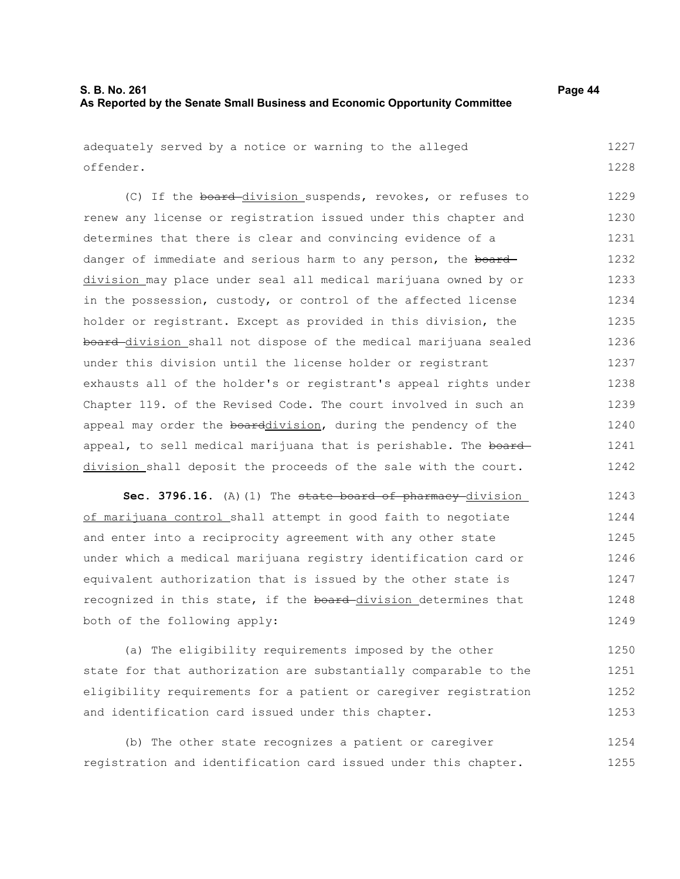adequately served by a notice or warning to the alleged offender. 1227 1228

(C) If the board division suspends, revokes, or refuses to renew any license or registration issued under this chapter and determines that there is clear and convincing evidence of a danger of immediate and serious harm to any person, the board division may place under seal all medical marijuana owned by or in the possession, custody, or control of the affected license holder or registrant. Except as provided in this division, the board division shall not dispose of the medical marijuana sealed under this division until the license holder or registrant exhausts all of the holder's or registrant's appeal rights under Chapter 119. of the Revised Code. The court involved in such an appeal may order the boarddivision, during the pendency of the appeal, to sell medical marijuana that is perishable. The board division shall deposit the proceeds of the sale with the court. 1229 1230 1231 1232 1233 1234 1235 1236 1237 1238 1239 1240 1241 1242

**Sec. 3796.16.** (A)(1) The state board of pharmacy division of marijuana control shall attempt in good faith to negotiate and enter into a reciprocity agreement with any other state under which a medical marijuana registry identification card or equivalent authorization that is issued by the other state is recognized in this state, if the board-division determines that both of the following apply: 1243 1244 1245 1246 1247 1248 1249

(a) The eligibility requirements imposed by the other state for that authorization are substantially comparable to the eligibility requirements for a patient or caregiver registration and identification card issued under this chapter. 1250 1251 1252 1253

(b) The other state recognizes a patient or caregiver registration and identification card issued under this chapter. 1254 1255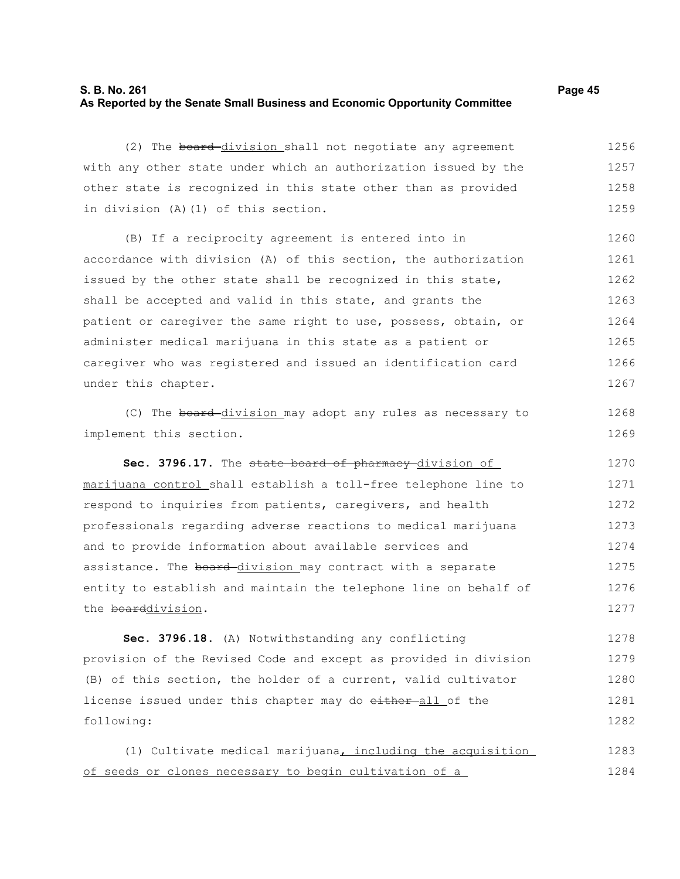## **S. B. No. 261 Page 45 As Reported by the Senate Small Business and Economic Opportunity Committee**

(2) The board-division shall not negotiate any agreement with any other state under which an authorization issued by the other state is recognized in this state other than as provided in division (A)(1) of this section. 1256 1257 1258 1259

(B) If a reciprocity agreement is entered into in accordance with division (A) of this section, the authorization issued by the other state shall be recognized in this state, shall be accepted and valid in this state, and grants the patient or caregiver the same right to use, possess, obtain, or administer medical marijuana in this state as a patient or caregiver who was registered and issued an identification card under this chapter. 1260 1261 1262 1263 1264 1265 1266 1267

(C) The board division may adopt any rules as necessary to implement this section.

Sec. 3796.17. The state board of pharmacy division of marijuana control shall establish a toll-free telephone line to respond to inquiries from patients, caregivers, and health professionals regarding adverse reactions to medical marijuana and to provide information about available services and assistance. The board-division may contract with a separate entity to establish and maintain the telephone line on behalf of the boarddivision. 1270 1271 1272 1273 1274 1275 1276 1277

**Sec. 3796.18.** (A) Notwithstanding any conflicting provision of the Revised Code and except as provided in division (B) of this section, the holder of a current, valid cultivator license issued under this chapter may do either-all of the following: 1278 1279 1280 1281 1282

(1) Cultivate medical marijuana, including the acquisition of seeds or clones necessary to begin cultivation of a 1283 1284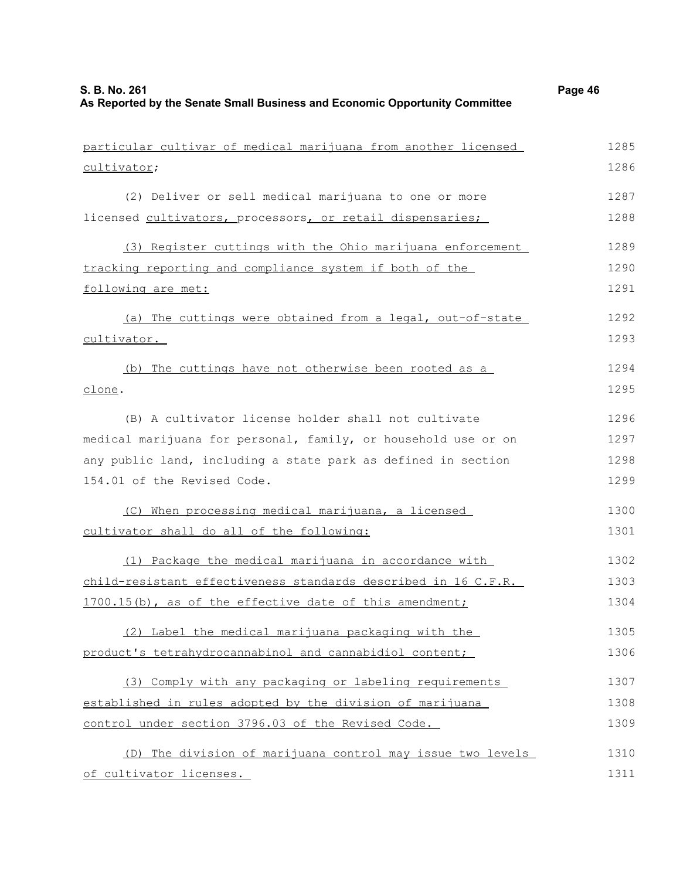| particular cultivar of medical marijuana from another licensed | 1285 |
|----------------------------------------------------------------|------|
| cultivator;                                                    | 1286 |
| (2) Deliver or sell medical marijuana to one or more           | 1287 |
| licensed cultivators, processors, or retail dispensaries;      | 1288 |
| (3) Register cuttings with the Ohio marijuana enforcement      | 1289 |
| tracking reporting and compliance system if both of the        | 1290 |
| following are met:                                             | 1291 |
| (a) The cuttings were obtained from a legal, out-of-state      | 1292 |
| cultivator.                                                    | 1293 |
| (b) The cuttings have not otherwise been rooted as a           | 1294 |
| clone.                                                         | 1295 |
| (B) A cultivator license holder shall not cultivate            | 1296 |
| medical marijuana for personal, family, or household use or on | 1297 |
| any public land, including a state park as defined in section  | 1298 |
| 154.01 of the Revised Code.                                    | 1299 |
| (C) When processing medical marijuana, a licensed              | 1300 |
| cultivator shall do all of the following:                      | 1301 |
| (1) Package the medical marijuana in accordance with           | 1302 |
| child-resistant effectiveness standards described in 16 C.F.R. | 1303 |
| 1700.15(b), as of the effective date of this amendment;        | 1304 |
| (2) Label the medical marijuana packaging with the             | 1305 |
| product's tetrahydrocannabinol and cannabidiol content;        | 1306 |

(3) Comply with any packaging or labeling requirements established in rules adopted by the division of marijuana control under section 3796.03 of the Revised Code. 1307 1308 1309

(D) The division of marijuana control may issue two levels of cultivator licenses. 1310 1311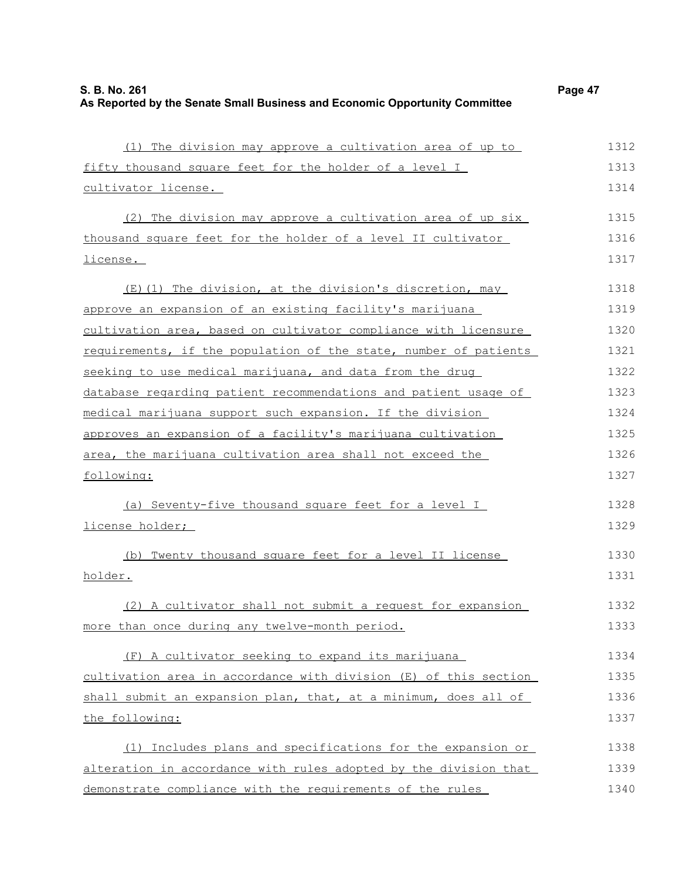| г |  |
|---|--|
|---|--|

| (1) The division may approve a cultivation area of up to         | 1312 |
|------------------------------------------------------------------|------|
| fifty thousand square feet for the holder of a level I           | 1313 |
| cultivator license.                                              | 1314 |
| (2) The division may approve a cultivation area of up six        | 1315 |
| thousand square feet for the holder of a level II cultivator     | 1316 |
| license.                                                         | 1317 |
| (E) (1) The division, at the division's discretion, may          | 1318 |
| approve an expansion of an existing facility's marijuana         | 1319 |
| cultivation area, based on cultivator compliance with licensure  | 1320 |
| requirements, if the population of the state, number of patients | 1321 |
| seeking to use medical marijuana, and data from the drug         | 1322 |
| database regarding patient recommendations and patient usage of  | 1323 |
| medical marijuana support such expansion. If the division        | 1324 |
| approves an expansion of a facility's marijuana cultivation      | 1325 |
| area, the marijuana cultivation area shall not exceed the        | 1326 |
| following:                                                       | 1327 |
| (a) Seventy-five thousand square feet for a level I              | 1328 |
| license holder;                                                  | 1329 |
| (b) Twenty thousand square feet for a level II license           | 1330 |
| holder.                                                          | 1331 |
| (2) A cultivator shall not submit a request for expansion        | 1332 |
| more than once during any twelve-month period.                   | 1333 |
| (F) A cultivator seeking to expand its marijuana                 | 1334 |
| cultivation area in accordance with division (E) of this section | 1335 |
| shall submit an expansion plan, that, at a minimum, does all of  | 1336 |
| the following:                                                   | 1337 |
| (1) Includes plans and specifications for the expansion or       | 1338 |
| alteration in accordance with rules adopted by the division that | 1339 |
| demonstrate compliance with the requirements of the rules        | 1340 |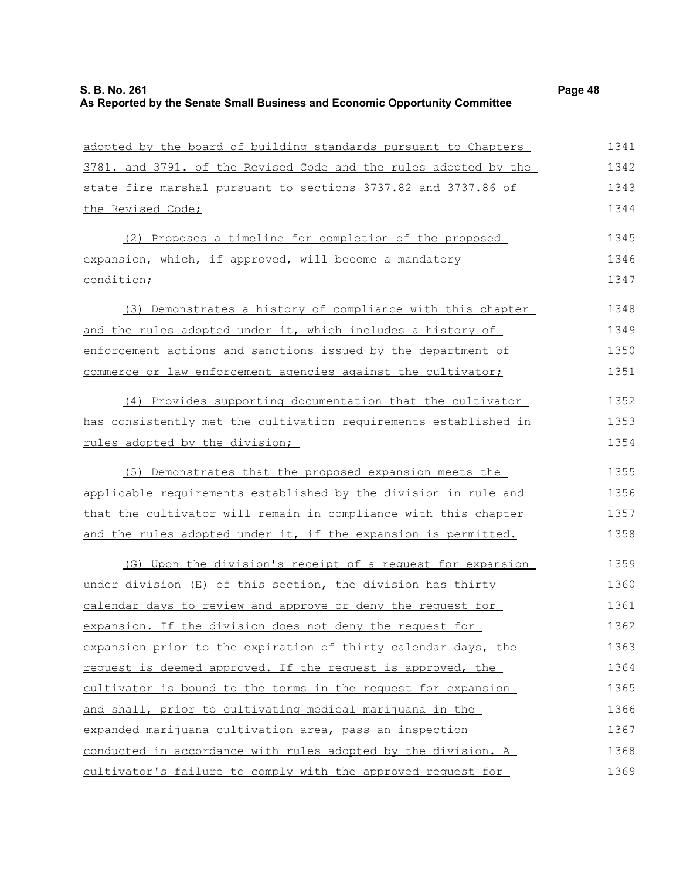| adopted by the board of building standards pursuant to Chapters  | 1341 |
|------------------------------------------------------------------|------|
| 3781. and 3791. of the Revised Code and the rules adopted by the | 1342 |
| state fire marshal pursuant to sections 3737.82 and 3737.86 of   | 1343 |
| the Revised Code;                                                | 1344 |
| (2) Proposes a timeline for completion of the proposed           | 1345 |
| expansion, which, if approved, will become a mandatory           | 1346 |
| condition;                                                       | 1347 |
| (3) Demonstrates a history of compliance with this chapter       | 1348 |
| and the rules adopted under it, which includes a history of      | 1349 |
| enforcement actions and sanctions issued by the department of    | 1350 |
| commerce or law enforcement agencies against the cultivator;     | 1351 |
| (4) Provides supporting documentation that the cultivator        | 1352 |
| has consistently met the cultivation requirements established in | 1353 |
| rules adopted by the division;                                   | 1354 |
| (5) Demonstrates that the proposed expansion meets the           | 1355 |
| applicable requirements established by the division in rule and  | 1356 |
| that the cultivator will remain in compliance with this chapter  | 1357 |
| and the rules adopted under it, if the expansion is permitted.   | 1358 |
| (G) Upon the division's receipt of a request for expansion       | 1359 |
| under division (E) of this section, the division has thirty      | 1360 |
| calendar days to review and approve or deny the request for      | 1361 |
| expansion. If the division does not deny the request for         | 1362 |
| expansion prior to the expiration of thirty calendar days, the   | 1363 |
| request is deemed approved. If the request is approved, the      | 1364 |
| cultivator is bound to the terms in the request for expansion    | 1365 |
| and shall, prior to cultivating medical marijuana in the         | 1366 |
| expanded marijuana cultivation area, pass an inspection          | 1367 |
| conducted in accordance with rules adopted by the division. A    | 1368 |
| cultivator's failure to comply with the approved request for     | 1369 |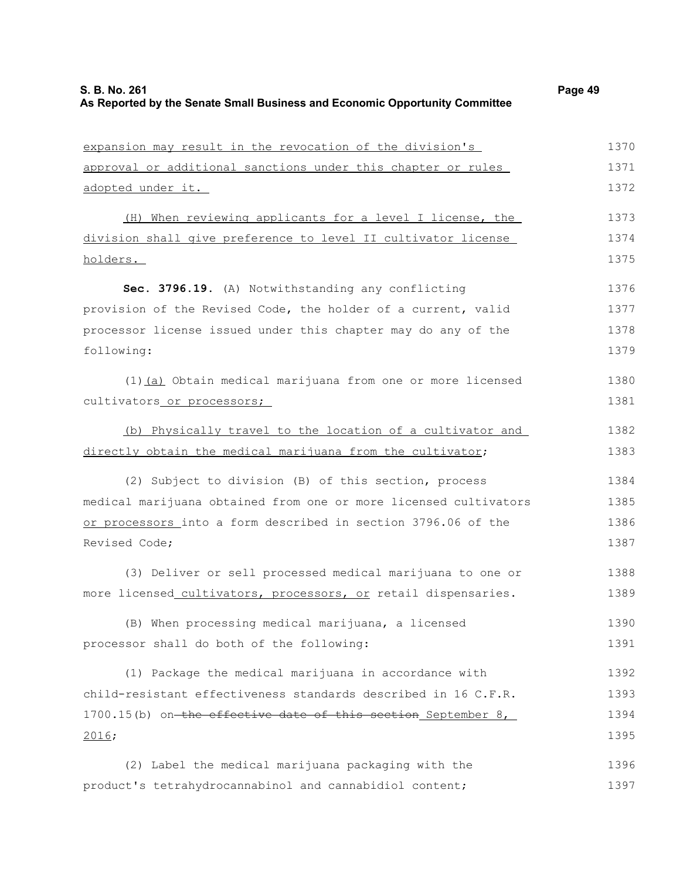expansion may result in the revocation of the division's approval or additional sanctions under this chapter or rules adopted under it. (H) When reviewing applicants for a level I license, the division shall give preference to level II cultivator license holders. **Sec. 3796.19.** (A) Notwithstanding any conflicting provision of the Revised Code, the holder of a current, valid processor license issued under this chapter may do any of the following: (1)(a) Obtain medical marijuana from one or more licensed cultivators or processors; (b) Physically travel to the location of a cultivator and directly obtain the medical marijuana from the cultivator; (2) Subject to division (B) of this section, process medical marijuana obtained from one or more licensed cultivators or processors into a form described in section 3796.06 of the Revised Code; (3) Deliver or sell processed medical marijuana to one or more licensed cultivators, processors, or retail dispensaries. (B) When processing medical marijuana, a licensed processor shall do both of the following: (1) Package the medical marijuana in accordance with child-resistant effectiveness standards described in 16 C.F.R. 1700.15(b) on the effective date of this section September 8, 2016; (2) Label the medical marijuana packaging with the product's tetrahydrocannabinol and cannabidiol content; 1370 1371 1372 1373 1374 1375 1376 1377 1378 1379 1380 1381 1382 1383 1384 1385 1386 1387 1388 1389 1390 1391 1392 1393 1394 1395 1396 1397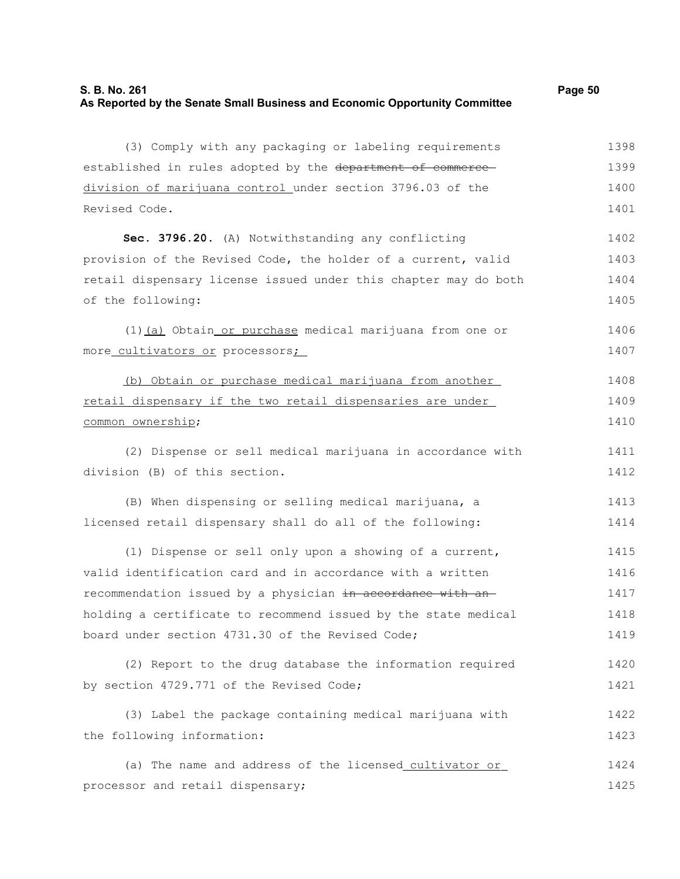Revised Code.

(3) Comply with any packaging or labeling requirements established in rules adopted by the department of commercedivision of marijuana control under section 3796.03 of the 1398 1399 1400 1401

**Sec. 3796.20.** (A) Notwithstanding any conflicting provision of the Revised Code, the holder of a current, valid retail dispensary license issued under this chapter may do both of the following: 1402 1403 1404 1405

(1) (a) Obtain or purchase medical marijuana from one or more cultivators or processors; 1406 1407

(b) Obtain or purchase medical marijuana from another retail dispensary if the two retail dispensaries are under common ownership; 1408 1409 1410

(2) Dispense or sell medical marijuana in accordance with division (B) of this section. 1411 1412

(B) When dispensing or selling medical marijuana, a licensed retail dispensary shall do all of the following: 1413 1414

(1) Dispense or sell only upon a showing of a current, valid identification card and in accordance with a written recommendation issued by a physician in accordance with anholding a certificate to recommend issued by the state medical board under section 4731.30 of the Revised Code; 1415 1416 1417 1418 1419

```
(2) Report to the drug database the information required
by section 4729.771 of the Revised Code;
                                                                           1420
                                                                            1421
```
(3) Label the package containing medical marijuana with the following information: 1422 1423

(a) The name and address of the licensed cultivator or processor and retail dispensary; 1424 1425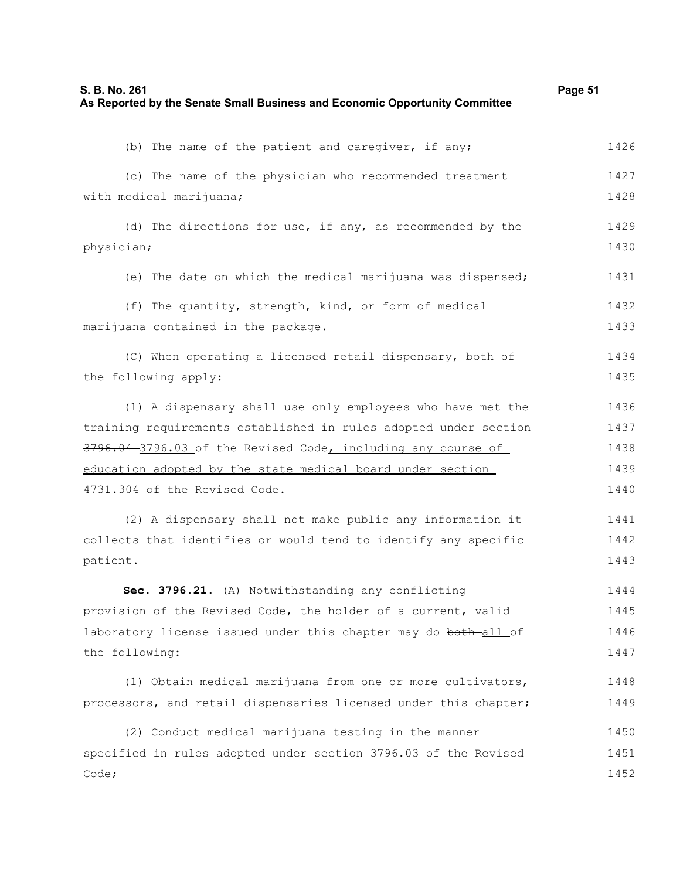| S. B. No. 261                                                               | Page 51 |
|-----------------------------------------------------------------------------|---------|
| As Reported by the Senate Small Business and Economic Opportunity Committee |         |

| (b) The name of the patient and caregiver, if any;               | 1426 |
|------------------------------------------------------------------|------|
| (c) The name of the physician who recommended treatment          | 1427 |
| with medical marijuana;                                          | 1428 |
| (d) The directions for use, if any, as recommended by the        | 1429 |
| physician;                                                       | 1430 |
| (e) The date on which the medical marijuana was dispensed;       | 1431 |
| (f) The quantity, strength, kind, or form of medical             | 1432 |
| marijuana contained in the package.                              | 1433 |
| (C) When operating a licensed retail dispensary, both of         | 1434 |
| the following apply:                                             | 1435 |
| (1) A dispensary shall use only employees who have met the       | 1436 |
| training requirements established in rules adopted under section | 1437 |
| 3796.04-3796.03 of the Revised Code, including any course of     | 1438 |
| education adopted by the state medical board under section       | 1439 |
| 4731.304 of the Revised Code.                                    | 1440 |
| (2) A dispensary shall not make public any information it        | 1441 |
| collects that identifies or would tend to identify any specific  | 1442 |
| patient.                                                         | 1443 |
| Sec. 3796.21. (A) Notwithstanding any conflicting                | 1444 |
| provision of the Revised Code, the holder of a current, valid    | 1445 |
| laboratory license issued under this chapter may do both-all of  | 1446 |
| the following:                                                   | 1447 |
|                                                                  |      |
| (1) Obtain medical marijuana from one or more cultivators,       | 1448 |
| processors, and retail dispensaries licensed under this chapter; | 1449 |
| (2) Conduct medical marijuana testing in the manner              | 1450 |
| specified in rules adopted under section 3796.03 of the Revised  | 1451 |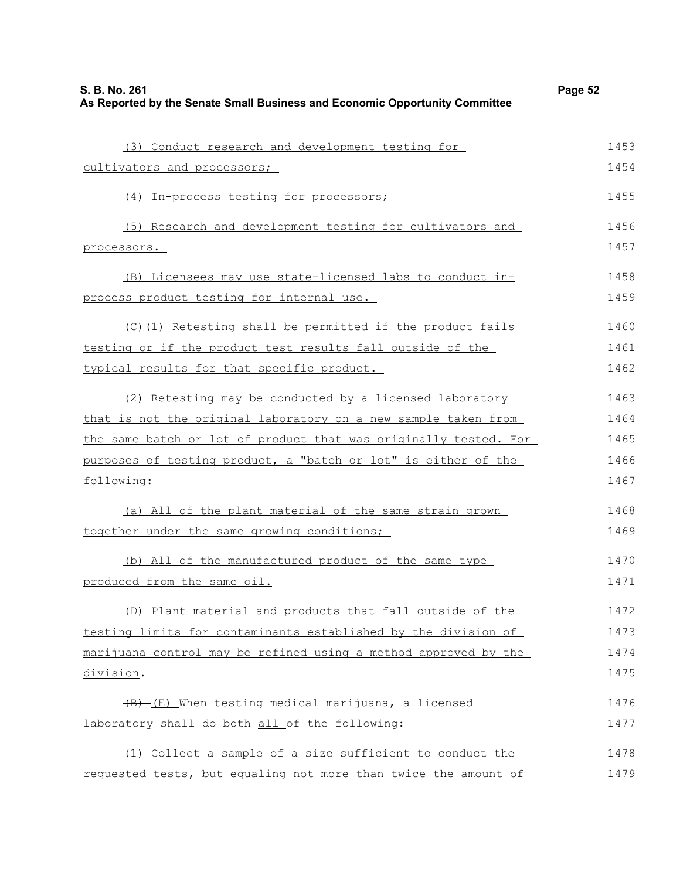| S. B. No. 261<br>As Reported by the Senate Small Business and Economic Opportunity Committee | Page 52 |
|----------------------------------------------------------------------------------------------|---------|
| (3) Conduct research and development testing for                                             | 1453    |
| cultivators and processors;                                                                  | 1454    |
| (4) In-process testing for processors;                                                       | 1455    |
| (5) Research and development testing for cultivators and                                     | 1456    |
| processors.                                                                                  | 1457    |
| (B) Licensees may use state-licensed labs to conduct in-                                     | 1458    |
| process product testing for internal use.                                                    | 1459    |
| (C)(1) Retesting shall be permitted if the product fails                                     | 1460    |
| testing or if the product test results fall outside of the                                   | 1461    |
| typical results for that specific product.                                                   | 1462    |
| (2) Retesting may be conducted by a licensed laboratory                                      | 1463    |
| that is not the original laboratory on a new sample taken from                               | 1464    |
| the same batch or lot of product that was originally tested. For                             | 1465    |
| purposes of testing product, a "batch or lot" is either of the                               | 1466    |
| following:                                                                                   | 1467    |
| (a) All of the plant material of the same strain grown                                       | 1468    |
| together under the same growing conditions;                                                  | 1469    |
| (b) All of the manufactured product of the same type                                         | 1470    |
| produced from the same oil.                                                                  | 1471    |
| (D) Plant material and products that fall outside of the                                     | 1472    |
| testing limits for contaminants established by the division of                               | 1473    |
| marijuana control may be refined using a method approved by the                              | 1474    |
| division.                                                                                    | 1475    |
| $(B)$ (E) When testing medical marijuana, a licensed                                         | 1476    |
| laboratory shall do both-all of the following:                                               | 1477    |
| (1) Collect a sample of a size sufficient to conduct the                                     | 1478    |
| requested tests, but equaling not more than twice the amount of                              | 1479    |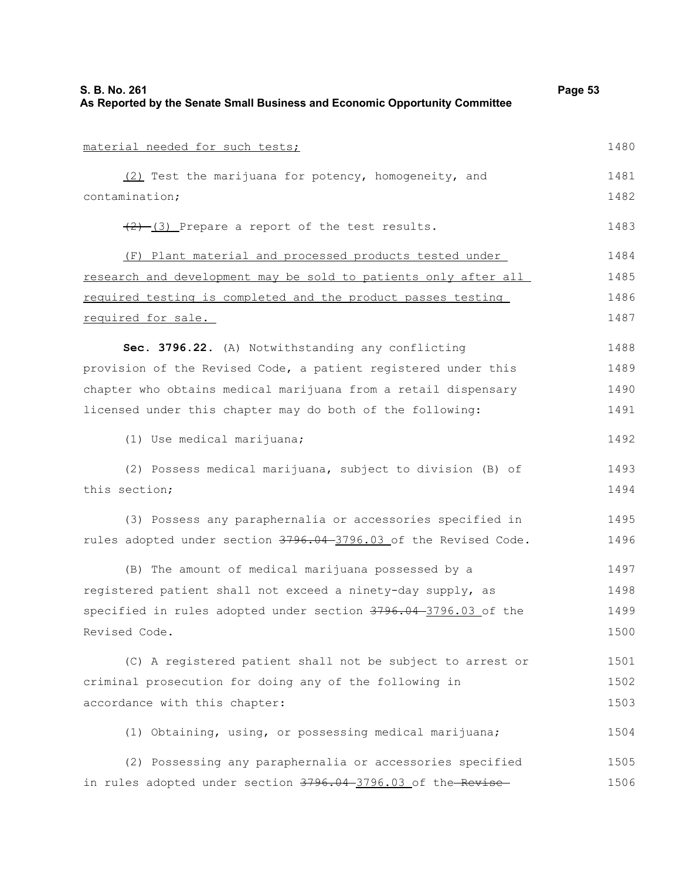| S. B. No. 261<br>As Reported by the Senate Small Business and Economic Opportunity Committee | Page 53 |
|----------------------------------------------------------------------------------------------|---------|
| material needed for such tests;                                                              | 1480    |
| (2) Test the marijuana for potency, homogeneity, and                                         | 1481    |
| contamination;                                                                               | 1482    |
| $(2)$ $(3)$ Prepare a report of the test results.                                            | 1483    |
| (F) Plant material and processed products tested under                                       | 1484    |
| research and development may be sold to patients only after all                              | 1485    |
| required testing is completed and the product passes testing                                 | 1486    |
| required for sale.                                                                           | 1487    |
| Sec. 3796.22. (A) Notwithstanding any conflicting                                            | 1488    |
| provision of the Revised Code, a patient registered under this                               | 1489    |
| chapter who obtains medical marijuana from a retail dispensary                               | 1490    |
| licensed under this chapter may do both of the following:                                    | 1491    |
| (1) Use medical marijuana;                                                                   | 1492    |
| (2) Possess medical marijuana, subject to division (B) of                                    | 1493    |
| this section;                                                                                | 1494    |
| (3) Possess any paraphernalia or accessories specified in                                    | 1495    |
| rules adopted under section 3796.04-3796.03 of the Revised Code.                             | 1496    |
| (B) The amount of medical marijuana possessed by a                                           | 1497    |
| registered patient shall not exceed a ninety-day supply, as                                  | 1498    |
| specified in rules adopted under section 3796.04 3796.03 of the                              | 1499    |
| Revised Code.                                                                                | 1500    |
| (C) A registered patient shall not be subject to arrest or                                   | 1501    |
| criminal prosecution for doing any of the following in                                       | 1502    |
| accordance with this chapter:                                                                | 1503    |
| (1) Obtaining, using, or possessing medical marijuana;                                       | 1504    |
| (2) Possessing any paraphernalia or accessories specified                                    | 1505    |
| in rules adopted under section 3796.04-3796.03 of the-Revise-                                | 1506    |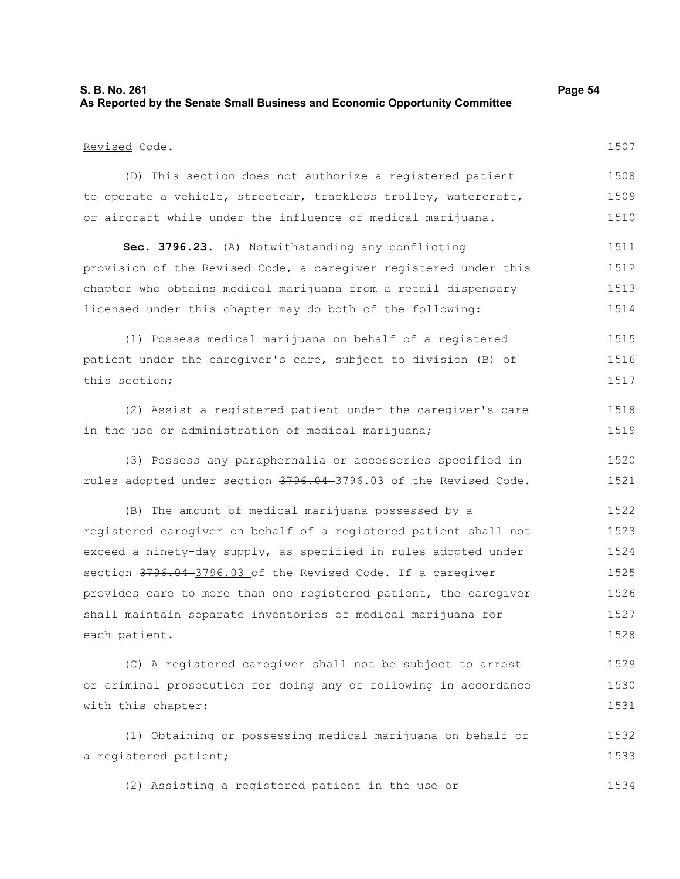| S. B. No. 261                                                               | Page 54 |
|-----------------------------------------------------------------------------|---------|
| As Reported by the Senate Small Business and Economic Opportunity Committee |         |

#### Revised Code.

1507

(D) This section does not authorize a registered patient to operate a vehicle, streetcar, trackless trolley, watercraft, or aircraft while under the influence of medical marijuana. 1508 1509 1510

**Sec. 3796.23.** (A) Notwithstanding any conflicting provision of the Revised Code, a caregiver registered under this chapter who obtains medical marijuana from a retail dispensary licensed under this chapter may do both of the following: 1511 1512 1513 1514

(1) Possess medical marijuana on behalf of a registered patient under the caregiver's care, subject to division (B) of this section; 1515 1516 1517

(2) Assist a registered patient under the caregiver's care in the use or administration of medical marijuana; 1518 1519

(3) Possess any paraphernalia or accessories specified in rules adopted under section 3796.04-3796.03 of the Revised Code. 1520 1521

(B) The amount of medical marijuana possessed by a registered caregiver on behalf of a registered patient shall not exceed a ninety-day supply, as specified in rules adopted under section  $3796.04 - 3796.03$  of the Revised Code. If a caregiver provides care to more than one registered patient, the caregiver shall maintain separate inventories of medical marijuana for each patient. 1522 1523 1524 1525 1526 1527 1528

(C) A registered caregiver shall not be subject to arrest or criminal prosecution for doing any of following in accordance with this chapter: 1529 1530 1531

(1) Obtaining or possessing medical marijuana on behalf of a registered patient; 1532 1533

(2) Assisting a registered patient in the use or 1534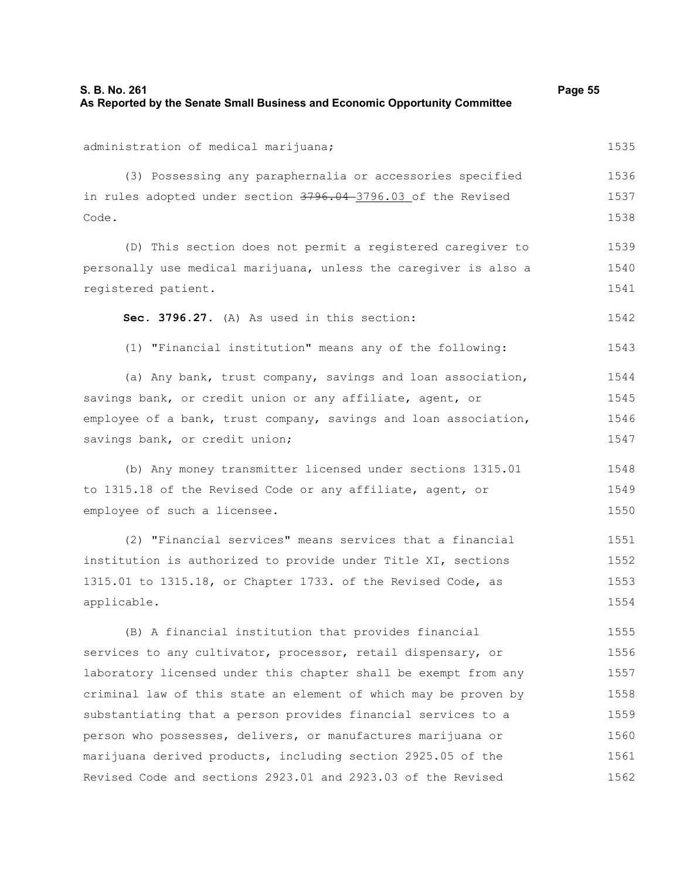| S. B. No. 261                                                               | Page 55 |
|-----------------------------------------------------------------------------|---------|
| As Reported by the Senate Small Business and Economic Opportunity Committee |         |

administration of medical marijuana; (3) Possessing any paraphernalia or accessories specified in rules adopted under section 3796.04-3796.03 of the Revised Code. (D) This section does not permit a registered caregiver to personally use medical marijuana, unless the caregiver is also a registered patient. **Sec. 3796.27.** (A) As used in this section: (1) "Financial institution" means any of the following: (a) Any bank, trust company, savings and loan association, savings bank, or credit union or any affiliate, agent, or employee of a bank, trust company, savings and loan association, savings bank, or credit union; (b) Any money transmitter licensed under sections 1315.01 to 1315.18 of the Revised Code or any affiliate, agent, or employee of such a licensee. (2) "Financial services" means services that a financial institution is authorized to provide under Title XI, sections 1536 1537 1538 1539 1540 1541 1542 1543 1544 1545 1546 1547 1548 1549 1550 1551 1552

1315.01 to 1315.18, or Chapter 1733. of the Revised Code, as applicable. 1553 1554

(B) A financial institution that provides financial services to any cultivator, processor, retail dispensary, or laboratory licensed under this chapter shall be exempt from any criminal law of this state an element of which may be proven by substantiating that a person provides financial services to a person who possesses, delivers, or manufactures marijuana or marijuana derived products, including section 2925.05 of the Revised Code and sections 2923.01 and 2923.03 of the Revised 1555 1556 1557 1558 1559 1560 1561 1562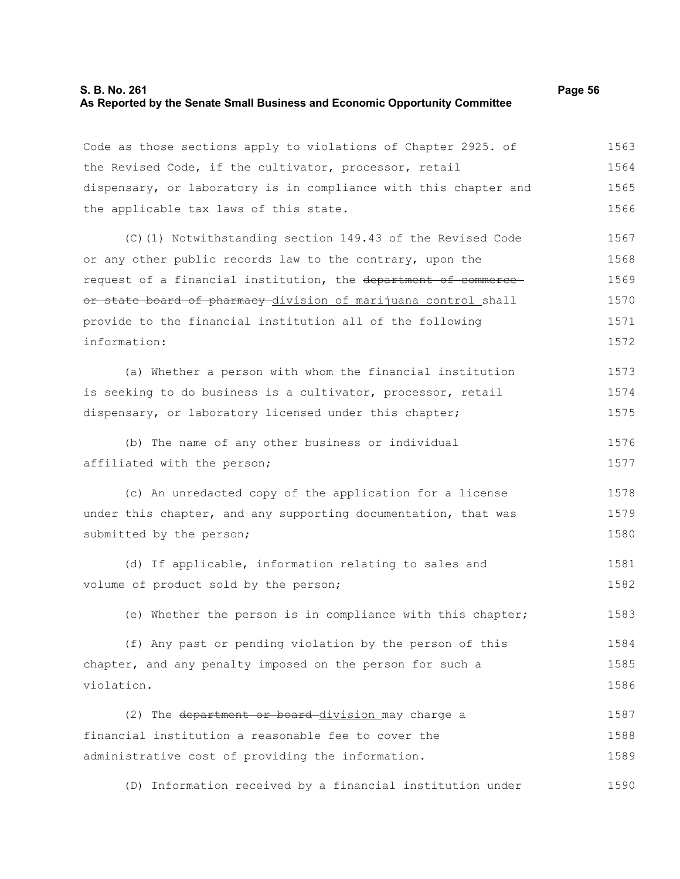## **S. B. No. 261 Page 56 As Reported by the Senate Small Business and Economic Opportunity Committee**

Code as those sections apply to violations of Chapter 2925. of the Revised Code, if the cultivator, processor, retail dispensary, or laboratory is in compliance with this chapter and the applicable tax laws of this state. 1563 1564 1565 1566

(C)(1) Notwithstanding section 149.43 of the Revised Code or any other public records law to the contrary, upon the request of a financial institution, the department of commerce or state board of pharmacy division of marijuana control shall provide to the financial institution all of the following information: 1567 1568 1569 1570 1571 1572

(a) Whether a person with whom the financial institution is seeking to do business is a cultivator, processor, retail dispensary, or laboratory licensed under this chapter; 1573 1574 1575

(b) The name of any other business or individual affiliated with the person; 1576 1577

(c) An unredacted copy of the application for a license under this chapter, and any supporting documentation, that was submitted by the person; 1578 1579 1580

(d) If applicable, information relating to sales and volume of product sold by the person; 1581 1582

(e) Whether the person is in compliance with this chapter; 1583

(f) Any past or pending violation by the person of this chapter, and any penalty imposed on the person for such a violation. 1584 1585 1586

(2) The department or board division may charge a financial institution a reasonable fee to cover the administrative cost of providing the information. 1587 1588 1589

(D) Information received by a financial institution under 1590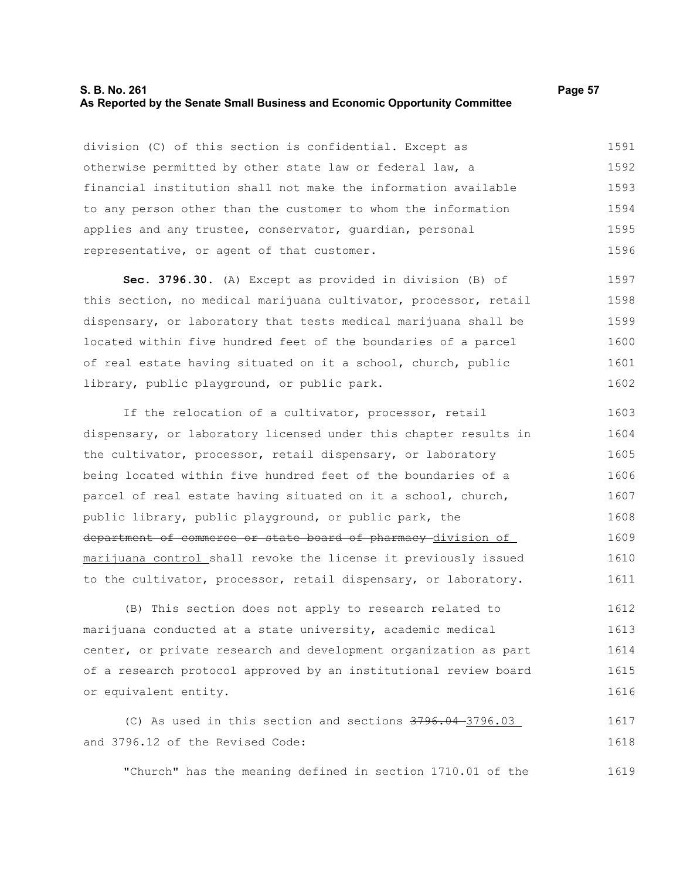## **S. B. No. 261 Page 57 As Reported by the Senate Small Business and Economic Opportunity Committee**

division (C) of this section is confidential. Except as otherwise permitted by other state law or federal law, a financial institution shall not make the information available to any person other than the customer to whom the information applies and any trustee, conservator, guardian, personal representative, or agent of that customer. 1591 1592 1593 1594 1595 1596

**Sec. 3796.30.** (A) Except as provided in division (B) of this section, no medical marijuana cultivator, processor, retail dispensary, or laboratory that tests medical marijuana shall be located within five hundred feet of the boundaries of a parcel of real estate having situated on it a school, church, public library, public playground, or public park. 1597 1598 1599 1600 1601 1602

If the relocation of a cultivator, processor, retail dispensary, or laboratory licensed under this chapter results in the cultivator, processor, retail dispensary, or laboratory being located within five hundred feet of the boundaries of a parcel of real estate having situated on it a school, church, public library, public playground, or public park, the department of commerce or state board of pharmacy division of marijuana control shall revoke the license it previously issued to the cultivator, processor, retail dispensary, or laboratory. 1603 1604 1605 1606 1607 1608 1609 1610 1611

(B) This section does not apply to research related to marijuana conducted at a state university, academic medical center, or private research and development organization as part of a research protocol approved by an institutional review board or equivalent entity. 1612 1613 1614 1615 1616

(C) As used in this section and sections 3796.04 3796.03 and 3796.12 of the Revised Code: 1617 1618

"Church" has the meaning defined in section 1710.01 of the 1619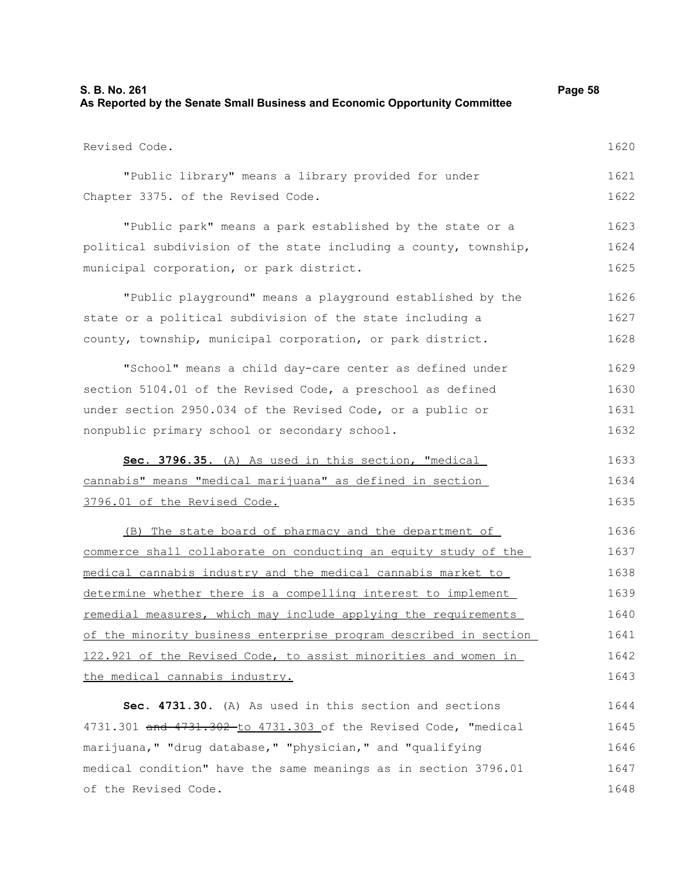| As Reported by the Senate Small Business and Economic Opportunity Committee |      |
|-----------------------------------------------------------------------------|------|
| Revised Code.                                                               | 1620 |
| "Public library" means a library provided for under                         | 1621 |
| Chapter 3375. of the Revised Code.                                          | 1622 |
| "Public park" means a park established by the state or a                    | 1623 |
| political subdivision of the state including a county, township,            | 1624 |
| municipal corporation, or park district.                                    | 1625 |
| "Public playground" means a playground established by the                   | 1626 |
| state or a political subdivision of the state including a                   | 1627 |
| county, township, municipal corporation, or park district.                  | 1628 |
| "School" means a child day-care center as defined under                     | 1629 |
| section 5104.01 of the Revised Code, a preschool as defined                 | 1630 |
| under section 2950.034 of the Revised Code, or a public or                  | 1631 |
| nonpublic primary school or secondary school.                               | 1632 |
| Sec. 3796.35. (A) As used in this section, "medical                         | 1633 |
| cannabis" means "medical marijuana" as defined in section                   | 1634 |
| 3796.01 of the Revised Code.                                                | 1635 |
| (B) The state board of pharmacy and the department of                       | 1636 |
| commerce shall collaborate on conducting an equity study of the             | 1637 |
| medical cannabis industry and the medical cannabis market to                | 1638 |
| determine whether there is a compelling interest to implement               | 1639 |
| remedial measures, which may include applying the requirements              | 1640 |
| of the minority business enterprise program described in section            | 1641 |
| 122.921 of the Revised Code, to assist minorities and women in              | 1642 |
| the medical cannabis industry.                                              | 1643 |
| Sec. 4731.30. (A) As used in this section and sections                      | 1644 |
| 4731.301 and 4731.302-to 4731.303 of the Revised Code, "medical             | 1645 |
| marijuana, " "drug database, " "physician, " and "qualifying                | 1646 |
| medical condition" have the same meanings as in section 3796.01             | 1647 |
| of the Revised Code.                                                        | 1648 |

**S. B. No. 261 Page 58**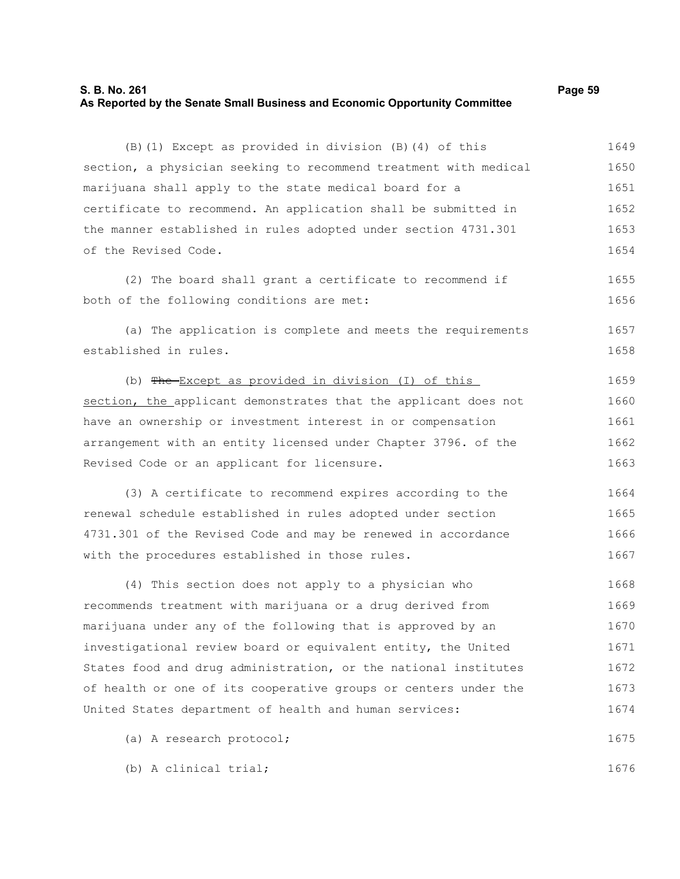#### **S. B. No. 261 Page 59 As Reported by the Senate Small Business and Economic Opportunity Committee**

| (B) (1) Except as provided in division (B) (4) of this           | 1649 |
|------------------------------------------------------------------|------|
| section, a physician seeking to recommend treatment with medical | 1650 |
| marijuana shall apply to the state medical board for a           | 1651 |
| certificate to recommend. An application shall be submitted in   | 1652 |
| the manner established in rules adopted under section 4731.301   | 1653 |
| of the Revised Code.                                             | 1654 |
| (2) The board shall grant a certificate to recommend if          | 1655 |
| both of the following conditions are met:                        | 1656 |
| (a) The application is complete and meets the requirements       | 1657 |
| established in rules.                                            | 1658 |
| (b) The Except as provided in division (I) of this               | 1659 |
| section, the applicant demonstrates that the applicant does not  | 1660 |
| have an ownership or investment interest in or compensation      | 1661 |
| arrangement with an entity licensed under Chapter 3796. of the   | 1662 |
| Revised Code or an applicant for licensure.                      | 1663 |
| (3) A certificate to recommend expires according to the          | 1664 |
| renewal schedule established in rules adopted under section      | 1665 |
| 4731.301 of the Revised Code and may be renewed in accordance    | 1666 |
| with the procedures established in those rules.                  | 1667 |
| (4) This section does not apply to a physician who               | 1668 |
| recommends treatment with marijuana or a drug derived from       | 1669 |
| marijuana under any of the following that is approved by an      | 1670 |
| investigational review board or equivalent entity, the United    | 1671 |
| States food and drug administration, or the national institutes  | 1672 |
| of health or one of its cooperative groups or centers under the  | 1673 |
| United States department of health and human services:           | 1674 |
| (a) A research protocol;                                         | 1675 |
| (b) A clinical trial;                                            | 1676 |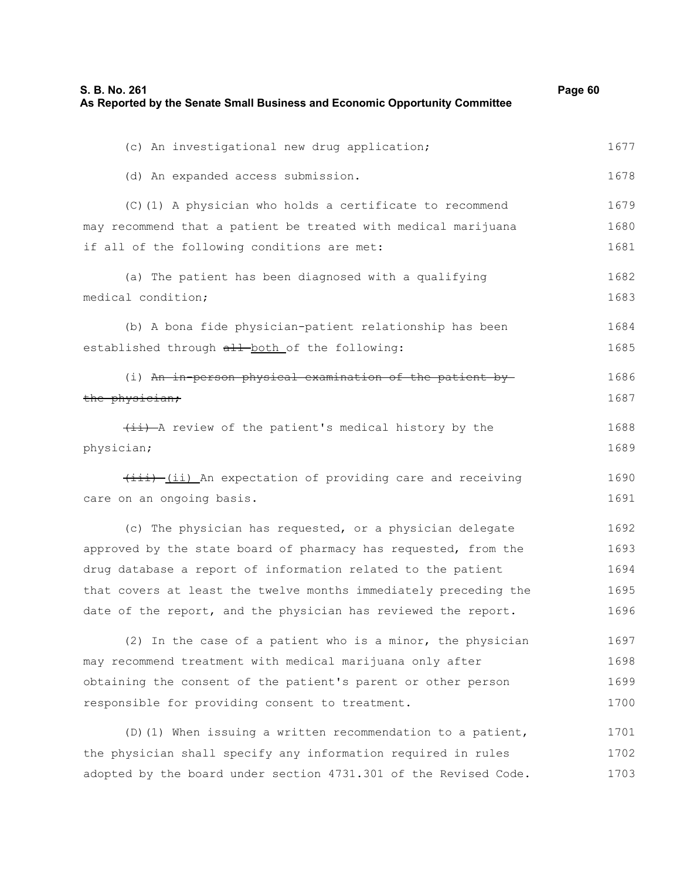| S. B. No. 261<br>As Reported by the Senate Small Business and Economic Opportunity Committee | Page 60 |
|----------------------------------------------------------------------------------------------|---------|
| (c) An investigational new drug application;                                                 | 1677    |
| (d) An expanded access submission.                                                           | 1678    |
| (C) (1) A physician who holds a certificate to recommend                                     | 1679    |
| may recommend that a patient be treated with medical marijuana                               | 1680    |
| if all of the following conditions are met:                                                  | 1681    |
| (a) The patient has been diagnosed with a qualifying                                         | 1682    |
| medical condition;                                                                           | 1683    |
| (b) A bona fide physician-patient relationship has been                                      | 1684    |
| established through all both of the following:                                               | 1685    |
| (i) An in-person physical examination of the patient by-                                     | 1686    |
| the physician;                                                                               | 1687    |
| (ii) A review of the patient's medical history by the                                        | 1688    |
| physician;                                                                                   | 1689    |
| (iii) An expectation of providing care and receiving                                         | 1690    |
| care on an ongoing basis.                                                                    | 1691    |
| (c) The physician has requested, or a physician delegate                                     | 1692    |
| approved by the state board of pharmacy has requested, from the                              | 1693    |
| drug database a report of information related to the patient                                 | 1694    |
| that covers at least the twelve months immediately preceding the                             | 1695    |
| date of the report, and the physician has reviewed the report.                               | 1696    |
| (2) In the case of a patient who is a minor, the physician                                   | 1697    |
| may recommend treatment with medical marijuana only after                                    | 1698    |
| obtaining the consent of the patient's parent or other person                                | 1699    |
| responsible for providing consent to treatment.                                              | 1700    |
| (D) (1) When issuing a written recommendation to a patient,                                  | 1701    |

the physician shall specify any information required in rules adopted by the board under section 4731.301 of the Revised Code. 1702 1703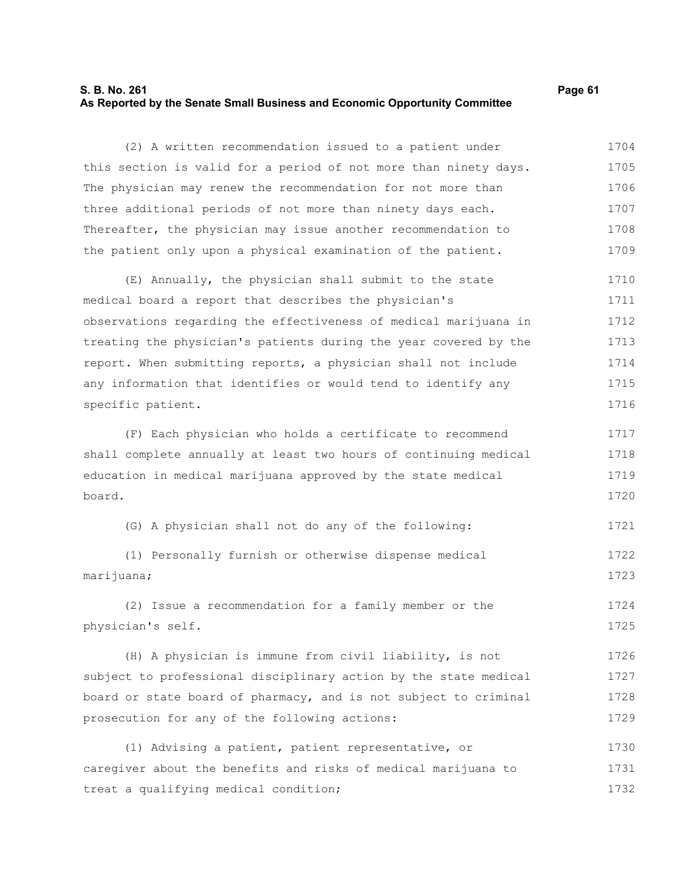## **S. B. No. 261 Page 61 As Reported by the Senate Small Business and Economic Opportunity Committee**

(2) A written recommendation issued to a patient under this section is valid for a period of not more than ninety days. The physician may renew the recommendation for not more than three additional periods of not more than ninety days each. Thereafter, the physician may issue another recommendation to the patient only upon a physical examination of the patient. 1704 1705 1706 1707 1708 1709

(E) Annually, the physician shall submit to the state medical board a report that describes the physician's observations regarding the effectiveness of medical marijuana in treating the physician's patients during the year covered by the report. When submitting reports, a physician shall not include any information that identifies or would tend to identify any specific patient. 1710 1711 1712 1713 1714 1715 1716

(F) Each physician who holds a certificate to recommend shall complete annually at least two hours of continuing medical education in medical marijuana approved by the state medical board. 1717 1718 1719 1720

(G) A physician shall not do any of the following: 1721

(1) Personally furnish or otherwise dispense medical marijuana; 1722 1723

(2) Issue a recommendation for a family member or the physician's self. 1724 1725

(H) A physician is immune from civil liability, is not subject to professional disciplinary action by the state medical board or state board of pharmacy, and is not subject to criminal prosecution for any of the following actions: 1726 1727 1728 1729

(1) Advising a patient, patient representative, or caregiver about the benefits and risks of medical marijuana to treat a qualifying medical condition; 1730 1731 1732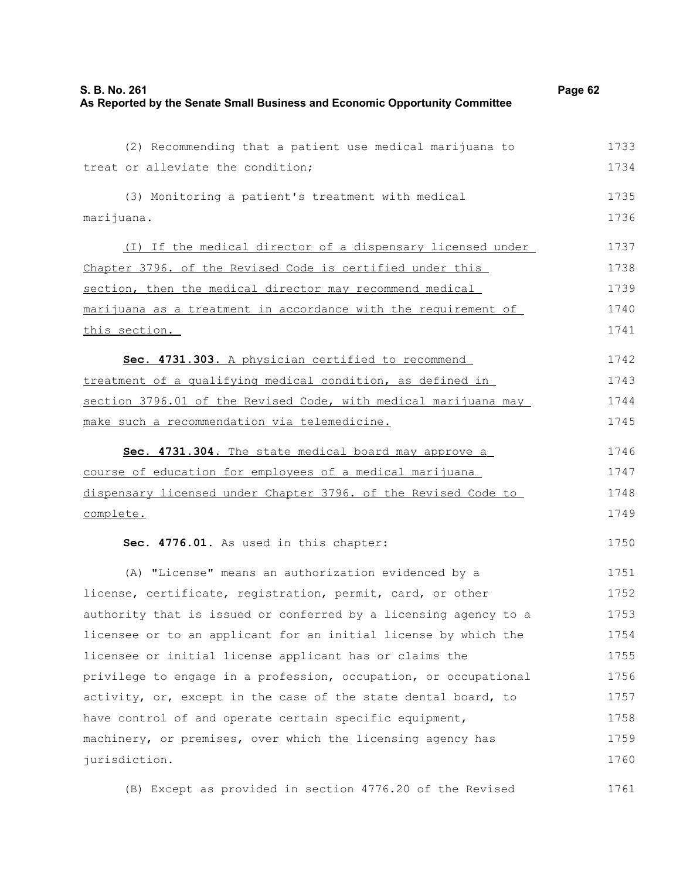| S. B. No. 261                                                               | Page 62 |
|-----------------------------------------------------------------------------|---------|
| As Reported by the Senate Small Business and Economic Opportunity Committee |         |

| (2) Recommending that a patient use medical marijuana to         | 1733 |
|------------------------------------------------------------------|------|
| treat or alleviate the condition;                                | 1734 |
| (3) Monitoring a patient's treatment with medical                | 1735 |
| marijuana.                                                       | 1736 |
| (I) If the medical director of a dispensary licensed under       | 1737 |
| Chapter 3796. of the Revised Code is certified under this        | 1738 |
| section, then the medical director may recommend medical         | 1739 |
| marijuana as a treatment in accordance with the requirement of   | 1740 |
| this section.                                                    | 1741 |
| Sec. 4731.303. A physician certified to recommend                | 1742 |
| treatment of a qualifying medical condition, as defined in       | 1743 |
| section 3796.01 of the Revised Code, with medical marijuana may  | 1744 |
| make such a recommendation via telemedicine.                     | 1745 |
| Sec. 4731.304. The state medical board may approve a             | 1746 |
| course of education for employees of a medical marijuana         | 1747 |
| dispensary licensed under Chapter 3796. of the Revised Code to   | 1748 |
| complete.                                                        | 1749 |
| Sec. 4776.01. As used in this chapter:                           | 1750 |
| (A) "License" means an authorization evidenced by a              | 1751 |
| license, certificate, registration, permit, card, or other       | 1752 |
| authority that is issued or conferred by a licensing agency to a | 1753 |
| licensee or to an applicant for an initial license by which the  | 1754 |
| licensee or initial license applicant has or claims the          | 1755 |
| privilege to engage in a profession, occupation, or occupational | 1756 |
| activity, or, except in the case of the state dental board, to   | 1757 |
| have control of and operate certain specific equipment,          | 1758 |
| machinery, or premises, over which the licensing agency has      | 1759 |
| jurisdiction.                                                    | 1760 |
| (B) Except as provided in section 4776.20 of the Revised         | 1761 |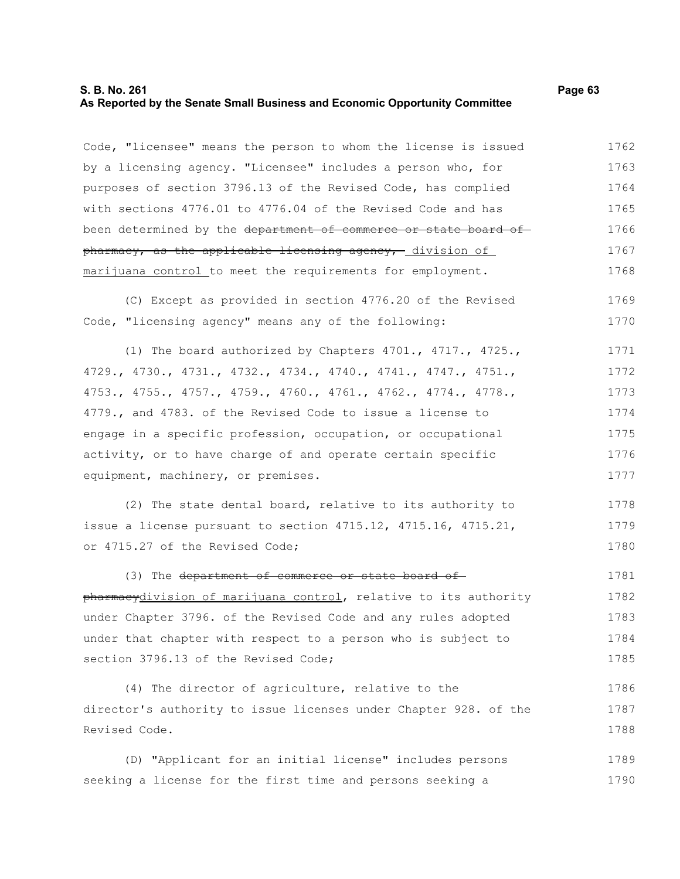## **S. B. No. 261 Page 63 As Reported by the Senate Small Business and Economic Opportunity Committee**

Code, "licensee" means the person to whom the license is issued by a licensing agency. "Licensee" includes a person who, for purposes of section 3796.13 of the Revised Code, has complied with sections 4776.01 to 4776.04 of the Revised Code and has been determined by the department of commerce or state board of pharmacy, as the applicable licensing agency, division of marijuana control to meet the requirements for employment. 1762 1763 1764 1765 1766 1767 1768

(C) Except as provided in section 4776.20 of the Revised Code, "licensing agency" means any of the following: 1769 1770

(1) The board authorized by Chapters 4701., 4717., 4725., 4729., 4730., 4731., 4732., 4734., 4740., 4741., 4747., 4751., 4753., 4755., 4757., 4759., 4760., 4761., 4762., 4774., 4778., 4779., and 4783. of the Revised Code to issue a license to engage in a specific profession, occupation, or occupational activity, or to have charge of and operate certain specific equipment, machinery, or premises. 1771 1772 1773 1774 1775 1776 1777

(2) The state dental board, relative to its authority to issue a license pursuant to section 4715.12, 4715.16, 4715.21, or 4715.27 of the Revised Code; 1778 1779 1780

(3) The department of commerce or state board ofpharmacydivision of marijuana control, relative to its authority under Chapter 3796. of the Revised Code and any rules adopted under that chapter with respect to a person who is subject to section 3796.13 of the Revised Code; 1781 1782 1783 1784 1785

(4) The director of agriculture, relative to the director's authority to issue licenses under Chapter 928. of the Revised Code. 1786 1787 1788

(D) "Applicant for an initial license" includes persons seeking a license for the first time and persons seeking a 1789 1790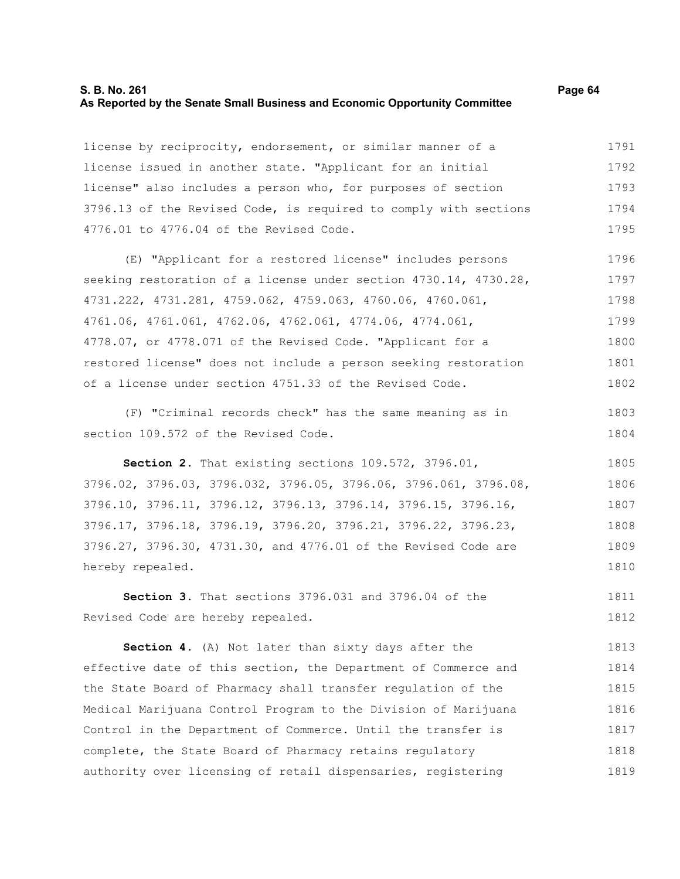#### **S. B. No. 261 Page 64 As Reported by the Senate Small Business and Economic Opportunity Committee**

license by reciprocity, endorsement, or similar manner of a license issued in another state. "Applicant for an initial license" also includes a person who, for purposes of section 3796.13 of the Revised Code, is required to comply with sections 4776.01 to 4776.04 of the Revised Code. 1791 1792 1793 1794 1795

(E) "Applicant for a restored license" includes persons seeking restoration of a license under section 4730.14, 4730.28, 4731.222, 4731.281, 4759.062, 4759.063, 4760.06, 4760.061, 4761.06, 4761.061, 4762.06, 4762.061, 4774.06, 4774.061, 4778.07, or 4778.071 of the Revised Code. "Applicant for a restored license" does not include a person seeking restoration of a license under section 4751.33 of the Revised Code. 1796 1797 1798 1799 1800 1801 1802

(F) "Criminal records check" has the same meaning as in section 109.572 of the Revised Code.

**Section 2.** That existing sections 109.572, 3796.01, 3796.02, 3796.03, 3796.032, 3796.05, 3796.06, 3796.061, 3796.08, 3796.10, 3796.11, 3796.12, 3796.13, 3796.14, 3796.15, 3796.16, 3796.17, 3796.18, 3796.19, 3796.20, 3796.21, 3796.22, 3796.23, 3796.27, 3796.30, 4731.30, and 4776.01 of the Revised Code are hereby repealed. 1805 1806 1807 1808 1809 1810

**Section 3.** That sections 3796.031 and 3796.04 of the Revised Code are hereby repealed. 1811 1812

**Section 4.** (A) Not later than sixty days after the effective date of this section, the Department of Commerce and the State Board of Pharmacy shall transfer regulation of the Medical Marijuana Control Program to the Division of Marijuana Control in the Department of Commerce. Until the transfer is complete, the State Board of Pharmacy retains regulatory authority over licensing of retail dispensaries, registering 1813 1814 1815 1816 1817 1818 1819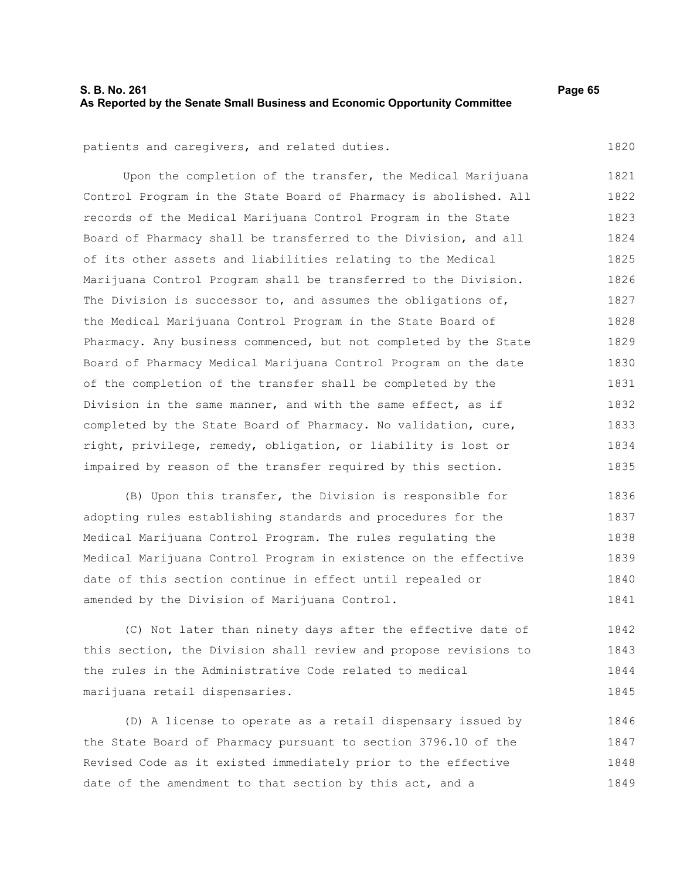## **S. B. No. 261 Page 65 As Reported by the Senate Small Business and Economic Opportunity Committee**

1820

patients and caregivers, and related duties.

Upon the completion of the transfer, the Medical Marijuana Control Program in the State Board of Pharmacy is abolished. All records of the Medical Marijuana Control Program in the State Board of Pharmacy shall be transferred to the Division, and all of its other assets and liabilities relating to the Medical Marijuana Control Program shall be transferred to the Division. The Division is successor to, and assumes the obligations of, the Medical Marijuana Control Program in the State Board of Pharmacy. Any business commenced, but not completed by the State Board of Pharmacy Medical Marijuana Control Program on the date of the completion of the transfer shall be completed by the Division in the same manner, and with the same effect, as if completed by the State Board of Pharmacy. No validation, cure, right, privilege, remedy, obligation, or liability is lost or impaired by reason of the transfer required by this section. 1821 1822 1823 1824 1825 1826 1827 1828 1829 1830 1831 1832 1833 1834 1835

(B) Upon this transfer, the Division is responsible for adopting rules establishing standards and procedures for the Medical Marijuana Control Program. The rules regulating the Medical Marijuana Control Program in existence on the effective date of this section continue in effect until repealed or amended by the Division of Marijuana Control. 1836 1837 1838 1839 1840 1841

(C) Not later than ninety days after the effective date of this section, the Division shall review and propose revisions to the rules in the Administrative Code related to medical marijuana retail dispensaries. 1842 1843 1844 1845

(D) A license to operate as a retail dispensary issued by the State Board of Pharmacy pursuant to section 3796.10 of the Revised Code as it existed immediately prior to the effective date of the amendment to that section by this act, and a 1846 1847 1848 1849